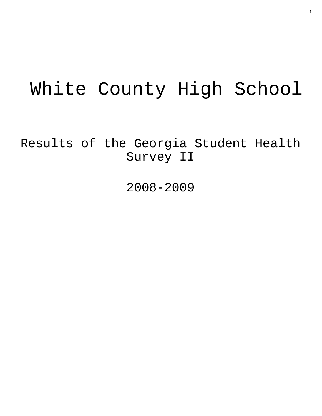# White County High School

Results of the Georgia Student Health Survey II

2008-2009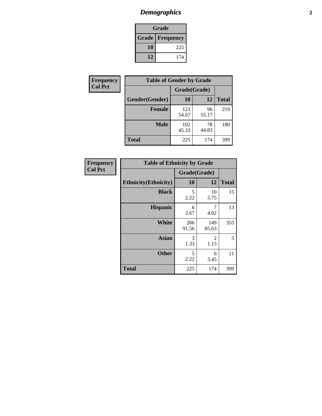# *Demographics* **2**

| Grade                    |     |  |  |  |
|--------------------------|-----|--|--|--|
| <b>Grade   Frequency</b> |     |  |  |  |
| 10                       | 225 |  |  |  |
| 12                       | 174 |  |  |  |

| Frequency      | <b>Table of Gender by Grade</b> |              |             |              |  |
|----------------|---------------------------------|--------------|-------------|--------------|--|
| <b>Col Pct</b> |                                 | Grade(Grade) |             |              |  |
|                | Gender(Gender)                  | 10           | 12          | <b>Total</b> |  |
|                | <b>Female</b>                   | 123<br>54.67 | 96<br>55.17 | 219          |  |
|                | <b>Male</b>                     | 102<br>45.33 | 78<br>44.83 | 180          |  |
|                | <b>Total</b>                    | 225          | 174         | 399          |  |

| Frequency<br>Col Pct |
|----------------------|
|                      |

| <b>Table of Ethnicity by Grade</b> |              |              |              |  |  |  |
|------------------------------------|--------------|--------------|--------------|--|--|--|
|                                    | Grade(Grade) |              |              |  |  |  |
| <b>Ethnicity</b> (Ethnicity)       | 10           | 12           | <b>Total</b> |  |  |  |
| <b>Black</b>                       | 5<br>2.22    | 10<br>5.75   | 15           |  |  |  |
| <b>Hispanic</b>                    | 6<br>2.67    | 7<br>4.02    | 13           |  |  |  |
| White                              | 206<br>91.56 | 149<br>85.63 | 355          |  |  |  |
| <b>Asian</b>                       | 3<br>1.33    | 2<br>1.15    | 5            |  |  |  |
| <b>Other</b>                       | 5<br>2.22    | 6<br>3.45    | 11           |  |  |  |
| <b>Total</b>                       | 225          | 174          | 399          |  |  |  |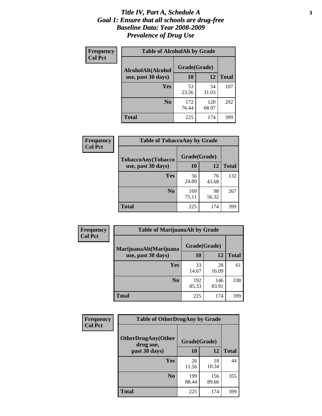### *Title IV, Part A, Schedule A* **3** *Goal 1: Ensure that all schools are drug-free Baseline Data: Year 2008-2009 Prevalence of Drug Use*

| Frequency<br><b>Col Pct</b> | <b>Table of AlcoholAlt by Grade</b> |              |              |              |  |  |
|-----------------------------|-------------------------------------|--------------|--------------|--------------|--|--|
|                             | AlcoholAlt(Alcohol                  | Grade(Grade) |              |              |  |  |
|                             | use, past 30 days)                  | 10           | 12           | <b>Total</b> |  |  |
|                             | Yes                                 | 53<br>23.56  | 54<br>31.03  | 107          |  |  |
|                             | N <sub>0</sub>                      | 172<br>76.44 | 120<br>68.97 | 292          |  |  |
|                             | <b>Total</b>                        | 225          | 174          | 399          |  |  |

| Frequency      | <b>Table of TobaccoAny by Grade</b> |              |             |              |  |  |
|----------------|-------------------------------------|--------------|-------------|--------------|--|--|
| <b>Col Pct</b> | TobaccoAny(Tobacco                  | Grade(Grade) |             |              |  |  |
|                | use, past 30 days)                  | 10           | 12          | <b>Total</b> |  |  |
|                | Yes                                 | 56<br>24.89  | 76<br>43.68 | 132          |  |  |
|                | N <sub>0</sub>                      | 169<br>75.11 | 98<br>56.32 | 267          |  |  |
|                | <b>Total</b>                        | 225          | 174         | 399          |  |  |

| Frequency<br><b>Col Pct</b> | <b>Table of MarijuanaAlt by Grade</b> |              |              |              |  |
|-----------------------------|---------------------------------------|--------------|--------------|--------------|--|
|                             | MarijuanaAlt(Marijuana                | Grade(Grade) |              |              |  |
|                             | use, past 30 days)                    | 10           | 12           | <b>Total</b> |  |
|                             | <b>Yes</b>                            | 33<br>14.67  | 28<br>16.09  | 61           |  |
|                             | N <sub>0</sub>                        | 192<br>85.33 | 146<br>83.91 | 338          |  |
|                             | <b>Total</b>                          | 225          | 174          | 399          |  |

| <b>Frequency</b> | <b>Table of OtherDrugAny by Grade</b>                  |              |              |              |  |
|------------------|--------------------------------------------------------|--------------|--------------|--------------|--|
| <b>Col Pct</b>   | <b>OtherDrugAny(Other</b><br>Grade(Grade)<br>drug use, |              |              |              |  |
|                  | past 30 days)                                          | 10           | 12           | <b>Total</b> |  |
|                  | Yes                                                    | 26<br>11.56  | 18<br>10.34  | 44           |  |
|                  | N <sub>0</sub>                                         | 199<br>88.44 | 156<br>89.66 | 355          |  |
|                  | <b>Total</b>                                           | 225          | 174          | 399          |  |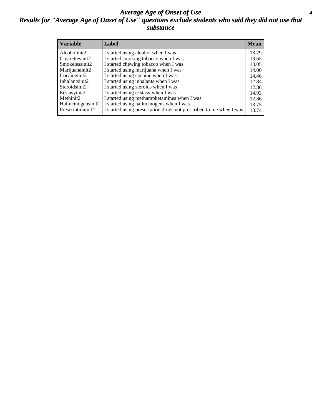### *Average Age of Onset of Use* **4** *Results for "Average Age of Onset of Use" questions exclude students who said they did not use that substance*

| <b>Variable</b>       | Label                                                              | <b>Mean</b> |
|-----------------------|--------------------------------------------------------------------|-------------|
| Alcoholinit2          | I started using alcohol when I was                                 | 13.79       |
| Cigarettesinit2       | I started smoking tobacco when I was                               | 13.65       |
| Smokelessinit2        | I started chewing tobacco when I was                               | 13.05       |
| Marijuanainit2        | I started using marijuana when I was                               | 14.00       |
| Cocaineinit2          | I started using cocaine when I was                                 | 14.46       |
| Inhalantsinit2        | I started using inhalants when I was                               | 12.84       |
| Steroidsinit2         | I started using steroids when I was                                | 12.86       |
| Ecstasyinit2          | I started using ecstasy when I was                                 | 14.93       |
| Methinit <sub>2</sub> | I started using methamphetamines when I was                        | 12.86       |
| Hallucinogensinit2    | I started using hallucinogens when I was                           | 13.75       |
| Prescriptioninit2     | I started using prescription drugs not prescribed to me when I was | 13.74       |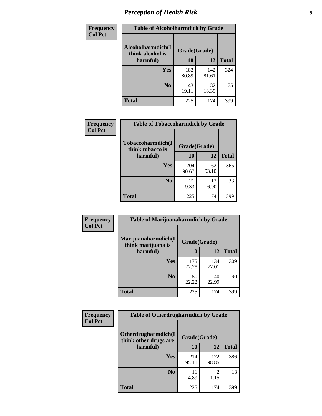# *Perception of Health Risk* **5**

| Frequency      | <b>Table of Alcoholharmdich by Grade</b> |              |              |              |  |
|----------------|------------------------------------------|--------------|--------------|--------------|--|
| <b>Col Pct</b> | Alcoholharmdich(I<br>think alcohol is    | Grade(Grade) |              |              |  |
|                | harmful)                                 | 10           | 12           | <b>Total</b> |  |
|                | <b>Yes</b>                               | 182<br>80.89 | 142<br>81.61 | 324          |  |
|                | N <sub>0</sub>                           | 43<br>19.11  | 32<br>18.39  | 75           |  |
|                | <b>Total</b>                             | 225          | 174          | 399          |  |

| Frequency      | <b>Table of Tobaccoharmdich by Grade</b> |              |              |              |  |
|----------------|------------------------------------------|--------------|--------------|--------------|--|
| <b>Col Pct</b> | Tobaccoharmdich(I<br>think tobacco is    | Grade(Grade) |              |              |  |
|                | harmful)                                 | 10           | 12           | <b>Total</b> |  |
|                | <b>Yes</b>                               | 204<br>90.67 | 162<br>93.10 | 366          |  |
|                | N <sub>0</sub>                           | 21<br>9.33   | 12<br>6.90   | 33           |  |
|                | <b>Total</b>                             | 225          | 174          | 399          |  |

| Frequency      | <b>Table of Marijuanaharmdich by Grade</b> |              |              |              |  |  |
|----------------|--------------------------------------------|--------------|--------------|--------------|--|--|
| <b>Col Pct</b> | Marijuanaharmdich(I<br>think marijuana is  |              | Grade(Grade) |              |  |  |
|                | harmful)                                   | 10           | 12           | <b>Total</b> |  |  |
|                | Yes                                        | 175<br>77.78 | 134<br>77.01 | 309          |  |  |
|                | N <sub>0</sub>                             | 50<br>22.22  | 40<br>22.99  | 90           |  |  |
|                | <b>Total</b>                               | 225          | 174          | 399          |  |  |

| Frequency      | <b>Table of Otherdrugharmdich by Grade</b>   |              |              |              |  |  |  |  |
|----------------|----------------------------------------------|--------------|--------------|--------------|--|--|--|--|
| <b>Col Pct</b> | Otherdrugharmdich(I<br>think other drugs are | Grade(Grade) |              |              |  |  |  |  |
|                | harmful)                                     | 10           | 12           | <b>Total</b> |  |  |  |  |
|                | <b>Yes</b>                                   | 214<br>95.11 | 172<br>98.85 | 386          |  |  |  |  |
|                | N <sub>0</sub>                               | 4.89         | 2<br>1.15    | 13           |  |  |  |  |
|                | <b>Total</b>                                 | 225          | 174          | 399          |  |  |  |  |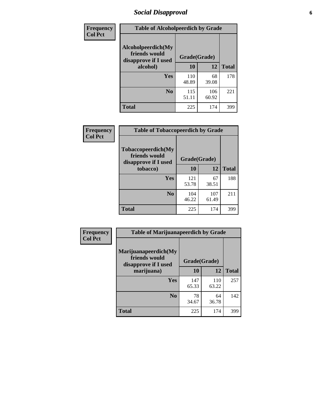# *Social Disapproval* **6**

| Frequency      | <b>Table of Alcoholpeerdich by Grade</b>                    |              |              |              |
|----------------|-------------------------------------------------------------|--------------|--------------|--------------|
| <b>Col Pct</b> | Alcoholpeerdich(My<br>friends would<br>disapprove if I used | Grade(Grade) |              |              |
|                | alcohol)                                                    | 10           | 12           | <b>Total</b> |
|                | <b>Yes</b>                                                  | 110<br>48.89 | 68<br>39.08  | 178          |
|                | N <sub>0</sub>                                              | 115<br>51.11 | 106<br>60.92 | 221          |
|                | Total                                                       | 225          | 174          | 399          |

| <b>Frequency</b> |
|------------------|
| <b>Col Pct</b>   |

| <b>Table of Tobaccopeerdich by Grade</b>                    |              |              |              |  |  |  |
|-------------------------------------------------------------|--------------|--------------|--------------|--|--|--|
| Tobaccopeerdich(My<br>friends would<br>disapprove if I used | Grade(Grade) |              |              |  |  |  |
| tobacco)                                                    | 10           | 12           | <b>Total</b> |  |  |  |
| Yes                                                         | 121<br>53.78 | 67<br>38.51  | 188          |  |  |  |
| N <sub>0</sub>                                              | 104<br>46.22 | 107<br>61.49 | 211          |  |  |  |
| <b>Total</b>                                                | 225          | 174          |              |  |  |  |

| <b>Frequency</b> | <b>Table of Marijuanapeerdich by Grade</b>                    |              |              |              |  |  |  |  |
|------------------|---------------------------------------------------------------|--------------|--------------|--------------|--|--|--|--|
| <b>Col Pct</b>   | Marijuanapeerdich(My<br>friends would<br>disapprove if I used | Grade(Grade) |              |              |  |  |  |  |
|                  | marijuana)                                                    | 10           | 12           | <b>Total</b> |  |  |  |  |
|                  | <b>Yes</b>                                                    | 147<br>65.33 | 110<br>63.22 | 257          |  |  |  |  |
|                  | N <sub>0</sub>                                                | 78<br>34.67  | 64<br>36.78  | 142          |  |  |  |  |
|                  | <b>Total</b>                                                  | 225          | 174          | 399          |  |  |  |  |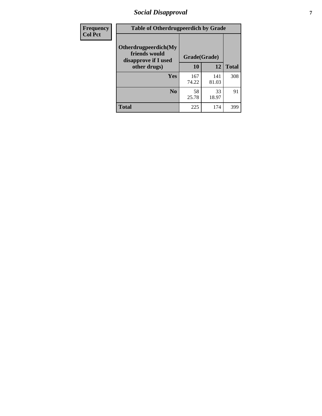# *Social Disapproval* **7**

| Frequency      | <b>Table of Otherdrugpeerdich by Grade</b>                    |              |              |              |  |  |  |  |
|----------------|---------------------------------------------------------------|--------------|--------------|--------------|--|--|--|--|
| <b>Col Pct</b> | Otherdrugpeerdich(My<br>friends would<br>disapprove if I used | Grade(Grade) |              |              |  |  |  |  |
|                | other drugs)                                                  | 10           | 12           | <b>Total</b> |  |  |  |  |
|                | Yes                                                           | 167<br>74.22 | 141<br>81.03 | 308          |  |  |  |  |
|                | N <sub>0</sub>                                                | 58<br>25.78  | 33<br>18.97  | 91           |  |  |  |  |
|                | <b>Total</b>                                                  | 225          | 174          | 399          |  |  |  |  |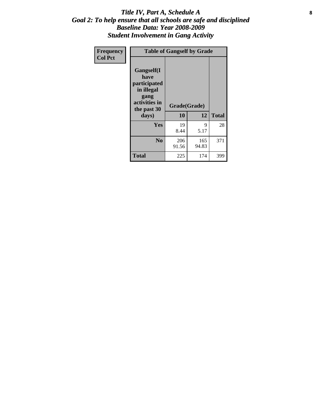### Title IV, Part A, Schedule A **8** *Goal 2: To help ensure that all schools are safe and disciplined Baseline Data: Year 2008-2009 Student Involvement in Gang Activity*

| Frequency      | <b>Table of Gangself by Grade</b>                                                                         |                    |              |              |
|----------------|-----------------------------------------------------------------------------------------------------------|--------------------|--------------|--------------|
| <b>Col Pct</b> | <b>Gangself</b> (I<br>have<br>participated<br>in illegal<br>gang<br>activities in<br>the past 30<br>days) | Grade(Grade)<br>10 | 12           | <b>Total</b> |
|                | Yes                                                                                                       | 19<br>8.44         | 9<br>5.17    | 28           |
|                | N <sub>0</sub>                                                                                            | 206<br>91.56       | 165<br>94.83 | 371          |
|                | <b>Total</b>                                                                                              | 225                | 174          | 399          |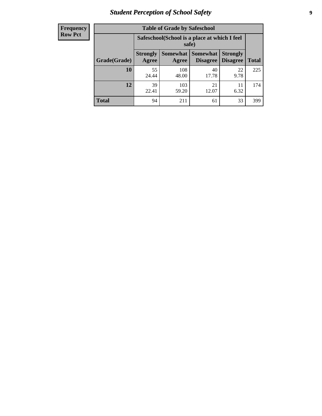# *Student Perception of School Safety* **9**

| <b>Frequency</b><br>Row Pct |
|-----------------------------|
|                             |

| <b>Table of Grade by Safeschool</b> |                          |                                                        |                                    |                                    |              |  |  |
|-------------------------------------|--------------------------|--------------------------------------------------------|------------------------------------|------------------------------------|--------------|--|--|
|                                     |                          | Safeschool (School is a place at which I feel<br>safe) |                                    |                                    |              |  |  |
| Grade(Grade)                        | <b>Strongly</b><br>Agree | <b>Somewhat</b><br>Agree                               | <b>Somewhat</b><br><b>Disagree</b> | <b>Strongly</b><br><b>Disagree</b> | <b>Total</b> |  |  |
| 10                                  | 55<br>24.44              | 108<br>48.00                                           | 40<br>17.78                        | 22<br>9.78                         | 225          |  |  |
| 12                                  | 39<br>22.41              | 103<br>59.20                                           | 21<br>12.07                        | 11<br>6.32                         | 174          |  |  |
| <b>Total</b>                        | 94                       | 211                                                    | 61                                 | 33                                 | 399          |  |  |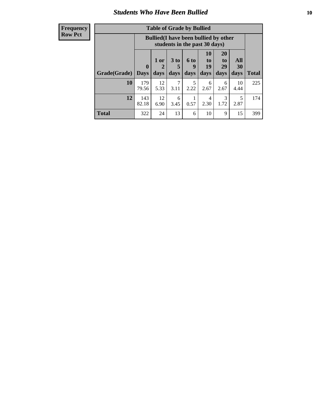### *Students Who Have Been Bullied* **10**

| <b>Frequency</b> |
|------------------|
| Row Pct          |

| <b>Table of Grade by Bullied</b> |                            |                                                                               |                              |                              |                               |                               |                   |       |
|----------------------------------|----------------------------|-------------------------------------------------------------------------------|------------------------------|------------------------------|-------------------------------|-------------------------------|-------------------|-------|
|                                  |                            | <b>Bullied</b> (I have been bullied by other<br>students in the past 30 days) |                              |                              |                               |                               |                   |       |
| Grade(Grade)                     | $\mathbf 0$<br><b>Days</b> | 1 or<br>$\mathbf{2}$<br>days                                                  | 3 <sub>to</sub><br>5<br>days | 6 <sub>to</sub><br>9<br>days | <b>10</b><br>to<br>19<br>days | <b>20</b><br>to<br>29<br>days | All<br>30<br>days | Total |
| 10                               | 179<br>79.56               | 12<br>5.33                                                                    | 7<br>3.11                    | 5<br>2.22                    | 6<br>2.67                     | 6<br>2.67                     | 10<br>4.44        | 225   |
| 12                               | 143<br>82.18               | 12<br>6.90                                                                    | 6<br>3.45                    | 0.57                         | 4<br>2.30                     | 3<br>1.72                     | 5<br>2.87         | 174   |
| <b>Total</b>                     | 322                        | 24                                                                            | 13                           | 6                            | 10                            | 9                             | 15                | 399   |

 $\blacksquare$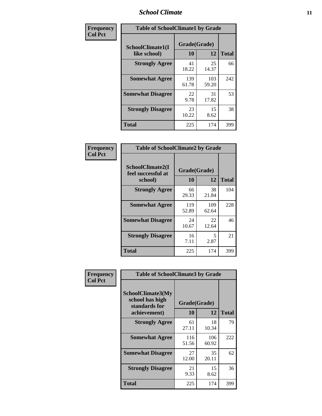### *School Climate* **11**

| <b>Frequency</b> | <b>Table of SchoolClimate1 by Grade</b> |                    |              |              |  |  |
|------------------|-----------------------------------------|--------------------|--------------|--------------|--|--|
| <b>Col Pct</b>   | SchoolClimate1(I<br>like school)        | Grade(Grade)<br>10 | 12           | <b>Total</b> |  |  |
|                  | <b>Strongly Agree</b>                   | 41<br>18.22        | 25<br>14.37  | 66           |  |  |
|                  | <b>Somewhat Agree</b>                   | 139<br>61.78       | 103<br>59.20 | 242          |  |  |
|                  | <b>Somewhat Disagree</b>                | 22<br>9.78         | 31<br>17.82  | 53           |  |  |
|                  | <b>Strongly Disagree</b>                | 23<br>10.22        | 15<br>8.62   | 38           |  |  |
|                  | <b>Total</b>                            | 225                | 174          | 399          |  |  |

| <b>Frequency</b> |
|------------------|
| <b>Col Pct</b>   |

| <b>Table of SchoolClimate2 by Grade</b>           |                    |              |              |  |  |
|---------------------------------------------------|--------------------|--------------|--------------|--|--|
| SchoolClimate2(I<br>feel successful at<br>school) | Grade(Grade)<br>10 | 12           | <b>Total</b> |  |  |
| <b>Strongly Agree</b>                             | 66<br>29.33        | 38<br>21.84  | 104          |  |  |
| <b>Somewhat Agree</b>                             | 119<br>52.89       | 109<br>62.64 | 228          |  |  |
| <b>Somewhat Disagree</b>                          | 24<br>10.67        | 22<br>12.64  | 46           |  |  |
| <b>Strongly Disagree</b>                          | 16<br>7.11         | 5<br>2.87    | 21           |  |  |
| <b>Total</b>                                      | 225                | 174          | 399          |  |  |

| Frequency      | <b>Table of SchoolClimate3 by Grade</b>                      |                          |              |              |  |  |
|----------------|--------------------------------------------------------------|--------------------------|--------------|--------------|--|--|
| <b>Col Pct</b> | <b>SchoolClimate3(My</b><br>school has high<br>standards for | Grade(Grade)<br>10<br>12 |              |              |  |  |
|                | achievement)                                                 |                          |              | <b>Total</b> |  |  |
|                | <b>Strongly Agree</b>                                        | 61<br>27.11              | 18<br>10.34  | 79           |  |  |
|                | <b>Somewhat Agree</b>                                        | 116<br>51.56             | 106<br>60.92 | 222          |  |  |
|                | <b>Somewhat Disagree</b>                                     | 27<br>12.00              | 35<br>20.11  | 62           |  |  |
|                | <b>Strongly Disagree</b>                                     | 21<br>9.33               | 15<br>8.62   | 36           |  |  |
|                | Total                                                        | 225                      | 174          | 399          |  |  |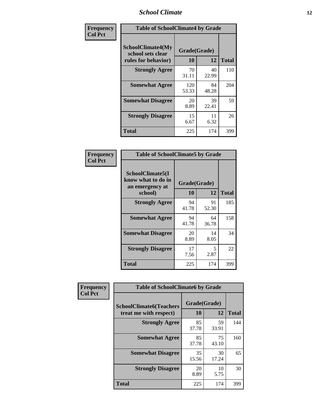### *School Climate* **12**

| Frequency      | <b>Table of SchoolClimate4 by Grade</b>                              |                    |             |              |  |
|----------------|----------------------------------------------------------------------|--------------------|-------------|--------------|--|
| <b>Col Pct</b> | <b>SchoolClimate4(My</b><br>school sets clear<br>rules for behavior) | Grade(Grade)<br>10 | 12          | <b>Total</b> |  |
|                | <b>Strongly Agree</b>                                                | 70<br>31.11        | 40<br>22.99 | 110          |  |
|                | <b>Somewhat Agree</b>                                                | 120<br>53.33       | 84<br>48.28 | 204          |  |
|                | <b>Somewhat Disagree</b>                                             | 20<br>8.89         | 39<br>22.41 | 59           |  |
|                | <b>Strongly Disagree</b>                                             | 15<br>6.67         | 11<br>6.32  | 26           |  |
|                | <b>Total</b>                                                         | 225                | 174         | 399          |  |

| <b>Table of SchoolClimate5 by Grade</b>                   |              |             |              |  |  |
|-----------------------------------------------------------|--------------|-------------|--------------|--|--|
| SchoolClimate5(I<br>know what to do in<br>an emergency at | Grade(Grade) |             |              |  |  |
| school)                                                   | 10           | 12          | <b>Total</b> |  |  |
| <b>Strongly Agree</b>                                     | 94<br>41.78  | 91<br>52.30 | 185          |  |  |
| <b>Somewhat Agree</b>                                     | 94<br>41.78  | 64<br>36.78 | 158          |  |  |
| <b>Somewhat Disagree</b>                                  | 20<br>8.89   | 14<br>8.05  | 34           |  |  |
| <b>Strongly Disagree</b>                                  | 17<br>7.56   | 5<br>2.87   | 22           |  |  |
| Total                                                     | 225          | 174         | 399          |  |  |

| Frequency      | <b>Table of SchoolClimate6 by Grade</b>                  |                    |             |              |  |  |
|----------------|----------------------------------------------------------|--------------------|-------------|--------------|--|--|
| <b>Col Pct</b> | <b>SchoolClimate6(Teachers</b><br>treat me with respect) | Grade(Grade)<br>10 | 12          | <b>Total</b> |  |  |
|                | <b>Strongly Agree</b>                                    | 85<br>37.78        | 59<br>33.91 | 144          |  |  |
|                | <b>Somewhat Agree</b>                                    | 85<br>37.78        | 75<br>43.10 | 160          |  |  |
|                | <b>Somewhat Disagree</b>                                 | 35<br>15.56        | 30<br>17.24 | 65           |  |  |
|                | <b>Strongly Disagree</b>                                 | 20<br>8.89         | 10<br>5.75  | 30           |  |  |
|                | <b>Total</b>                                             | 225                | 174         | 399          |  |  |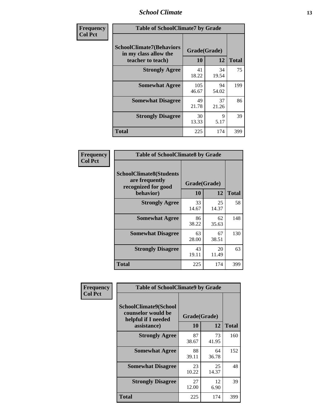### *School Climate* **13**

| Frequency      | <b>Table of SchoolClimate7 by Grade</b>                                       |                           |             |              |  |
|----------------|-------------------------------------------------------------------------------|---------------------------|-------------|--------------|--|
| <b>Col Pct</b> | <b>SchoolClimate7(Behaviors</b><br>in my class allow the<br>teacher to teach) | Grade(Grade)<br><b>10</b> | 12          | <b>Total</b> |  |
|                | <b>Strongly Agree</b>                                                         | 41<br>18.22               | 34<br>19.54 | 75           |  |
|                | <b>Somewhat Agree</b>                                                         | 105<br>46.67              | 94<br>54.02 | 199          |  |
|                | <b>Somewhat Disagree</b>                                                      | 49<br>21.78               | 37<br>21.26 | 86           |  |
|                | <b>Strongly Disagree</b>                                                      | 30<br>13.33               | 9<br>5.17   | 39           |  |
|                | <b>Total</b>                                                                  | 225                       | 174         | 399          |  |

| Frequency      | <b>Table of SchoolClimate8 by Grade</b>                                              |                    |             |              |  |  |
|----------------|--------------------------------------------------------------------------------------|--------------------|-------------|--------------|--|--|
| <b>Col Pct</b> | <b>SchoolClimate8(Students</b><br>are frequently<br>recognized for good<br>behavior) | Grade(Grade)<br>10 | 12          | <b>Total</b> |  |  |
|                | <b>Strongly Agree</b>                                                                | 33<br>14.67        | 25<br>14.37 | 58           |  |  |
|                | <b>Somewhat Agree</b>                                                                | 86<br>38.22        | 62<br>35.63 | 148          |  |  |
|                | <b>Somewhat Disagree</b>                                                             | 63<br>28.00        | 67<br>38.51 | 130          |  |  |
|                | <b>Strongly Disagree</b>                                                             | 43<br>19.11        | 20<br>11.49 | 63           |  |  |
|                | <b>Total</b>                                                                         | 225                | 174         | 399          |  |  |

| Frequency      | <b>Table of SchoolClimate9 by Grade</b>                                           |                    |             |              |  |
|----------------|-----------------------------------------------------------------------------------|--------------------|-------------|--------------|--|
| <b>Col Pct</b> | SchoolClimate9(School<br>counselor would be<br>helpful if I needed<br>assistance) | Grade(Grade)<br>10 | 12          | <b>Total</b> |  |
|                | <b>Strongly Agree</b>                                                             | 87<br>38.67        | 73<br>41.95 | 160          |  |
|                | <b>Somewhat Agree</b>                                                             | 88<br>39.11        | 64<br>36.78 | 152          |  |
|                | <b>Somewhat Disagree</b>                                                          | 23<br>10.22        | 25<br>14.37 | 48           |  |
|                | <b>Strongly Disagree</b>                                                          | 27<br>12.00        | 12<br>6.90  | 39           |  |
|                | <b>Total</b>                                                                      | 225                | 174         | 399          |  |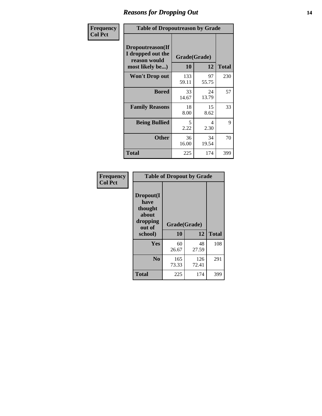### *Reasons for Dropping Out* **14**

| Frequency      | <b>Table of Dropoutreason by Grade</b>                                   |                    |             |              |
|----------------|--------------------------------------------------------------------------|--------------------|-------------|--------------|
| <b>Col Pct</b> | Dropoutreason(If<br>I dropped out the<br>reason would<br>most likely be) | Grade(Grade)<br>10 | 12          | <b>Total</b> |
|                | <b>Won't Drop out</b>                                                    | 133<br>59.11       | 97<br>55.75 | 230          |
|                | <b>Bored</b>                                                             | 33<br>14.67        | 24<br>13.79 | 57           |
|                | <b>Family Reasons</b>                                                    | 18<br>8.00         | 15<br>8.62  | 33           |
|                | <b>Being Bullied</b>                                                     | 5<br>2.22          | 4<br>2.30   | 9            |
|                | <b>Other</b>                                                             | 36<br>16.00        | 34<br>19.54 | 70           |
|                | <b>Total</b>                                                             | 225                | 174         | 399          |

| Frequency      | <b>Table of Dropout by Grade</b>                                       |                    |              |              |  |
|----------------|------------------------------------------------------------------------|--------------------|--------------|--------------|--|
| <b>Col Pct</b> | Dropout(I<br>have<br>thought<br>about<br>dropping<br>out of<br>school) | Grade(Grade)<br>10 | 12           | <b>Total</b> |  |
|                | Yes                                                                    | 60<br>26.67        | 48<br>27.59  | 108          |  |
|                | N <sub>0</sub>                                                         | 165<br>73.33       | 126<br>72.41 | 291          |  |
|                | <b>Total</b>                                                           | 225                | 174          | 399          |  |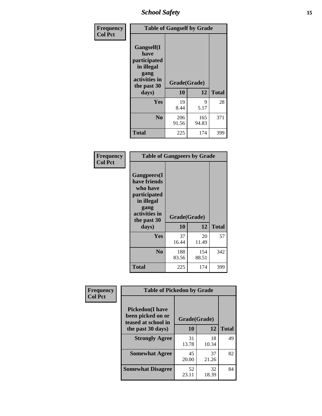*School Safety* **15**

| Frequency      | <b>Table of Gangself by Grade</b>                                                                 |                    |              |              |
|----------------|---------------------------------------------------------------------------------------------------|--------------------|--------------|--------------|
| <b>Col Pct</b> | Gangself(I<br>have<br>participated<br>in illegal<br>gang<br>activities in<br>the past 30<br>days) | Grade(Grade)<br>10 | 12           | <b>Total</b> |
|                | Yes                                                                                               | 19<br>8.44         | 9<br>5.17    | 28           |
|                | N <sub>o</sub>                                                                                    | 206<br>91.56       | 165<br>94.83 | 371          |
|                | <b>Total</b>                                                                                      | 225                | 174          | 399          |

| Frequency<br><b>Col Pct</b> | <b>Table of Gangpeers by Grade</b>                                                                                             |                    |              |              |  |  |  |
|-----------------------------|--------------------------------------------------------------------------------------------------------------------------------|--------------------|--------------|--------------|--|--|--|
|                             | <b>Gangpeers</b> (I<br>have friends<br>who have<br>participated<br>in illegal<br>gang<br>activities in<br>the past 30<br>days) | Grade(Grade)<br>10 | 12           | <b>Total</b> |  |  |  |
|                             | <b>Yes</b>                                                                                                                     | 37<br>16.44        | 20<br>11.49  | 57           |  |  |  |
|                             | N <sub>0</sub>                                                                                                                 | 188<br>83.56       | 154<br>88.51 | 342          |  |  |  |
|                             | <b>Total</b>                                                                                                                   | 225                | 174          | 399          |  |  |  |

| Frequency      |                                                                     | <b>Table of Pickedon by Grade</b> |             |              |  |  |  |  |  |
|----------------|---------------------------------------------------------------------|-----------------------------------|-------------|--------------|--|--|--|--|--|
| <b>Col Pct</b> | <b>Pickedon</b> (I have<br>been picked on or<br>teased at school in | Grade(Grade)                      |             |              |  |  |  |  |  |
|                | the past 30 days)                                                   | 10                                | 12          | <b>Total</b> |  |  |  |  |  |
|                | <b>Strongly Agree</b>                                               | 31<br>13.78                       | 18<br>10.34 | 49           |  |  |  |  |  |
|                | <b>Somewhat Agree</b>                                               | 45<br>20.00                       | 37<br>21.26 | 82           |  |  |  |  |  |
|                | <b>Somewhat Disagree</b>                                            | 52<br>23.11                       | 32<br>18.39 | 84           |  |  |  |  |  |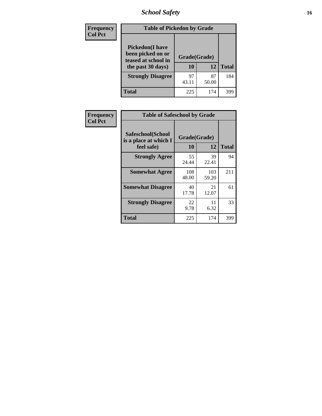*School Safety* **16**

| <b>Frequency</b> | <b>Table of Pickedon by Grade</b>                                                        |                    |             |              |
|------------------|------------------------------------------------------------------------------------------|--------------------|-------------|--------------|
| <b>Col Pct</b>   | <b>Pickedon</b> (I have<br>been picked on or<br>teased at school in<br>the past 30 days) | Grade(Grade)<br>10 | 12          | <b>Total</b> |
|                  | <b>Strongly Disagree</b>                                                                 | 97<br>43.11        | 87<br>50.00 | 184          |
|                  | Total                                                                                    | 225                | 174         | 399          |

| Frequency      |                                                          | <b>Table of Safeschool by Grade</b> |              |              |  |  |  |  |  |  |
|----------------|----------------------------------------------------------|-------------------------------------|--------------|--------------|--|--|--|--|--|--|
| <b>Col Pct</b> | Safeschool(School<br>is a place at which I<br>feel safe) | Grade(Grade)<br>10                  | 12           | <b>Total</b> |  |  |  |  |  |  |
|                | <b>Strongly Agree</b>                                    | 55<br>24.44                         | 39<br>22.41  | 94           |  |  |  |  |  |  |
|                | <b>Somewhat Agree</b>                                    | 108<br>48.00                        | 103<br>59.20 | 211          |  |  |  |  |  |  |
|                | <b>Somewhat Disagree</b>                                 | 40<br>17.78                         | 21<br>12.07  | 61           |  |  |  |  |  |  |
|                | <b>Strongly Disagree</b>                                 | 22<br>9.78                          | 11<br>6.32   | 33           |  |  |  |  |  |  |
|                | <b>Total</b>                                             | 225                                 | 174          | 399          |  |  |  |  |  |  |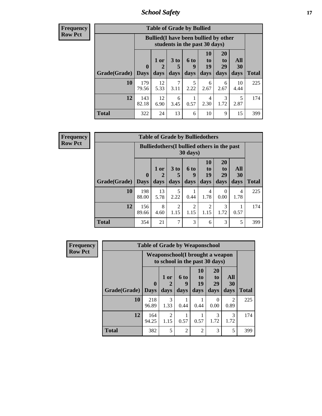*School Safety* **17**

**Frequency Row Pct**

| <b>Table of Grade by Bullied</b> |              |                                                                               |                              |                   |                        |                               |                          |              |
|----------------------------------|--------------|-------------------------------------------------------------------------------|------------------------------|-------------------|------------------------|-------------------------------|--------------------------|--------------|
|                                  |              | <b>Bullied</b> (I have been bullied by other<br>students in the past 30 days) |                              |                   |                        |                               |                          |              |
| <b>Grade</b> (Grade)   Days      | $\mathbf{0}$ | 1 or<br>days                                                                  | 3 <sub>to</sub><br>5<br>days | 6 to<br>g<br>days | 10<br>to<br>19<br>days | <b>20</b><br>to<br>29<br>days | All<br><b>30</b><br>days | <b>Total</b> |
| 10                               | 179<br>79.56 | 12<br>5.33                                                                    | 7<br>3.11                    | 5<br>2.22         | 6<br>2.67              | 6<br>2.67                     | 10<br>4.44               | 225          |
| 12                               | 143<br>82.18 | 12<br>6.90                                                                    | 6<br>3.45                    | 0.57              | 4<br>2.30              | 3<br>1.72                     | 5<br>2.87                | 174          |
| Total                            | 322          | 24                                                                            | 13                           | 6                 | 10                     | 9                             | 15                       | 399          |

| <b>Frequency</b> |
|------------------|
| <b>Row Pct</b>   |

| <b>Table of Grade by Bulliedothers</b> |                        |                                                                |                              |                        |                               |                               |                   |              |  |
|----------------------------------------|------------------------|----------------------------------------------------------------|------------------------------|------------------------|-------------------------------|-------------------------------|-------------------|--------------|--|
|                                        |                        | <b>Bulliedothers</b> (I bullied others in the past<br>30 days) |                              |                        |                               |                               |                   |              |  |
| Grade(Grade)                           | $\mathbf{0}$<br>  Days | 1 or<br>days                                                   | 3 <sub>to</sub><br>5<br>days | 6 to<br>q<br>days      | <b>10</b><br>to<br>19<br>days | <b>20</b><br>to<br>29<br>days | All<br>30<br>days | <b>Total</b> |  |
| 10                                     | 198<br>88.00           | 13<br>5.78                                                     | 5<br>2.22                    | 0.44                   | 4<br>1.78                     | 0<br>0.00                     | 4<br>1.78         | 225          |  |
| 12                                     | 156<br>89.66           | 8<br>4.60                                                      | 2<br>1.15                    | $\mathfrak{D}$<br>1.15 | 2<br>1.15                     | 3<br>1.72                     | 0.57              | 174          |  |
| <b>Total</b>                           | 354                    | 21                                                             | 7                            | 3                      | 6                             | 3                             | 5                 | 399          |  |

| <b>Frequency</b> | <b>Table of Grade by Weaponschool</b> |                         |                                                                    |                   |                               |                                           |                   |              |  |
|------------------|---------------------------------------|-------------------------|--------------------------------------------------------------------|-------------------|-------------------------------|-------------------------------------------|-------------------|--------------|--|
| <b>Row Pct</b>   |                                       |                         | Weaponschool (I brought a weapon<br>to school in the past 30 days) |                   |                               |                                           |                   |              |  |
|                  | Grade(Grade)                          | $\bf{0}$<br><b>Days</b> | 1 or<br>days                                                       | 6 to<br>4<br>days | <b>10</b><br>to<br>19<br>days | <b>20</b><br>t <sub>0</sub><br>29<br>days | All<br>30<br>days | <b>Total</b> |  |
|                  | 10                                    | 218<br>96.89            | $\mathcal{R}$<br>1.33                                              | 0.44              | 0.44                          | 0<br>0.00                                 | 2<br>0.89         | 225          |  |
|                  | 12                                    | 164<br>94.25            | $\mathfrak{D}$<br>1.15                                             | 0.57              | 0.57                          | $\mathcal{F}$<br>1.72                     | 3<br>1.72         | 174          |  |
|                  | <b>Total</b>                          | 382                     | 5                                                                  | $\mathfrak{D}$    | $\mathfrak{D}$                | 3                                         | 5                 | 399          |  |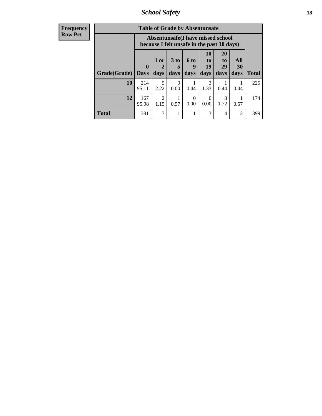*School Safety* **18**

| <b>Frequency</b> | <b>Table of Grade by Absentunsafe</b> |                                                                                 |                        |                      |                  |                  |                       |                |              |
|------------------|---------------------------------------|---------------------------------------------------------------------------------|------------------------|----------------------|------------------|------------------|-----------------------|----------------|--------------|
| <b>Row Pct</b>   |                                       | Absentunsafe(I have missed school<br>because I felt unsafe in the past 30 days) |                        |                      |                  |                  |                       |                |              |
|                  |                                       | $\mathbf{0}$                                                                    | 1 or<br>2              | 3 <sub>to</sub><br>5 | 6 to<br>y        | 10<br>to<br>19   | <b>20</b><br>to<br>29 | All<br>30      |              |
|                  | Grade(Grade)                          | <b>Days</b>                                                                     | days                   | days                 | days             | days             | days                  | days           | <b>Total</b> |
|                  | 10                                    | 214<br>95.11                                                                    | 5<br>2.22              | $\Omega$<br>0.00     | 0.44             | 3<br>1.33        | 0.44                  | 0.44           | 225          |
|                  | 12                                    | 167<br>95.98                                                                    | $\overline{2}$<br>1.15 | 0.57                 | $\Omega$<br>0.00 | $\Omega$<br>0.00 | 3<br>1.72             | 0.57           | 174          |
|                  | <b>Total</b>                          | 381                                                                             | 7                      |                      |                  | 3                | $\overline{4}$        | $\overline{c}$ | 399          |
|                  |                                       |                                                                                 |                        |                      |                  |                  |                       |                |              |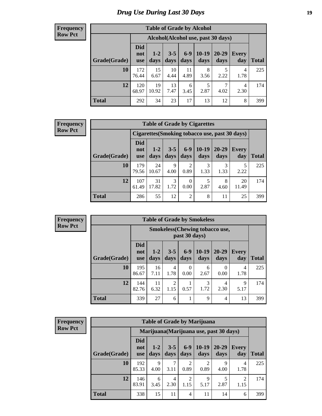# *Drug Use During Last 30 Days* **19**

#### **Frequency Row Pct**

| <b>Table of Grade by Alcohol</b> |                                 |               |                 |               |                 |                                     |                     |       |
|----------------------------------|---------------------------------|---------------|-----------------|---------------|-----------------|-------------------------------------|---------------------|-------|
|                                  |                                 |               |                 |               |                 | Alcohol (Alcohol use, past 30 days) |                     |       |
| Grade(Grade)                     | <b>Did</b><br>not<br><b>use</b> | $1-2$<br>days | $3 - 5$<br>days | $6-9$<br>days | $10-19$<br>days | $20 - 29$<br>days                   | <b>Every</b><br>day | Total |
| 10                               | 172<br>76.44                    | 15<br>6.67    | 10<br>4.44      | 11<br>4.89    | 8<br>3.56       | 5<br>2.22                           | 4<br>1.78           | 225   |
| 12                               | 120<br>68.97                    | 19<br>10.92   | 13<br>7.47      | 6<br>3.45     | 5<br>2.87       | 7<br>4.02                           | 4<br>2.30           | 174   |
| <b>Total</b>                     | 292                             | 34            | 23              | 17            | 13              | 12                                  | 8                   | 399   |

#### **Frequency Row Pct**

| <b>Table of Grade by Cigarettes</b> |                                 |                                                                                                                         |           |                        |           |           |                                                |     |
|-------------------------------------|---------------------------------|-------------------------------------------------------------------------------------------------------------------------|-----------|------------------------|-----------|-----------|------------------------------------------------|-----|
|                                     |                                 |                                                                                                                         |           |                        |           |           | Cigarettes (Smoking tobacco use, past 30 days) |     |
| Grade(Grade)                        | <b>Did</b><br>not<br><b>use</b> | $6-9$<br>10-19<br>$1-2$<br>$3 - 5$<br>$20 - 29$<br><b>Every</b><br>days<br>day<br>days<br>days<br>Total<br>days<br>days |           |                        |           |           |                                                |     |
| 10                                  | 179<br>79.56                    | 24<br>10.67                                                                                                             | 9<br>4.00 | $\overline{2}$<br>0.89 | 3<br>1.33 | 3<br>1.33 | 2.22                                           | 225 |
| 12                                  | 107<br>61.49                    | 31<br>17.82                                                                                                             | 3<br>1.72 | $\Omega$<br>0.00       | 2.87      | 8<br>4.60 | 20<br>11.49                                    | 174 |
| <b>Total</b>                        | 286                             | 55                                                                                                                      | 12        | $\overline{2}$         | 8         | 11        | 25                                             | 399 |

| <b>Frequency</b> |
|------------------|
| <b>Row Pct</b>   |

Ť

| <b>Table of Grade by Smokeless</b> |                                 |                                                                                                                             |                        |                  |           |           |           |     |  |  |
|------------------------------------|---------------------------------|-----------------------------------------------------------------------------------------------------------------------------|------------------------|------------------|-----------|-----------|-----------|-----|--|--|
|                                    |                                 | <b>Smokeless</b> (Chewing tobaccouse,<br>past 30 days)                                                                      |                        |                  |           |           |           |     |  |  |
| Grade(Grade)                       | <b>Did</b><br>not<br><b>use</b> | $10-19$<br>$20 - 29$<br>$3 - 5$<br>$6-9$<br>$1 - 2$<br>Every<br><b>Total</b><br>days<br>days<br>days<br>days<br>day<br>days |                        |                  |           |           |           |     |  |  |
| 10                                 | 195<br>86.67                    | 16<br>7.11                                                                                                                  | 4<br>1.78              | $\Omega$<br>0.00 | 6<br>2.67 | 0<br>0.00 | 4<br>1.78 | 225 |  |  |
| 12                                 | 144<br>82.76                    | 11<br>6.32                                                                                                                  | $\overline{2}$<br>1.15 | 0.57             | 3<br>1.72 | 4<br>2.30 | 9<br>5.17 | 174 |  |  |
| <b>Total</b>                       | 339                             | 27                                                                                                                          | 6                      |                  | 9         | 4         | 13        | 399 |  |  |

| <b>Frequency</b> |
|------------------|
| <b>Row Pct</b>   |

| <b>Table of Grade by Marijuana</b> |                                 |                                                                                                                      |           |                        |                        |           |           |     |  |  |  |
|------------------------------------|---------------------------------|----------------------------------------------------------------------------------------------------------------------|-----------|------------------------|------------------------|-----------|-----------|-----|--|--|--|
|                                    |                                 | Marijuana (Marijuana use, past 30 days)                                                                              |           |                        |                        |           |           |     |  |  |  |
| Grade(Grade)                       | <b>Did</b><br>not<br><b>use</b> | $10-19$<br>$6-9$<br>$20 - 29$<br>$3 - 5$<br>$1 - 2$<br>Every<br>days<br>days<br>days<br>day<br>days<br>Total<br>days |           |                        |                        |           |           |     |  |  |  |
| 10                                 | 192<br>85.33                    | 9<br>4.00                                                                                                            | 7<br>3.11 | 2<br>0.89              | $\mathfrak{D}$<br>0.89 | 9<br>4.00 | 4<br>1.78 | 225 |  |  |  |
| 12                                 | 146<br>83.91                    | 6<br>3.45                                                                                                            | 4<br>2.30 | $\overline{2}$<br>1.15 | 9<br>5.17              | 5<br>2.87 | 2<br>1.15 | 174 |  |  |  |
| <b>Total</b>                       | 338                             | 15                                                                                                                   | 11        | $\overline{4}$         | 11                     | 14        | 6         | 399 |  |  |  |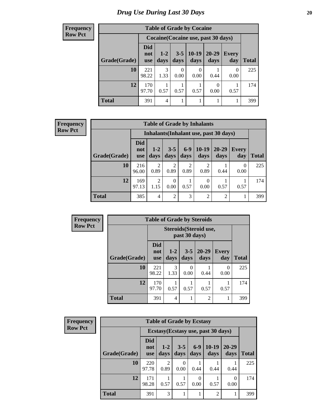#### **Frequency Row Pct**

| <b>Table of Grade by Cocaine</b> |                          |                                     |                 |                  |                   |                     |              |  |  |  |
|----------------------------------|--------------------------|-------------------------------------|-----------------|------------------|-------------------|---------------------|--------------|--|--|--|
|                                  |                          | Cocaine (Cocaine use, past 30 days) |                 |                  |                   |                     |              |  |  |  |
| Grade(Grade)                     | Did<br>not<br><b>use</b> | $1 - 2$<br>days                     | $3 - 5$<br>days | $10-19$<br>days  | $20 - 29$<br>days | <b>Every</b><br>day | <b>Total</b> |  |  |  |
| 10                               | 221<br>98.22             | 3<br>1.33                           | 0.00            | $\Omega$<br>0.00 | 0.44              | 0<br>0.00           | 225          |  |  |  |
| 12                               | 170<br>97.70             | 0.57                                | 0.57            | 0.57             | 0.00              | 0.57                | 174          |  |  |  |
| <b>Total</b>                     | 391                      | 4                                   |                 |                  |                   |                     | 399          |  |  |  |

#### **Frequency Row Pct**

| <b>Table of Grade by Inhalants</b> |                                 |                                                                                                                               |                |           |                |      |           |     |  |  |  |
|------------------------------------|---------------------------------|-------------------------------------------------------------------------------------------------------------------------------|----------------|-----------|----------------|------|-----------|-----|--|--|--|
|                                    |                                 | Inhalants (Inhalant use, past 30 days)                                                                                        |                |           |                |      |           |     |  |  |  |
| Grade(Grade)                       | <b>Did</b><br>not<br><b>use</b> | $6 - 9$<br>$10-19$<br>$20 - 29$<br>$3 - 5$<br>$1 - 2$<br><b>Every</b><br>days<br>days<br>days<br>days<br>day<br>Total<br>days |                |           |                |      |           |     |  |  |  |
| 10                                 | 216<br>96.00                    | 2<br>0.89                                                                                                                     | 2<br>0.89      | 2<br>0.89 | 2<br>0.89      | 0.44 | 0<br>0.00 | 225 |  |  |  |
| 12                                 | 169<br>97.13                    | っ<br>1.15                                                                                                                     | 0<br>0.00      | 0.57      | 0<br>0.00      | 0.57 | 0.57      | 174 |  |  |  |
| <b>Total</b>                       | 385                             | 4                                                                                                                             | $\overline{2}$ | 3         | $\overline{2}$ | 2    |           | 399 |  |  |  |

| <b>Frequency</b> |              | <b>Table of Grade by Steroids</b> |                 |                 |                        |                     |              |  |  |  |
|------------------|--------------|-----------------------------------|-----------------|-----------------|------------------------|---------------------|--------------|--|--|--|
| <b>Row Pct</b>   |              |                                   |                 | past 30 days)   | Steroids (Steroid use, |                     |              |  |  |  |
|                  | Grade(Grade) | <b>Did</b><br>not<br><b>use</b>   | $1 - 2$<br>days | $3 - 5$<br>days | $20 - 29$<br>days      | <b>Every</b><br>day | <b>Total</b> |  |  |  |
|                  | 10           | 221<br>98.22                      | 3<br>1.33       | 0<br>0.00       | 0.44                   | $\Omega$<br>0.00    | 225          |  |  |  |
|                  | 12           | 170<br>97.70                      | 0.57            | 0.57            | 0.57                   | 0.57                | 174          |  |  |  |
|                  | <b>Total</b> | 391                               | 4               |                 | $\mathfrak{D}$         |                     | 399          |  |  |  |

| <b>Frequency</b> |              | <b>Table of Grade by Ecstasy</b>    |                        |                 |               |                 |                   |              |  |  |  |
|------------------|--------------|-------------------------------------|------------------------|-----------------|---------------|-----------------|-------------------|--------------|--|--|--|
| <b>Row Pct</b>   |              | Ecstasy (Ecstasy use, past 30 days) |                        |                 |               |                 |                   |              |  |  |  |
|                  | Grade(Grade) | <b>Did</b><br>not<br>use            | $1-2$<br>days          | $3 - 5$<br>days | $6-9$<br>days | $10-19$<br>days | $20 - 29$<br>days | <b>Total</b> |  |  |  |
|                  | 10           | 220<br>97.78                        | $\mathfrak{D}$<br>0.89 | 0.00            | 0.44          | 0.44            | 0.44              | 225          |  |  |  |
|                  | 12           | 171<br>98.28                        | 0.57                   | 0.57            | 0<br>0.00     | 0.57            | 0<br>0.00         | 174          |  |  |  |
|                  | <b>Total</b> | 391                                 | 3                      |                 |               | 2               |                   | 399          |  |  |  |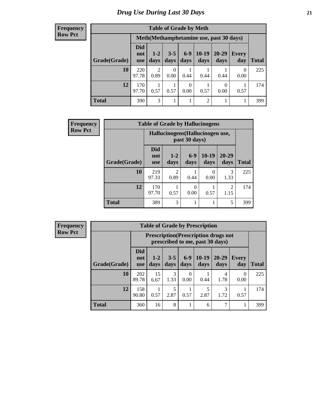#### **Frequency Row Pct**

| <b>Table of Grade by Meth</b> |                                 |                                                                                                                                  |           |                        |                |           |           |     |  |  |  |
|-------------------------------|---------------------------------|----------------------------------------------------------------------------------------------------------------------------------|-----------|------------------------|----------------|-----------|-----------|-----|--|--|--|
|                               |                                 | Meth(Methamphetamine use, past 30 days)                                                                                          |           |                        |                |           |           |     |  |  |  |
| Grade(Grade)                  | <b>Did</b><br>not<br><b>use</b> | $10-19$<br>$6 - 9$<br>20-29<br>$3 - 5$<br>$1 - 2$<br><b>Every</b><br>days<br><b>Total</b><br>days<br>days<br>days<br>day<br>days |           |                        |                |           |           |     |  |  |  |
| 10                            | 220<br>97.78                    | $\overline{2}$<br>0.89                                                                                                           | 0<br>0.00 | 0.44                   | 0.44           | 0.44      | 0<br>0.00 | 225 |  |  |  |
| 12                            | 170<br>97.70                    | 0.57                                                                                                                             | 0.57      | $\overline{0}$<br>0.00 | 0.57           | 0<br>0.00 | 0.57      | 174 |  |  |  |
| <b>Total</b>                  | 390                             | 3                                                                                                                                |           | ı                      | $\overline{2}$ |           |           | 399 |  |  |  |

| <b>Frequency</b> | <b>Table of Grade by Hallucinogens</b> |                                 |                 |                                                   |                 |                        |              |  |  |  |  |  |
|------------------|----------------------------------------|---------------------------------|-----------------|---------------------------------------------------|-----------------|------------------------|--------------|--|--|--|--|--|
| <b>Row Pct</b>   |                                        |                                 |                 | Hallucinogens (Hallucinogen use,<br>past 30 days) |                 |                        |              |  |  |  |  |  |
|                  | Grade(Grade)                           | <b>Did</b><br>not<br><b>use</b> | $1 - 2$<br>days | $6-9$<br>days                                     | $10-19$<br>days | $20 - 29$<br>days      | <b>Total</b> |  |  |  |  |  |
|                  | 10                                     | 219<br>97.33                    | 2<br>0.89       | 0.44                                              | 0<br>0.00       | 3<br>1.33              | 225          |  |  |  |  |  |
|                  | 12                                     | 170<br>97.70                    | 0.57            | 0.00                                              | 0.57            | $\overline{2}$<br>1.15 | 174          |  |  |  |  |  |
|                  | <b>Total</b>                           | 389                             | 3               |                                                   |                 | 5                      | 399          |  |  |  |  |  |

| Frequency      |              | <b>Table of Grade by Prescription</b> |                 |                 |               |                                                                                |                   |                     |              |  |
|----------------|--------------|---------------------------------------|-----------------|-----------------|---------------|--------------------------------------------------------------------------------|-------------------|---------------------|--------------|--|
| <b>Row Pct</b> |              |                                       |                 |                 |               | <b>Prescription</b> (Prescription drugs not<br>prescribed to me, past 30 days) |                   |                     |              |  |
|                | Grade(Grade) | <b>Did</b><br>not<br><b>use</b>       | $1 - 2$<br>days | $3 - 5$<br>days | $6-9$<br>days | $10-19$<br>days                                                                | $20 - 29$<br>days | <b>Every</b><br>day | <b>Total</b> |  |
|                | 10           | 202<br>89.78                          | 15<br>6.67      | 3<br>1.33       | 0.00          | 0.44                                                                           | 4<br>1.78         | 0<br>0.00           | 225          |  |
|                | 12           | 158<br>90.80                          | 0.57            | 5<br>2.87       | 0.57          | 5<br>2.87                                                                      | 3<br>1.72         | 0.57                | 174          |  |
|                | <b>Total</b> | 360                                   | 16              | 8               |               | 6                                                                              | 7                 |                     | 399          |  |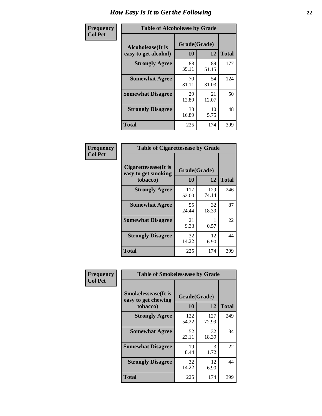| Frequency      | <b>Table of Alcoholease by Grade</b>              |                    |             |              |  |  |  |  |  |  |
|----------------|---------------------------------------------------|--------------------|-------------|--------------|--|--|--|--|--|--|
| <b>Col Pct</b> | <b>Alcoholease</b> (It is<br>easy to get alcohol) | Grade(Grade)<br>10 | 12          | <b>Total</b> |  |  |  |  |  |  |
|                | <b>Strongly Agree</b>                             | 88<br>39.11        | 89<br>51.15 | 177          |  |  |  |  |  |  |
|                | <b>Somewhat Agree</b>                             | 70<br>31.11        | 54<br>31.03 | 124          |  |  |  |  |  |  |
|                | <b>Somewhat Disagree</b>                          | 29<br>12.89        | 21<br>12.07 | 50           |  |  |  |  |  |  |
|                | <b>Strongly Disagree</b>                          | 38<br>16.89        | 10<br>5.75  | 48           |  |  |  |  |  |  |
|                | <b>Total</b>                                      | 225                | 174         | 399          |  |  |  |  |  |  |

| Frequency<br>Col Pct |
|----------------------|

| <b>Table of Cigarettesease by Grade</b>                 |                    |              |              |  |  |  |  |
|---------------------------------------------------------|--------------------|--------------|--------------|--|--|--|--|
| Cigarettesease(It is<br>easy to get smoking<br>tobacco) | Grade(Grade)<br>10 | 12           | <b>Total</b> |  |  |  |  |
| <b>Strongly Agree</b>                                   | 117<br>52.00       | 129<br>74.14 | 246          |  |  |  |  |
| <b>Somewhat Agree</b>                                   | 55<br>24.44        | 32<br>18.39  | 87           |  |  |  |  |
| <b>Somewhat Disagree</b>                                | 21<br>9.33         | 0.57         | 22           |  |  |  |  |
| <b>Strongly Disagree</b>                                | 32<br>14.22        | 12<br>6.90   | 44           |  |  |  |  |
| <b>Total</b>                                            | 225                | 174          | 399          |  |  |  |  |

| Frequency      | <b>Table of Smokelessease by Grade</b>             |              |              |              |  |  |  |  |  |  |
|----------------|----------------------------------------------------|--------------|--------------|--------------|--|--|--|--|--|--|
| <b>Col Pct</b> | <b>Smokelessease</b> (It is<br>easy to get chewing | Grade(Grade) |              |              |  |  |  |  |  |  |
|                | tobacco)                                           | 10           | 12           | <b>Total</b> |  |  |  |  |  |  |
|                | <b>Strongly Agree</b>                              | 122<br>54.22 | 127<br>72.99 | 249          |  |  |  |  |  |  |
|                | <b>Somewhat Agree</b>                              | 52<br>23.11  | 32<br>18.39  | 84           |  |  |  |  |  |  |
|                | <b>Somewhat Disagree</b>                           | 19<br>8.44   | 3<br>1.72    | 22           |  |  |  |  |  |  |
|                | <b>Strongly Disagree</b>                           | 32<br>14.22  | 12<br>6.90   | 44           |  |  |  |  |  |  |
|                | <b>Total</b>                                       | 225          | 174          | 399          |  |  |  |  |  |  |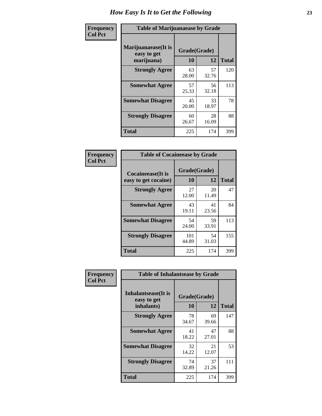| Frequency      | <b>Table of Marijuanaease by Grade</b>           |                    |             |              |  |  |  |  |
|----------------|--------------------------------------------------|--------------------|-------------|--------------|--|--|--|--|
| <b>Col Pct</b> | Marijuanaease(It is<br>easy to get<br>marijuana) | Grade(Grade)<br>10 | 12          | <b>Total</b> |  |  |  |  |
|                | <b>Strongly Agree</b>                            | 63<br>28.00        | 57<br>32.76 | 120          |  |  |  |  |
|                | <b>Somewhat Agree</b>                            | 57<br>25.33        | 56<br>32.18 | 113          |  |  |  |  |
|                | <b>Somewhat Disagree</b>                         | 45<br>20.00        | 33<br>18.97 | 78           |  |  |  |  |
|                | <b>Strongly Disagree</b>                         | 60<br>26.67        | 28<br>16.09 | 88           |  |  |  |  |
|                | <b>Total</b>                                     | 225                | 174         | 399          |  |  |  |  |

| <b>Table of Cocaineease by Grade</b>              |                    |                   |     |  |  |  |  |
|---------------------------------------------------|--------------------|-------------------|-----|--|--|--|--|
| <b>Cocaineease</b> (It is<br>easy to get cocaine) | Grade(Grade)<br>10 | <b>Total</b>      |     |  |  |  |  |
| <b>Strongly Agree</b>                             | 27<br>12.00        | 12<br>20<br>11.49 | 47  |  |  |  |  |
| <b>Somewhat Agree</b>                             | 43<br>19.11        | 41<br>23.56       | 84  |  |  |  |  |
| <b>Somewhat Disagree</b>                          | 54<br>24.00        | 59<br>33.91       | 113 |  |  |  |  |
| <b>Strongly Disagree</b>                          | 101<br>44.89       | 54<br>31.03       | 155 |  |  |  |  |
| <b>Total</b>                                      | 225                | 174               | 399 |  |  |  |  |

| Frequency      | <b>Table of Inhalantsease by Grade</b>     |              |             |              |  |  |  |  |  |  |
|----------------|--------------------------------------------|--------------|-------------|--------------|--|--|--|--|--|--|
| <b>Col Pct</b> | <b>Inhalantsease</b> (It is<br>easy to get | Grade(Grade) |             |              |  |  |  |  |  |  |
|                | inhalants)                                 | 10           | 12          | <b>Total</b> |  |  |  |  |  |  |
|                | <b>Strongly Agree</b>                      | 78<br>34.67  | 69<br>39.66 | 147          |  |  |  |  |  |  |
|                | <b>Somewhat Agree</b>                      | 41<br>18.22  | 47<br>27.01 | 88           |  |  |  |  |  |  |
|                | <b>Somewhat Disagree</b>                   | 32<br>14.22  | 21<br>12.07 | 53           |  |  |  |  |  |  |
|                | <b>Strongly Disagree</b>                   | 74<br>32.89  | 37<br>21.26 | 111          |  |  |  |  |  |  |
|                | <b>Total</b>                               | 225          | 174         | 399          |  |  |  |  |  |  |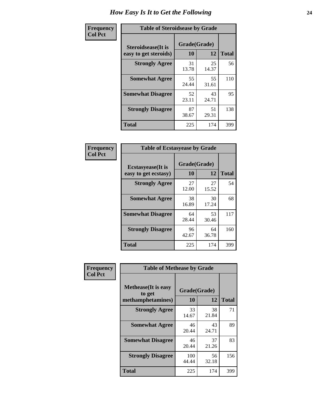| Frequency      | <b>Table of Steroidsease by Grade</b>               |                    |              |     |  |  |  |  |
|----------------|-----------------------------------------------------|--------------------|--------------|-----|--|--|--|--|
| <b>Col Pct</b> | <b>Steroidsease</b> (It is<br>easy to get steroids) | Grade(Grade)<br>10 | <b>Total</b> |     |  |  |  |  |
|                | <b>Strongly Agree</b>                               | 31<br>13.78        | 25<br>14.37  | 56  |  |  |  |  |
|                | <b>Somewhat Agree</b>                               | 55<br>24.44        | 55<br>31.61  | 110 |  |  |  |  |
|                | <b>Somewhat Disagree</b>                            | 52<br>23.11        | 43<br>24.71  | 95  |  |  |  |  |
|                | <b>Strongly Disagree</b>                            | 87<br>38.67        | 51<br>29.31  | 138 |  |  |  |  |
|                | <b>Total</b>                                        | 225                | 174          | 399 |  |  |  |  |

| Frequency      | <b>Table of Ecstasyease by Grade</b>              |                    |              |     |  |  |  |  |  |
|----------------|---------------------------------------------------|--------------------|--------------|-----|--|--|--|--|--|
| <b>Col Pct</b> | <b>Ecstasyease</b> (It is<br>easy to get ecstasy) | Grade(Grade)<br>10 | <b>Total</b> |     |  |  |  |  |  |
|                | <b>Strongly Agree</b>                             | 27<br>12.00        | 27<br>15.52  | 54  |  |  |  |  |  |
|                | <b>Somewhat Agree</b>                             | 38<br>16.89        | 30<br>17.24  | 68  |  |  |  |  |  |
|                | <b>Somewhat Disagree</b>                          | 64<br>28.44        | 53<br>30.46  | 117 |  |  |  |  |  |
|                | <b>Strongly Disagree</b>                          | 96<br>42.67        | 64<br>36.78  | 160 |  |  |  |  |  |
|                | <b>Total</b>                                      | 225                | 174          | 399 |  |  |  |  |  |

| Frequency      | <b>Table of Methease by Grade</b>                          |                    |             |              |  |  |  |  |
|----------------|------------------------------------------------------------|--------------------|-------------|--------------|--|--|--|--|
| <b>Col Pct</b> | <b>Methease</b> (It is easy<br>to get<br>methamphetamines) | Grade(Grade)<br>10 | 12          | <b>Total</b> |  |  |  |  |
|                | <b>Strongly Agree</b>                                      | 33<br>14.67        | 38<br>21.84 | 71           |  |  |  |  |
|                | <b>Somewhat Agree</b>                                      | 46<br>20.44        | 43<br>24.71 | 89           |  |  |  |  |
|                | <b>Somewhat Disagree</b>                                   | 46<br>20.44        | 37<br>21.26 | 83           |  |  |  |  |
|                | <b>Strongly Disagree</b>                                   | 100<br>44.44       | 56<br>32.18 | 156          |  |  |  |  |
|                | Total                                                      | 225                | 174         | 399          |  |  |  |  |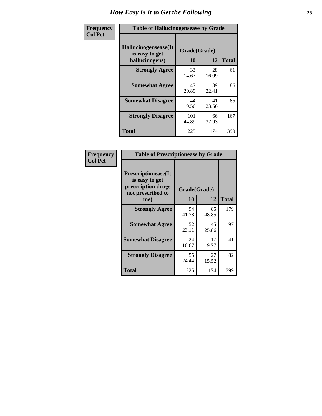| <b>Frequency</b> | <b>Table of Hallucinogensease by Grade</b>                                           |              |             |     |  |  |  |  |  |
|------------------|--------------------------------------------------------------------------------------|--------------|-------------|-----|--|--|--|--|--|
| <b>Col Pct</b>   | Hallucinogensease(It<br>Grade(Grade)<br>is easy to get<br>10<br>12<br>hallucinogens) |              |             |     |  |  |  |  |  |
|                  | <b>Strongly Agree</b>                                                                | 33<br>14.67  | 28<br>16.09 | 61  |  |  |  |  |  |
|                  | <b>Somewhat Agree</b>                                                                | 47<br>20.89  | 39<br>22.41 | 86  |  |  |  |  |  |
|                  | <b>Somewhat Disagree</b>                                                             | 44<br>19.56  | 41<br>23.56 | 85  |  |  |  |  |  |
|                  | <b>Strongly Disagree</b>                                                             | 101<br>44.89 | 66<br>37.93 | 167 |  |  |  |  |  |
|                  | <b>Total</b>                                                                         | 225          | 174         | 399 |  |  |  |  |  |

| Frequency<br>  Col Pct |
|------------------------|

| <b>Table of Prescriptionease by Grade</b>                                                |              |             |              |  |  |  |  |
|------------------------------------------------------------------------------------------|--------------|-------------|--------------|--|--|--|--|
| <b>Prescriptionease</b> (It<br>is easy to get<br>prescription drugs<br>not prescribed to | Grade(Grade) |             |              |  |  |  |  |
| me)                                                                                      | 10           | 12          | <b>Total</b> |  |  |  |  |
| <b>Strongly Agree</b>                                                                    | 94<br>41.78  | 85<br>48.85 | 179          |  |  |  |  |
| <b>Somewhat Agree</b>                                                                    | 52<br>23.11  | 45<br>25.86 | 97           |  |  |  |  |
| <b>Somewhat Disagree</b>                                                                 | 24<br>10.67  | 17<br>9.77  | 41           |  |  |  |  |
| <b>Strongly Disagree</b>                                                                 | 55<br>24.44  | 27<br>15.52 | 82           |  |  |  |  |
| Total                                                                                    | 225          | 174         | 399          |  |  |  |  |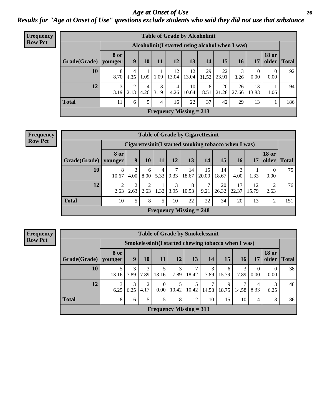*Age at Onset of Use* **26** *Results for "Age at Onset of Use" questions exclude students who said they did not use that substance*

| <b>Frequency</b> |              |                 | <b>Table of Grade by Alcoholinit</b>             |           |           |             |                           |             |             |             |                  |                       |              |
|------------------|--------------|-----------------|--------------------------------------------------|-----------|-----------|-------------|---------------------------|-------------|-------------|-------------|------------------|-----------------------|--------------|
| <b>Row Pct</b>   |              |                 | Alcoholinit (I started using alcohol when I was) |           |           |             |                           |             |             |             |                  |                       |              |
|                  | Grade(Grade) | 8 or<br>younger | 9                                                | 10        | 11        | 12          | 13                        | 14          | 15          | 16          | 17               | <b>18 or</b><br>older | <b>Total</b> |
|                  | 10           | 8<br>8.70       | 4.35                                             | 1.09      | 1.09      | 12<br>13.04 | 12<br>13.04               | 29<br>31.52 | 22<br>23.91 | 3<br>3.26   | $\theta$<br>0.00 | 0.00                  | 92           |
|                  | 12           | 3<br>3.19       | $\mathfrak{D}$<br>2.13                           | 4<br>4.26 | 3<br>3.19 | 4<br>4.26   | 10<br>10.64               | 8<br>8.51   | 20<br>21.28 | 26<br>27.66 | 13<br>13.83      | 1.06                  | 94           |
|                  | <b>Total</b> | 11              | 6                                                | 5         | 4         | 16          | 22                        | 37          | 42          | 29          | 13               |                       | 186          |
|                  |              |                 |                                                  |           |           |             | Frequency Missing $= 213$ |             |             |             |                  |                       |              |

| <b>Frequency</b> |              |                 |           |           |           |           |                                | <b>Table of Grade by Cigarettesinit</b>              |             |                 |             |                       |              |
|------------------|--------------|-----------------|-----------|-----------|-----------|-----------|--------------------------------|------------------------------------------------------|-------------|-----------------|-------------|-----------------------|--------------|
| <b>Row Pct</b>   |              |                 |           |           |           |           |                                | Cigarettesinit(I started smoking tobacco when I was) |             |                 |             |                       |              |
|                  | Grade(Grade) | 8 or<br>younger | 9         | 10        | 11        | 12        | 13                             | 14                                                   | 15          | 16 <sub>1</sub> | 17          | <b>18 or</b><br>older | <b>Total</b> |
|                  | 10           | 8<br>10.67      | 3<br>4.00 | 6<br>8.00 | 4<br>5.33 | 9.33      | 14<br>18.67                    | 15<br>20.00                                          | 14<br>18.67 | 4.00            | 1.33        | $\theta$<br>0.00      | 75           |
|                  | 12           | 2<br>2.63       | 2<br>2.63 | 2<br>2.63 | 1.32      | 3<br>3.95 | 8<br>10.53                     | $\mathcal{L}$<br>9.21                                | 20<br>26.32 | 17<br>22.37     | 12<br>15.79 | ↑<br>2.63             | 76           |
|                  | <b>Total</b> | 10              | 5         | 8         | 5.        | 10        | 22                             | 22                                                   | 34          | 20              | 13          | 2                     | 151          |
|                  |              |                 |           |           |           |           | <b>Frequency Missing = 248</b> |                                                      |             |                 |             |                       |              |

**Frequency Row Pct**

|                           |                 |           |           | <b>Table of Grade by Smokelessinit</b>              |            |            |            |            |            |                        |                       |              |
|---------------------------|-----------------|-----------|-----------|-----------------------------------------------------|------------|------------|------------|------------|------------|------------------------|-----------------------|--------------|
|                           |                 |           |           | Smokelessinit(I started chewing tobacco when I was) |            |            |            |            |            |                        |                       |              |
| Grade(Grade)              | 8 or<br>younger | 9         | 10        | 11                                                  | 12         | 13         | 14         | 15         | 16         | 17                     | <b>18 or</b><br>older | <b>Total</b> |
| 10                        | 13.16           | 3<br>7.89 | 3<br>7.89 | 5<br>13.16                                          | 3<br>7.89  | 7<br>18.42 | 3<br>7.89  | 6<br>15.79 | 3<br>7.89  | $\overline{0}$<br>0.00 | 0<br>0.00             | 38           |
| 12                        | 3<br>6.25       | 3<br>6.25 | 2<br>4.17 | $\Omega$<br>$0.00\,$                                | 5<br>10.42 | 5<br>10.42 | 7<br>14.58 | 9<br>18.75 | 7<br>14.58 | 4<br>8.33              | 3<br>6.25             | 48           |
| <b>Total</b>              | 8               | 6         | 5         | 5                                                   | 8          | 12         | 10         | 15         | 10         | 4                      | 3                     | 86           |
| Frequency Missing $= 313$ |                 |           |           |                                                     |            |            |            |            |            |                        |                       |              |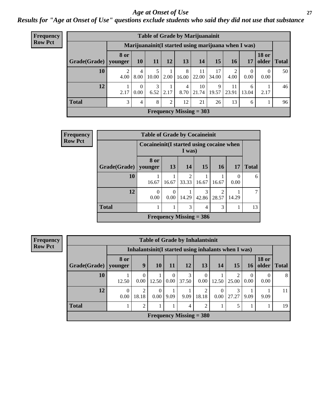#### *Age at Onset of Use* **27**

*Results for "Age at Onset of Use" questions exclude students who said they did not use that substance*

| Frequency                      | <b>Table of Grade by Marijuanainit</b> |                        |                  |             |                 |            |                                                      |             |             |                  |                  |               |
|--------------------------------|----------------------------------------|------------------------|------------------|-------------|-----------------|------------|------------------------------------------------------|-------------|-------------|------------------|------------------|---------------|
| <b>Row Pct</b>                 |                                        |                        |                  |             |                 |            | Marijuanainit (I started using marijuana when I was) |             |             |                  |                  |               |
|                                | Grade(Grade)                           | <b>8 or</b><br>younger | <b>10</b>        | <b>11</b>   | 12 <sup>1</sup> | 13         | 14                                                   | 15          | <b>16</b>   | 17               | <b>18 or</b>     | older   Total |
|                                | 10                                     | $\overline{c}$<br>4.00 | 4<br>8.00        | 5.<br>10.00 | 2.00            | 8<br>16.00 | 11<br>22.00                                          | 17<br>34.00 | 2<br>4.00   | $\Omega$<br>0.00 | $\Omega$<br>0.00 | 50            |
|                                | 12                                     | 2.17                   | $\Omega$<br>0.00 | 3<br>6.52   | 2.17            | 4          | 10<br>$8.70$   21.74                                 | 9<br>19.57  | 11<br>23.91 | 6<br>13.04       | 2.17             | 46            |
|                                | <b>Total</b>                           | 3                      | 4                | 8           | 2               | 12         | 21                                                   | 26          | 13          | 6                |                  | 96            |
| <b>Frequency Missing = 303</b> |                                        |                        |                  |             |                 |            |                                                      |             |             |                  |                  |               |

| <b>Frequency</b> |                        | <b>Table of Grade by Cocaineinit</b>      |                  |                           |                |            |       |              |
|------------------|------------------------|-------------------------------------------|------------------|---------------------------|----------------|------------|-------|--------------|
| <b>Row Pct</b>   |                        | Cocaineinit (I started using cocaine when |                  | I was)                    |                |            |       |              |
|                  | Grade(Grade)   younger | 8 or                                      | <b>13</b>        | 14                        | 15             | <b>16</b>  | 17    | <b>Total</b> |
|                  | 10                     | 16.67                                     | 16.67            | $\overline{2}$<br> 33.33  | 16.67          | 16.67      | 0.00  | 6            |
|                  | 12                     | 0<br>0.00                                 | $\theta$<br>0.00 | 14.29                     | 3<br>42.86     | 2<br>28.57 | 14.29 | 7            |
|                  | <b>Total</b>           | 1                                         | 1                | 3                         | $\overline{4}$ | 3          |       | 13           |
|                  |                        |                                           |                  | Frequency Missing $=$ 386 |                |            |       |              |

**Frequency**

|                           | <b>Table of Grade by Inhalantsinit</b> |                         |                  |                               |                                                      |                  |       |                         |                  |                       |       |  |  |
|---------------------------|----------------------------------------|-------------------------|------------------|-------------------------------|------------------------------------------------------|------------------|-------|-------------------------|------------------|-----------------------|-------|--|--|
|                           |                                        |                         |                  |                               | Inhalantsinit (I started using inhalants when I was) |                  |       |                         |                  |                       |       |  |  |
| Grade(Grade)              | 8 or<br>vounger                        | 9                       | <b>10</b>        | 11                            | <b>12</b>                                            | 13               | 14    | <b>15</b>               | 16 <sup>1</sup>  | <b>18 or</b><br>older | Total |  |  |
| 10                        | 12.50                                  | 0.00                    | 12.50            | $\Omega$<br>0.00 <sup>1</sup> | 3<br>37.50                                           | $\Omega$<br>0.00 | 12.50 | $\mathfrak{D}$<br>25.00 | $\Omega$<br>0.00 | 0.00                  | 8     |  |  |
| 12                        | $\Omega$<br>0.00                       | $\overline{2}$<br>18.18 | $\Omega$<br>0.00 | 9.09                          | 9.09                                                 | 2<br>18.18       | 0.00  | 3<br>27.27              | 9.09             | 9.09                  | 11    |  |  |
| <b>Total</b>              | ı                                      | 2                       |                  |                               | $\overline{4}$                                       | 2                |       |                         |                  |                       | 19    |  |  |
| Frequency Missing $=$ 380 |                                        |                         |                  |                               |                                                      |                  |       |                         |                  |                       |       |  |  |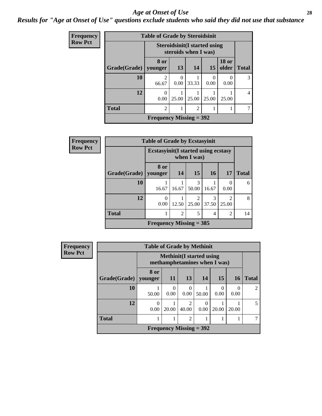#### *Age at Onset of Use* **28**

*Results for "Age at Onset of Use" questions exclude students who said they did not use that substance*

| <b>Frequency</b> | <b>Table of Grade by Steroidsinit</b> |                           |                  |                                                              |                  |                       |              |  |  |  |  |
|------------------|---------------------------------------|---------------------------|------------------|--------------------------------------------------------------|------------------|-----------------------|--------------|--|--|--|--|
| <b>Row Pct</b>   |                                       |                           |                  | <b>Steroidsinit (I started using</b><br>steroids when I was) |                  |                       |              |  |  |  |  |
|                  | Grade(Grade)                          | 8 or<br>vounger           | 13               | 14                                                           | 15               | <b>18 or</b><br>older | <b>Total</b> |  |  |  |  |
|                  | 10                                    | 2<br>66.67                | $\Omega$<br>0.00 | 33.33                                                        | $\theta$<br>0.00 | 0.00                  | 3            |  |  |  |  |
|                  | 12                                    | $\Omega$<br>0.00          | 25.00            | 25.00                                                        | 25.00            | 25.00                 | 4            |  |  |  |  |
|                  | <b>Total</b>                          | $\overline{c}$            |                  | $\overline{c}$                                               |                  | 1                     |              |  |  |  |  |
|                  |                                       | Frequency Missing $=$ 392 |                  |                                                              |                  |                       |              |  |  |  |  |

| <b>Frequency</b> |              | <b>Table of Grade by Ecstasyinit</b>        |       |                        |                 |                         |              |  |  |  |  |
|------------------|--------------|---------------------------------------------|-------|------------------------|-----------------|-------------------------|--------------|--|--|--|--|
| <b>Row Pct</b>   |              | <b>Ecstasyinit</b> (I started using ecstasy |       | when I was)            |                 |                         |              |  |  |  |  |
|                  | Grade(Grade) | 8 or<br>younger                             | 14    | 15                     | 16 <sup>1</sup> | <b>17</b>               | <b>Total</b> |  |  |  |  |
|                  | 10           | 16.67                                       | 16.67 | 3<br>50.00             | 16.67           | $\theta$<br>0.00        | 6            |  |  |  |  |
|                  | 12           | 0<br>0.00                                   | 12.50 | $\mathcal{L}$<br>25.00 | 3<br>37.50      | $\mathfrak{D}$<br>25.00 | 8            |  |  |  |  |
|                  | <b>Total</b> | $\overline{c}$<br>5<br>2<br>4               |       |                        |                 |                         |              |  |  |  |  |
|                  |              | Frequency Missing $=$ 385                   |       |                        |                 |                         |              |  |  |  |  |

| Frequency      |              | <b>Table of Grade by Methinit</b>                                |           |                           |       |                  |                  |                |
|----------------|--------------|------------------------------------------------------------------|-----------|---------------------------|-------|------------------|------------------|----------------|
| <b>Row Pct</b> |              | <b>Methinit</b> (I started using<br>methamphetamines when I was) |           |                           |       |                  |                  |                |
|                | Grade(Grade) | 8 or<br>vounger                                                  | <b>11</b> | 13                        | 14    | 15               | <b>16</b>        | <b>Total</b>   |
|                | 10           | 50.00                                                            | 0<br>0.00 | $\Omega$<br>0.00          | 50.00 | $\Omega$<br>0.00 | $\left($<br>0.00 | $\mathfrak{D}$ |
|                | 12           | 0<br>0.00                                                        | 20.00     | $\overline{2}$<br>40.00   | 0.00  | 20.00            | 20.00            | 5              |
|                | <b>Total</b> |                                                                  |           | $\overline{2}$            | 1     |                  |                  |                |
|                |              |                                                                  |           | Frequency Missing $=$ 392 |       |                  |                  |                |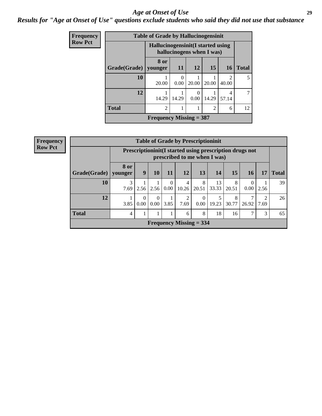#### *Age at Onset of Use* **29**

### *Results for "Age at Onset of Use" questions exclude students who said they did not use that substance*

| Frequency      | <b>Table of Grade by Hallucinogensinit</b> |                                    |                  |                           |                             |                         |              |  |  |  |  |
|----------------|--------------------------------------------|------------------------------------|------------------|---------------------------|-----------------------------|-------------------------|--------------|--|--|--|--|
| <b>Row Pct</b> |                                            | Hallucinogensinit (I started using |                  | hallucinogens when I was) |                             |                         |              |  |  |  |  |
|                | Grade(Grade)                               | 8 or<br>younger                    | <b>11</b>        | <b>12</b>                 | 15                          | <b>16</b>               | <b>Total</b> |  |  |  |  |
|                | 10                                         | 20.00                              | $\Omega$<br>0.00 | 20.00                     | 20.00                       | $\mathfrak{D}$<br>40.00 |              |  |  |  |  |
|                | 12                                         | 14.29                              | 14.29            | 0<br>0.00                 | 14.29                       | 4<br>57.14              |              |  |  |  |  |
|                | <b>Total</b>                               | $\mathcal{D}_{\mathcal{A}}$        |                  |                           | $\mathcal{D}_{\mathcal{L}}$ | 6                       | 12           |  |  |  |  |
|                |                                            | Frequency Missing $=$ 387          |                  |                           |                             |                         |              |  |  |  |  |

| Frequency      |              |                        |                  |                  |                  |            | <b>Table of Grade by Prescriptioninit</b> |             |            |                                                         |           |              |
|----------------|--------------|------------------------|------------------|------------------|------------------|------------|-------------------------------------------|-------------|------------|---------------------------------------------------------|-----------|--------------|
| <b>Row Pct</b> |              |                        |                  |                  |                  |            | prescribed to me when I was)              |             |            | Prescriptioninit(I started using prescription drugs not |           |              |
|                | Grade(Grade) | <b>8 or</b><br>vounger | 9                | <b>10</b>        | 11               | 12         | 13                                        | 14          | 15         | 16                                                      | 17        | <b>Total</b> |
|                | 10           | 3<br>7.69              | 2.56             | 2.56             | $\Omega$<br>0.00 | 4<br>10.26 | 8<br>20.51                                | 13<br>33.33 | 8<br>20.51 | $\theta$<br>0.00                                        | 2.56      | 39           |
|                | 12           | 3.85                   | $\Omega$<br>0.00 | $\Omega$<br>0.00 | 3.85             | 2<br>7.69  | $\theta$<br>0.00                          | 19.23       | 8<br>30.77 | 26.92                                                   | 2<br>7.69 | 26           |
|                | <b>Total</b> | 4                      |                  |                  |                  | 6          | 8                                         | 18          | 16         | 7                                                       | 3         | 65           |
|                |              |                        |                  |                  |                  |            | <b>Frequency Missing = 334</b>            |             |            |                                                         |           |              |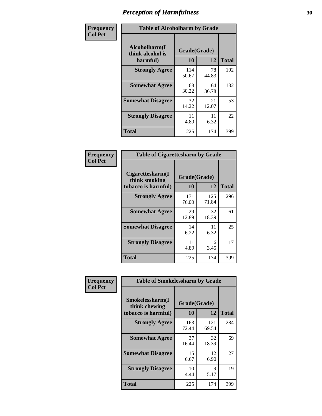| Frequency      | <b>Table of Alcoholharm by Grade</b>          |                    |             |              |
|----------------|-----------------------------------------------|--------------------|-------------|--------------|
| <b>Col Pct</b> | Alcoholharm(I<br>think alcohol is<br>harmful) | Grade(Grade)<br>10 | 12          | <b>Total</b> |
|                | <b>Strongly Agree</b>                         | 114<br>50.67       | 78<br>44.83 | 192          |
|                | <b>Somewhat Agree</b>                         | 68<br>30.22        | 64<br>36.78 | 132          |
|                | <b>Somewhat Disagree</b>                      | 32<br>14.22        | 21<br>12.07 | 53           |
|                | <b>Strongly Disagree</b>                      | 11<br>4.89         | 11<br>6.32  | 22           |
|                | <b>Total</b>                                  | 225                | 174         | 399          |

| <b>Table of Cigarettesharm by Grade</b>                  |              |              |     |  |  |
|----------------------------------------------------------|--------------|--------------|-----|--|--|
| Cigarettesharm(I<br>think smoking<br>tobacco is harmful) | <b>Total</b> |              |     |  |  |
| <b>Strongly Agree</b>                                    | 171<br>76.00 | 125<br>71.84 | 296 |  |  |
| <b>Somewhat Agree</b>                                    | 29<br>12.89  | 32<br>18.39  | 61  |  |  |
| <b>Somewhat Disagree</b>                                 | 14<br>6.22   | 11<br>6.32   | 25  |  |  |
| <b>Strongly Disagree</b>                                 | 11<br>4.89   | 6<br>3.45    | 17  |  |  |
| <b>Total</b>                                             | 225          | 174          | 399 |  |  |

| Frequency      | <b>Table of Smokelessharm by Grade</b>                  |                    |              |              |
|----------------|---------------------------------------------------------|--------------------|--------------|--------------|
| <b>Col Pct</b> | Smokelessharm(I<br>think chewing<br>tobacco is harmful) | Grade(Grade)<br>10 | 12           | <b>Total</b> |
|                | <b>Strongly Agree</b>                                   | 163<br>72.44       | 121<br>69.54 | 284          |
|                | <b>Somewhat Agree</b>                                   | 37<br>16.44        | 32<br>18.39  | 69           |
|                | <b>Somewhat Disagree</b>                                | 15<br>6.67         | 12<br>6.90   | 27           |
|                | <b>Strongly Disagree</b>                                | 10<br>4.44         | 9<br>5.17    | 19           |
|                | <b>Total</b>                                            | 225                | 174          | 399          |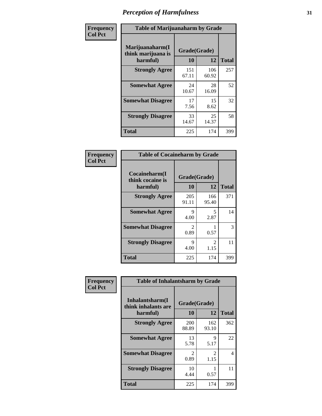| Frequency      | <b>Table of Marijuanaharm by Grade</b>            |                    |              |              |
|----------------|---------------------------------------------------|--------------------|--------------|--------------|
| <b>Col Pct</b> | Marijuanaharm(I<br>think marijuana is<br>harmful) | Grade(Grade)<br>10 | 12           | <b>Total</b> |
|                | <b>Strongly Agree</b>                             | 151<br>67.11       | 106<br>60.92 | 257          |
|                | <b>Somewhat Agree</b>                             | 24<br>10.67        | 28<br>16.09  | 52           |
|                | <b>Somewhat Disagree</b>                          | 17<br>7.56         | 15<br>8.62   | 32           |
|                | <b>Strongly Disagree</b>                          | 33<br>14.67        | 25<br>14.37  | 58           |
|                | <b>Total</b>                                      | 225                | 174          | 399          |

| <b>Table of Cocaineharm by Grade</b>          |              |                        |     |  |  |
|-----------------------------------------------|--------------|------------------------|-----|--|--|
| Cocaineharm(I<br>think cocaine is<br>harmful) | <b>Total</b> |                        |     |  |  |
| <b>Strongly Agree</b>                         | 205<br>91.11 | 166<br>95.40           | 371 |  |  |
| <b>Somewhat Agree</b>                         | 9<br>4.00    | 5<br>2.87              | 14  |  |  |
| <b>Somewhat Disagree</b>                      | 2<br>0.89    | 0.57                   | 3   |  |  |
| <b>Strongly Disagree</b>                      | 9<br>4.00    | $\mathfrak{D}$<br>1.15 | 11  |  |  |
| <b>Total</b>                                  | 225          | 174                    | 399 |  |  |

| Frequency      | <b>Table of Inhalantsharm by Grade</b>             |                           |              |              |
|----------------|----------------------------------------------------|---------------------------|--------------|--------------|
| <b>Col Pct</b> | Inhalantsharm(I<br>think inhalants are<br>harmful) | Grade(Grade)<br><b>10</b> | 12           | <b>Total</b> |
|                | <b>Strongly Agree</b>                              | 200<br>88.89              | 162<br>93.10 | 362          |
|                | <b>Somewhat Agree</b>                              | 13<br>5.78                | 9<br>5.17    | 22           |
|                | <b>Somewhat Disagree</b>                           | 2<br>0.89                 | 2<br>1.15    | 4            |
|                | <b>Strongly Disagree</b>                           | 10<br>4.44                | 0.57         | 11           |
|                | <b>Total</b>                                       | 225                       | 174          | 399          |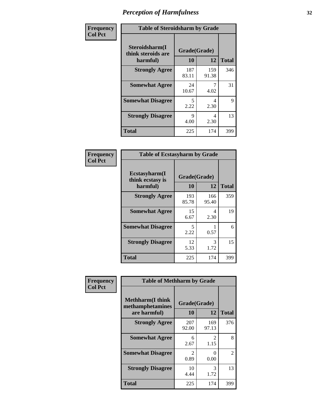| Frequency      | <b>Table of Steroidsharm by Grade</b>            |                    |              |              |
|----------------|--------------------------------------------------|--------------------|--------------|--------------|
| <b>Col Pct</b> | Steroidsharm(I<br>think steroids are<br>harmful) | Grade(Grade)<br>10 | 12           | <b>Total</b> |
|                | <b>Strongly Agree</b>                            | 187<br>83.11       | 159<br>91.38 | 346          |
|                | <b>Somewhat Agree</b>                            | 24<br>10.67        | 4.02         | 31           |
|                | <b>Somewhat Disagree</b>                         | 5<br>2.22          | 4<br>2.30    | 9            |
|                | <b>Strongly Disagree</b>                         | 9<br>4.00          | 4<br>2.30    | 13           |
|                | <b>Total</b>                                     | 225                | 174          | 399          |

| <b>Table of Ecstasyharm by Grade</b>          |                          |              |     |  |  |
|-----------------------------------------------|--------------------------|--------------|-----|--|--|
| Ecstasyharm(I<br>think ecstasy is<br>harmful) | Grade(Grade)<br>10<br>12 |              |     |  |  |
| <b>Strongly Agree</b>                         | 193<br>85.78             | 166<br>95.40 | 359 |  |  |
| <b>Somewhat Agree</b>                         | 15<br>6.67               | 4<br>2.30    | 19  |  |  |
| <b>Somewhat Disagree</b>                      | 5<br>2.22                | 0.57         | 6   |  |  |
| <b>Strongly Disagree</b>                      | 12<br>5.33               | 3<br>1.72    | 15  |  |  |
| Total                                         | 225                      | 174          | 399 |  |  |

| Frequency      | <b>Table of Methharm by Grade</b>                           |                    |                  |              |
|----------------|-------------------------------------------------------------|--------------------|------------------|--------------|
| <b>Col Pct</b> | <b>Methharm(I think</b><br>methamphetamines<br>are harmful) | Grade(Grade)<br>10 | <b>12</b>        | <b>Total</b> |
|                | <b>Strongly Agree</b>                                       | 207<br>92.00       | 169<br>97.13     | 376          |
|                | <b>Somewhat Agree</b>                                       | 6<br>2.67          | 2<br>1.15        | 8            |
|                | <b>Somewhat Disagree</b>                                    | 2<br>0.89          | $\Omega$<br>0.00 | 2            |
|                | <b>Strongly Disagree</b>                                    | 10<br>4.44         | 3<br>1.72        | 13           |
|                | <b>Total</b>                                                | 225                | 174              | 399          |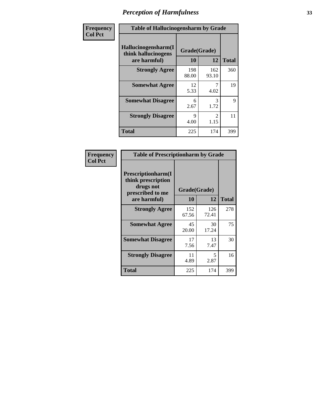| Frequency      | <b>Table of Hallucinogensharm by Grade</b>                 |                     |                       |              |
|----------------|------------------------------------------------------------|---------------------|-----------------------|--------------|
| <b>Col Pct</b> | Hallucinogensharm(I<br>think hallucinogens<br>are harmful) | Grade(Grade)<br>10  | 12                    | <b>Total</b> |
|                | <b>Strongly Agree</b>                                      | 198<br>88.00        | 162<br>93.10          | 360          |
|                | <b>Somewhat Agree</b>                                      | 12<br>5.33          | 7<br>4.02             | 19           |
|                | <b>Somewhat Disagree</b>                                   | 6<br>2.67           | 3<br>1.72             | 9            |
|                | <b>Strongly Disagree</b>                                   | $\mathbf Q$<br>4.00 | $\mathcal{L}$<br>1.15 | 11           |
|                | <b>Total</b>                                               | 225                 | 174                   | 399          |

| <b>Table of Prescriptionharm by Grade</b>                                         |              |              |              |  |
|-----------------------------------------------------------------------------------|--------------|--------------|--------------|--|
| <b>Prescriptionharm(I)</b><br>think prescription<br>drugs not<br>prescribed to me | Grade(Grade) |              |              |  |
| are harmful)                                                                      | 10           | 12           | <b>Total</b> |  |
| <b>Strongly Agree</b>                                                             | 152<br>67.56 | 126<br>72.41 | 278          |  |
| <b>Somewhat Agree</b>                                                             | 45<br>20.00  | 30<br>17.24  | 75           |  |
| <b>Somewhat Disagree</b>                                                          | 17<br>7.56   | 13<br>7.47   | 30           |  |
| <b>Strongly Disagree</b>                                                          | 11<br>4.89   | 5<br>2.87    | 16           |  |
| Total                                                                             | 225          | 174          | 399          |  |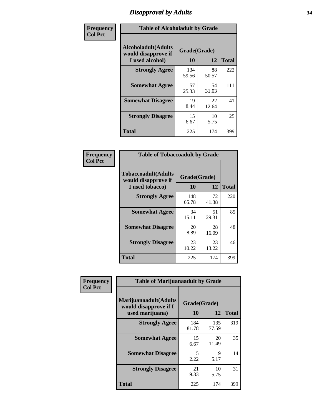# *Disapproval by Adults* **34**

| Frequency      | <b>Table of Alcoholadult by Grade</b>                                 |                    |             |              |
|----------------|-----------------------------------------------------------------------|--------------------|-------------|--------------|
| <b>Col Pct</b> | <b>Alcoholadult</b> (Adults<br>would disapprove if<br>I used alcohol) | Grade(Grade)<br>10 | 12          | <b>Total</b> |
|                | <b>Strongly Agree</b>                                                 | 134<br>59.56       | 88<br>50.57 | 222          |
|                | <b>Somewhat Agree</b>                                                 | 57<br>25.33        | 54<br>31.03 | 111          |
|                | <b>Somewhat Disagree</b>                                              | 19<br>8.44         | 22<br>12.64 | 41           |
|                | <b>Strongly Disagree</b>                                              | 15<br>6.67         | 10<br>5.75  | 25           |
|                | <b>Total</b>                                                          | 225                | 174         | 399          |

| <b>Table of Tobaccoadult by Grade</b>                                                             |              |             |     |  |  |
|---------------------------------------------------------------------------------------------------|--------------|-------------|-----|--|--|
| <b>Tobaccoadult</b> (Adults<br>Grade(Grade)<br>would disapprove if<br>10<br>12<br>I used tobacco) |              |             |     |  |  |
| <b>Strongly Agree</b>                                                                             | 148<br>65.78 | 72<br>41.38 | 220 |  |  |
| <b>Somewhat Agree</b>                                                                             | 34<br>15.11  | 51<br>29.31 | 85  |  |  |
| <b>Somewhat Disagree</b>                                                                          | 20<br>8.89   | 28<br>16.09 | 48  |  |  |
| <b>Strongly Disagree</b>                                                                          | 23<br>10.22  | 23<br>13.22 | 46  |  |  |
| Total                                                                                             | 225          | 174         | 399 |  |  |

| Frequency<br><b>Col Pct</b> | <b>Table of Marijuanaadult by Grade</b>                           |                    |              |              |
|-----------------------------|-------------------------------------------------------------------|--------------------|--------------|--------------|
|                             | Marijuanaadult(Adults<br>would disapprove if I<br>used marijuana) | Grade(Grade)<br>10 | 12           | <b>Total</b> |
|                             | <b>Strongly Agree</b>                                             | 184<br>81.78       | 135<br>77.59 | 319          |
|                             | <b>Somewhat Agree</b>                                             | 15<br>6.67         | 20<br>11.49  | 35           |
|                             | <b>Somewhat Disagree</b>                                          | 5<br>2.22          | 9<br>5.17    | 14           |
|                             | <b>Strongly Disagree</b>                                          | 21<br>9.33         | 10<br>5.75   | 31           |
|                             | <b>Total</b>                                                      | 225                | 174          | 399          |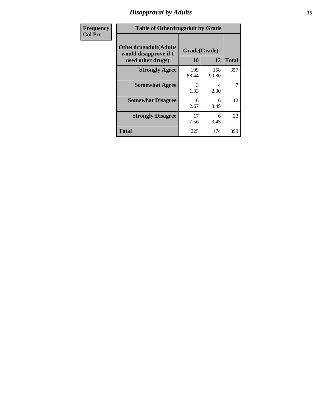# *Disapproval by Adults* **35**

| Frequency      | <b>Table of Otherdrugadult by Grade</b>                                     |                    |              |              |
|----------------|-----------------------------------------------------------------------------|--------------------|--------------|--------------|
| <b>Col Pct</b> | <b>Otherdrugadult</b> (Adults<br>would disapprove if I<br>used other drugs) | Grade(Grade)<br>10 | 12           | <b>Total</b> |
|                | <b>Strongly Agree</b>                                                       | 199<br>88.44       | 158<br>90.80 | 357          |
|                | <b>Somewhat Agree</b>                                                       | 3<br>1.33          | 4<br>2.30    | 7            |
|                | <b>Somewhat Disagree</b>                                                    | 6<br>2.67          | 6<br>3.45    | 12           |
|                | <b>Strongly Disagree</b>                                                    | 17<br>7.56         | 6<br>3.45    | 23           |
|                | <b>Total</b>                                                                | 225                | 174          | 399          |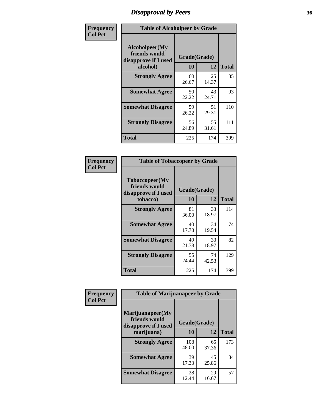# *Disapproval by Peers* **36**

| Frequency      | <b>Table of Alcoholpeer by Grade</b>                    |              |             |              |
|----------------|---------------------------------------------------------|--------------|-------------|--------------|
| <b>Col Pct</b> | Alcoholpeer(My<br>friends would<br>disapprove if I used | Grade(Grade) |             |              |
|                | alcohol)                                                | 10           | 12          | <b>Total</b> |
|                | <b>Strongly Agree</b>                                   | 60<br>26.67  | 25<br>14.37 | 85           |
|                | <b>Somewhat Agree</b>                                   | 50<br>22.22  | 43<br>24.71 | 93           |
|                | <b>Somewhat Disagree</b>                                | 59<br>26.22  | 51<br>29.31 | 110          |
|                | <b>Strongly Disagree</b>                                | 56<br>24.89  | 55<br>31.61 | 111          |
|                | Total                                                   | 225          | 174         | 399          |

| Frequency      | <b>Table of Tobaccopeer by Grade</b>                                |                    |             |              |
|----------------|---------------------------------------------------------------------|--------------------|-------------|--------------|
| <b>Col Pct</b> | Tobaccopeer(My<br>friends would<br>disapprove if I used<br>tobacco) | Grade(Grade)<br>10 | 12          | <b>Total</b> |
|                | <b>Strongly Agree</b>                                               | 81<br>36.00        | 33<br>18.97 | 114          |
|                | <b>Somewhat Agree</b>                                               | 40<br>17.78        | 34<br>19.54 | 74           |
|                | <b>Somewhat Disagree</b>                                            | 49<br>21.78        | 33<br>18.97 | 82           |
|                | <b>Strongly Disagree</b>                                            | 55<br>24.44        | 74<br>42.53 | 129          |
|                | Total                                                               | 225                | 174         | 399          |

| Frequency      | <b>Table of Marijuanapeer by Grade</b>                    |              |             |              |
|----------------|-----------------------------------------------------------|--------------|-------------|--------------|
| <b>Col Pct</b> | Marijuanapeer(My<br>friends would<br>disapprove if I used | Grade(Grade) |             |              |
|                | marijuana)                                                | 10           | 12          | <b>Total</b> |
|                | <b>Strongly Agree</b>                                     | 108<br>48.00 | 65<br>37.36 | 173          |
|                | <b>Somewhat Agree</b>                                     | 39<br>17.33  | 45<br>25.86 | 84           |
|                | <b>Somewhat Disagree</b>                                  | 28<br>12.44  | 29<br>16.67 | 57           |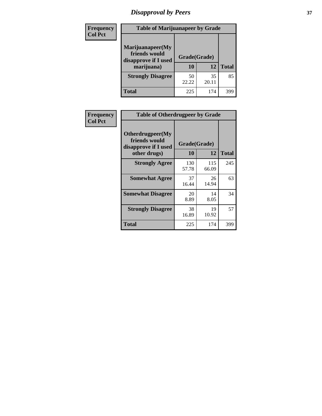# *Disapproval by Peers* **37**

| Frequency<br><b>Col Pct</b> | <b>Table of Marijuanapeer by Grade</b>                                  |                          |             |              |
|-----------------------------|-------------------------------------------------------------------------|--------------------------|-------------|--------------|
|                             | Marijuanapeer(My<br>friends would<br>disapprove if I used<br>marijuana) | Grade(Grade)<br>10<br>12 |             | <b>Total</b> |
|                             | <b>Strongly Disagree</b>                                                | 50<br>22.22              | 35<br>20.11 | 85           |
|                             | Total                                                                   | 225                      | 174         | 399          |

| Frequency      | <b>Table of Otherdrugpeer by Grade</b>                                    |                    |              |              |  |
|----------------|---------------------------------------------------------------------------|--------------------|--------------|--------------|--|
| <b>Col Pct</b> | Otherdrugpeer(My<br>friends would<br>disapprove if I used<br>other drugs) | Grade(Grade)<br>10 | 12           | <b>Total</b> |  |
|                | <b>Strongly Agree</b>                                                     | 130<br>57.78       | 115<br>66.09 | 245          |  |
|                | <b>Somewhat Agree</b>                                                     | 37<br>16.44        | 26<br>14.94  | 63           |  |
|                | <b>Somewhat Disagree</b>                                                  | 20<br>8.89         | 14<br>8.05   | 34           |  |
|                | <b>Strongly Disagree</b>                                                  | 38<br>16.89        | 19<br>10.92  | 57           |  |
|                | <b>Total</b>                                                              | 225                | 174          | 399          |  |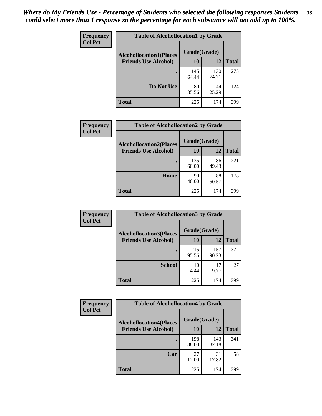| Frequency<br><b>Col Pct</b> | <b>Table of Alcohollocation1 by Grade</b>      |              |              |              |  |
|-----------------------------|------------------------------------------------|--------------|--------------|--------------|--|
|                             | Grade(Grade)<br><b>Alcohollocation1(Places</b> |              |              |              |  |
|                             | <b>Friends Use Alcohol)</b>                    | 10           | 12           | <b>Total</b> |  |
|                             |                                                | 145<br>64.44 | 130<br>74.71 | 275          |  |
|                             | Do Not Use                                     | 80<br>35.56  | 44<br>25.29  | 124          |  |
|                             | <b>Total</b>                                   | 225          | 174          | 399          |  |

| Frequency      | <b>Table of Alcohollocation2 by Grade</b>                     |                    |             |              |
|----------------|---------------------------------------------------------------|--------------------|-------------|--------------|
| <b>Col Pct</b> | <b>Alcohollocation2(Places</b><br><b>Friends Use Alcohol)</b> | Grade(Grade)<br>10 | 12          | <b>Total</b> |
|                |                                                               | 135<br>60.00       | 86<br>49.43 | 221          |
|                | Home                                                          | 90<br>40.00        | 88<br>50.57 | 178          |
|                | Total                                                         | 225                | 174         | 399          |

| Frequency<br><b>Col Pct</b> | <b>Table of Alcohollocation 3 by Grade</b>                    |                    |              |              |
|-----------------------------|---------------------------------------------------------------|--------------------|--------------|--------------|
|                             | <b>Alcohollocation3(Places</b><br><b>Friends Use Alcohol)</b> | Grade(Grade)<br>10 | 12           | <b>Total</b> |
|                             |                                                               | 215<br>95.56       | 157<br>90.23 | 372          |
|                             | <b>School</b>                                                 | 10<br>4.44         | 17<br>9.77   | 27           |
|                             | <b>Total</b>                                                  | 225                | 174          | 399          |

| <b>Frequency</b> | <b>Table of Alcohollocation4 by Grade</b> |              |              |              |
|------------------|-------------------------------------------|--------------|--------------|--------------|
| <b>Col Pct</b>   | <b>Alcohollocation4(Places</b>            | Grade(Grade) |              |              |
|                  | <b>Friends Use Alcohol)</b>               | 10           | 12           | <b>Total</b> |
|                  |                                           | 198<br>88.00 | 143<br>82.18 | 341          |
|                  | Car                                       | 27<br>12.00  | 31<br>17.82  | 58           |
|                  | <b>Total</b>                              | 225          | 174          | 399          |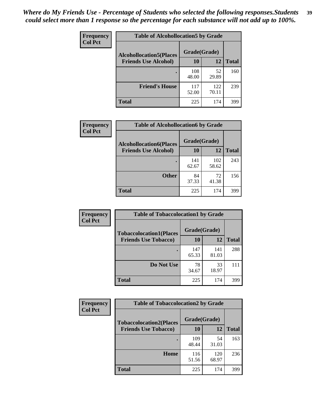| Frequency<br><b>Col Pct</b> | <b>Table of Alcohollocation5 by Grade</b>      |              |              |              |  |
|-----------------------------|------------------------------------------------|--------------|--------------|--------------|--|
|                             | Grade(Grade)<br><b>Alcohollocation5(Places</b> |              |              |              |  |
|                             | <b>Friends Use Alcohol)</b>                    | 10           | 12           | <b>Total</b> |  |
|                             |                                                | 108<br>48.00 | 52<br>29.89  | 160          |  |
|                             | <b>Friend's House</b>                          | 117<br>52.00 | 122<br>70.11 | 239          |  |
|                             | <b>Total</b>                                   | 225          | 174          | 399          |  |

| <b>Frequency</b>            | <b>Table of Alcohollocation6 by Grade</b> |              |              |     |
|-----------------------------|-------------------------------------------|--------------|--------------|-----|
| <b>Col Pct</b>              | <b>Alcohollocation6(Places</b>            | Grade(Grade) |              |     |
| <b>Friends Use Alcohol)</b> | 10                                        | 12           | <b>Total</b> |     |
|                             |                                           | 141<br>62.67 | 102<br>58.62 | 243 |
|                             | <b>Other</b>                              | 84<br>37.33  | 72<br>41.38  | 156 |
|                             | <b>Total</b>                              | 225          | 174          | 399 |

| Frequency<br><b>Col Pct</b> | <b>Table of Tobaccolocation1 by Grade</b> |              |              |              |
|-----------------------------|-------------------------------------------|--------------|--------------|--------------|
|                             | <b>Tobaccolocation1(Places</b>            | Grade(Grade) |              |              |
|                             | <b>Friends Use Tobacco)</b>               | 10           | 12           | <b>Total</b> |
|                             |                                           | 147<br>65.33 | 141<br>81.03 | 288          |
|                             | Do Not Use                                | 78<br>34.67  | 33<br>18.97  | 111          |
|                             | <b>Total</b>                              | 225          | 174          | 399          |

| Frequency      | <b>Table of Tobaccolocation2 by Grade</b> |              |              |              |  |
|----------------|-------------------------------------------|--------------|--------------|--------------|--|
| <b>Col Pct</b> | <b>Tobaccolocation2(Places</b>            | Grade(Grade) |              |              |  |
|                | <b>Friends Use Tobacco)</b>               | 10           | 12           | <b>Total</b> |  |
|                |                                           | 109<br>48.44 | 54<br>31.03  | 163          |  |
|                | Home                                      | 116<br>51.56 | 120<br>68.97 | 236          |  |
|                | <b>Total</b>                              | 225          | 174          | 399          |  |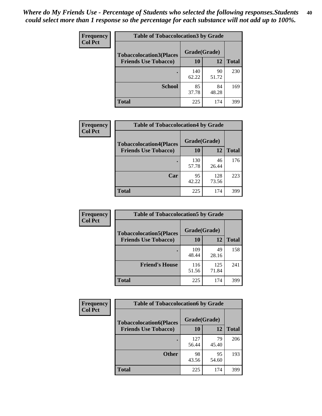| Frequency      | <b>Table of Tobaccolocation 3 by Grade</b> |              |             |              |
|----------------|--------------------------------------------|--------------|-------------|--------------|
| <b>Col Pct</b> | <b>Tobaccolocation3(Places</b>             | Grade(Grade) |             |              |
|                | <b>Friends Use Tobacco)</b>                | 10           | <b>12</b>   | <b>Total</b> |
|                |                                            | 140<br>62.22 | 90<br>51.72 | 230          |
|                | <b>School</b>                              | 85<br>37.78  | 84<br>48.28 | 169          |
|                | <b>Total</b>                               | 225          | 174         | 399          |

| Frequency<br><b>Col Pct</b>    | <b>Table of Tobaccolocation4 by Grade</b> |              |              |              |
|--------------------------------|-------------------------------------------|--------------|--------------|--------------|
| <b>Tobaccolocation4(Places</b> | Grade(Grade)                              |              |              |              |
|                                | <b>Friends Use Tobacco)</b>               | 10           | 12           | <b>Total</b> |
|                                |                                           | 130<br>57.78 | 46<br>26.44  | 176          |
|                                | Car                                       | 95<br>42.22  | 128<br>73.56 | 223          |
|                                | <b>Total</b>                              | 225          | 174          | 399          |

| Frequency<br><b>Col Pct</b> | <b>Table of Tobaccolocation5 by Grade</b>                     |                    |              |              |  |
|-----------------------------|---------------------------------------------------------------|--------------------|--------------|--------------|--|
|                             | <b>Tobaccolocation5(Places</b><br><b>Friends Use Tobacco)</b> | Grade(Grade)<br>10 | 12           | <b>Total</b> |  |
|                             |                                                               |                    |              |              |  |
|                             |                                                               | 109<br>48.44       | 49<br>28.16  | 158          |  |
|                             | <b>Friend's House</b>                                         | 116<br>51.56       | 125<br>71.84 | 241          |  |
|                             | <b>Total</b>                                                  | 225                | 174          | 399          |  |

| <b>Frequency</b> | <b>Table of Tobaccolocation6 by Grade</b> |              |             |              |  |
|------------------|-------------------------------------------|--------------|-------------|--------------|--|
| <b>Col Pct</b>   | <b>Tobaccolocation6(Places</b>            | Grade(Grade) |             |              |  |
|                  | <b>Friends Use Tobacco)</b>               | 10           | 12          | <b>Total</b> |  |
|                  |                                           | 127<br>56.44 | 79<br>45.40 | 206          |  |
|                  | <b>Other</b>                              | 98<br>43.56  | 95<br>54.60 | 193          |  |
|                  | <b>Total</b>                              | 225          | 174         | 399          |  |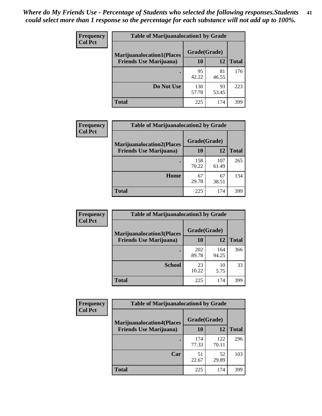| <b>Frequency</b>               | <b>Table of Marijuanalocation1 by Grade</b> |              |              |     |
|--------------------------------|---------------------------------------------|--------------|--------------|-----|
| <b>Col Pct</b>                 | <b>Marijuanalocation1(Places</b>            | Grade(Grade) |              |     |
| <b>Friends Use Marijuana</b> ) | 10                                          | 12           | <b>Total</b> |     |
|                                |                                             | 95<br>42.22  | 81<br>46.55  | 176 |
|                                | Do Not Use                                  | 130<br>57.78 | 93<br>53.45  | 223 |
|                                | <b>Total</b>                                | 225          | 174          | 399 |

| <b>Frequency</b> | <b>Table of Marijuanalocation2 by Grade</b>                        |                    |              |              |
|------------------|--------------------------------------------------------------------|--------------------|--------------|--------------|
| <b>Col Pct</b>   | <b>Marijuanalocation2(Places</b><br><b>Friends Use Marijuana</b> ) | Grade(Grade)<br>10 | 12           | <b>Total</b> |
|                  |                                                                    | 158<br>70.22       | 107<br>61.49 | 265          |
|                  | Home                                                               | 67<br>29.78        | 67<br>38.51  | 134          |
|                  | <b>Total</b>                                                       | 225                | 174          | 399          |

| Frequency<br><b>Col Pct</b>    | <b>Table of Marijuanalocation3 by Grade</b> |              |              |     |
|--------------------------------|---------------------------------------------|--------------|--------------|-----|
|                                | <b>Marijuanalocation3</b> (Places           | Grade(Grade) |              |     |
| <b>Friends Use Marijuana</b> ) | <b>10</b>                                   | 12           | <b>Total</b> |     |
|                                |                                             | 202<br>89.78 | 164<br>94.25 | 366 |
|                                | <b>School</b>                               | 23<br>10.22  | 10<br>5.75   | 33  |
|                                | <b>Total</b>                                | 225          | 174          | 399 |

| <b>Frequency</b> | <b>Table of Marijuanalocation4 by Grade</b> |              |              |              |  |
|------------------|---------------------------------------------|--------------|--------------|--------------|--|
| <b>Col Pct</b>   | <b>Marijuanalocation4(Places</b>            | Grade(Grade) |              |              |  |
|                  | <b>Friends Use Marijuana</b> )              | <b>10</b>    | 12           | <b>Total</b> |  |
|                  |                                             | 174<br>77.33 | 122<br>70.11 | 296          |  |
|                  | Car                                         | 51<br>22.67  | 52<br>29.89  | 103          |  |
|                  | <b>Total</b>                                | 225          | 174          | 399          |  |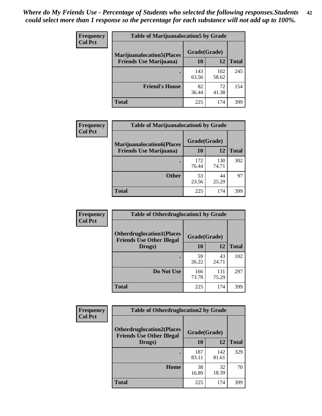| <b>Frequency</b> | <b>Table of Marijuanalocation5 by Grade</b>                         |              |              |              |
|------------------|---------------------------------------------------------------------|--------------|--------------|--------------|
| <b>Col Pct</b>   | <b>Marijuanalocation5</b> (Places<br><b>Friends Use Marijuana</b> ) | Grade(Grade) |              |              |
|                  |                                                                     | 10           | 12           | <b>Total</b> |
|                  |                                                                     | 143<br>63.56 | 102<br>58.62 | 245          |
|                  | <b>Friend's House</b>                                               | 82<br>36.44  | 72<br>41.38  | 154          |
|                  | <b>Total</b>                                                        | 225          | 174          | 399          |

| <b>Frequency</b> | <b>Table of Marijuanalocation6 by Grade</b>                        |                    |              |              |
|------------------|--------------------------------------------------------------------|--------------------|--------------|--------------|
| <b>Col Pct</b>   | <b>Marijuanalocation6(Places</b><br><b>Friends Use Marijuana</b> ) | Grade(Grade)<br>10 | 12           | <b>Total</b> |
|                  |                                                                    | 172<br>76.44       | 130<br>74.71 | 302          |
|                  | <b>Other</b>                                                       | 53<br>23.56        | 44<br>25.29  | 97           |
|                  | <b>Total</b>                                                       | 225                | 174          | 399          |

| <b>Frequency</b> | <b>Table of Otherdruglocation1 by Grade</b>                          |              |              |              |
|------------------|----------------------------------------------------------------------|--------------|--------------|--------------|
| <b>Col Pct</b>   | <b>Otherdruglocation1(Places</b><br><b>Friends Use Other Illegal</b> | Grade(Grade) |              |              |
|                  | Drugs)                                                               | 10           | 12           | <b>Total</b> |
|                  |                                                                      | 59<br>26.22  | 43<br>24.71  | 102          |
|                  | Do Not Use                                                           | 166<br>73.78 | 131<br>75.29 | 297          |
|                  | <b>Total</b>                                                         | 225          | 174          | 399          |

| <b>Frequency</b> | <b>Table of Otherdruglocation2 by Grade</b>                           |              |              |              |
|------------------|-----------------------------------------------------------------------|--------------|--------------|--------------|
| <b>Col Pct</b>   | <b>Otherdruglocation2(Places)</b><br><b>Friends Use Other Illegal</b> | Grade(Grade) |              |              |
|                  | Drugs)                                                                | 10           | 12           | <b>Total</b> |
|                  |                                                                       | 187<br>83.11 | 142<br>81.61 | 329          |
|                  | Home                                                                  | 38<br>16.89  | 32<br>18.39  | 70           |
|                  | <b>Total</b>                                                          | 225          | 174          | 399          |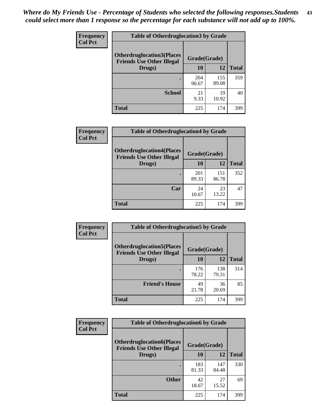| <b>Frequency</b> | <b>Table of Otherdruglocation 3 by Grade</b>                          |              |              |              |
|------------------|-----------------------------------------------------------------------|--------------|--------------|--------------|
| <b>Col Pct</b>   | <b>Otherdruglocation3(Places)</b><br><b>Friends Use Other Illegal</b> | Grade(Grade) |              |              |
|                  | Drugs)                                                                | 10           | 12           | <b>Total</b> |
|                  |                                                                       | 204<br>90.67 | 155<br>89.08 | 359          |
|                  | <b>School</b>                                                         | 21<br>9.33   | 19<br>10.92  | 40           |
|                  | Total                                                                 | 225          | 174          | 399          |

| <b>Frequency</b> | <b>Table of Otherdruglocation4 by Grade</b>                          |              |              |              |
|------------------|----------------------------------------------------------------------|--------------|--------------|--------------|
| <b>Col Pct</b>   | <b>Otherdruglocation4(Places</b><br><b>Friends Use Other Illegal</b> | Grade(Grade) |              |              |
|                  | Drugs)                                                               | 10           | 12           | <b>Total</b> |
|                  |                                                                      | 201<br>89.33 | 151<br>86.78 | 352          |
|                  | Car                                                                  | 24<br>10.67  | 23<br>13.22  | 47           |
|                  | <b>Total</b>                                                         | 225          | 174          | 399          |

| Frequency      | <b>Table of Otherdruglocation5 by Grade</b>                          |              |              |              |
|----------------|----------------------------------------------------------------------|--------------|--------------|--------------|
| <b>Col Pct</b> | <b>Otherdruglocation5(Places</b><br><b>Friends Use Other Illegal</b> | Grade(Grade) |              |              |
|                | Drugs)                                                               | 10           | 12           | <b>Total</b> |
|                |                                                                      | 176<br>78.22 | 138<br>79.31 | 314          |
|                | <b>Friend's House</b>                                                | 49<br>21.78  | 36<br>20.69  | 85           |
|                | <b>Total</b>                                                         | 225          | 174          | 399          |

| <b>Frequency</b> | <b>Table of Otherdruglocation6 by Grade</b>                          |              |              |              |
|------------------|----------------------------------------------------------------------|--------------|--------------|--------------|
| <b>Col Pct</b>   | <b>Otherdruglocation6(Places</b><br><b>Friends Use Other Illegal</b> | Grade(Grade) |              |              |
|                  | Drugs)                                                               | 10           | 12           | <b>Total</b> |
|                  |                                                                      | 183<br>81.33 | 147<br>84.48 | 330          |
|                  | <b>Other</b>                                                         | 42<br>18.67  | 27<br>15.52  | 69           |
|                  | <b>Total</b>                                                         | 225          | 174          | 399          |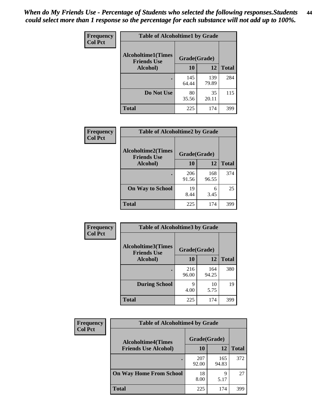| Frequency      | <b>Table of Alcoholtime1 by Grade</b>           |              |              |              |
|----------------|-------------------------------------------------|--------------|--------------|--------------|
| <b>Col Pct</b> | <b>Alcoholtime1(Times</b><br><b>Friends Use</b> | Grade(Grade) |              |              |
|                | Alcohol)                                        | <b>10</b>    | 12           | <b>Total</b> |
|                |                                                 | 145<br>64.44 | 139<br>79.89 | 284          |
|                | Do Not Use                                      | 80<br>35.56  | 35<br>20.11  | 115          |
|                | <b>Total</b>                                    | 225          | 174          | 399          |

| Frequency      | <b>Table of Alcoholtime2 by Grade</b>           |              |              |              |  |
|----------------|-------------------------------------------------|--------------|--------------|--------------|--|
| <b>Col Pct</b> | <b>Alcoholtime2(Times</b><br><b>Friends Use</b> | Grade(Grade) |              |              |  |
|                | Alcohol)                                        | 10           | 12           | <b>Total</b> |  |
|                |                                                 | 206<br>91.56 | 168<br>96.55 | 374          |  |
|                | <b>On Way to School</b>                         | 19<br>8.44   | 6<br>3.45    | 25           |  |
|                | <b>Total</b>                                    | 225          | 174          | 399          |  |

| Frequency      | <b>Table of Alcoholtime3 by Grade</b>                           |              |              |              |  |
|----------------|-----------------------------------------------------------------|--------------|--------------|--------------|--|
| <b>Col Pct</b> | <b>Alcoholtime3(Times</b><br>Grade(Grade)<br><b>Friends Use</b> |              |              |              |  |
|                | Alcohol)                                                        | 10           | 12           | <b>Total</b> |  |
|                |                                                                 | 216<br>96.00 | 164<br>94.25 | 380          |  |
|                | <b>During School</b>                                            | 9<br>4.00    | 10<br>5.75   | 19           |  |
|                | Total                                                           | 225          | 174          | 399          |  |

| <b>Frequency</b><br><b>Col Pct</b> | <b>Table of Alcoholtime4 by Grade</b>                    |              |              |              |  |
|------------------------------------|----------------------------------------------------------|--------------|--------------|--------------|--|
|                                    | <b>Alcoholtime4(Times</b><br><b>Friends Use Alcohol)</b> | Grade(Grade) |              |              |  |
|                                    |                                                          | 10           | 12           | <b>Total</b> |  |
|                                    |                                                          | 207<br>92.00 | 165<br>94.83 | 372          |  |
|                                    | <b>On Way Home From School</b>                           | 18<br>8.00   | 9<br>5.17    | 27           |  |
|                                    | <b>Total</b>                                             | 225          | 174          | 399          |  |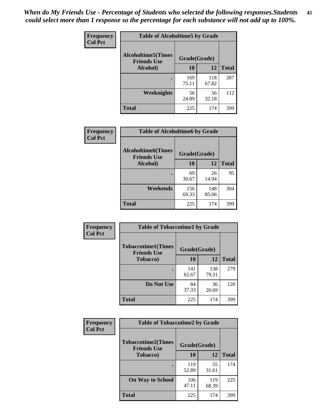*When do My Friends Use - Percentage of Students who selected the following responses.Students could select more than 1 response so the percentage for each substance will not add up to 100%.* **45**

| Frequency      | <b>Table of Alcoholtime5 by Grade</b>            |              |              |              |
|----------------|--------------------------------------------------|--------------|--------------|--------------|
| <b>Col Pct</b> | <b>Alcoholtime5</b> (Times<br><b>Friends Use</b> | Grade(Grade) |              |              |
|                | Alcohol)                                         | 10           | 12           | <b>Total</b> |
|                |                                                  | 169<br>75.11 | 118<br>67.82 | 287          |
|                | Weeknights                                       | 56<br>24.89  | 56<br>32.18  | 112          |
|                | <b>Total</b>                                     | 225          | 174          | 399          |

| Frequency      | <b>Table of Alcoholtime6 by Grade</b>           |              |              |              |  |
|----------------|-------------------------------------------------|--------------|--------------|--------------|--|
| <b>Col Pct</b> | <b>Alcoholtime6(Times</b><br><b>Friends Use</b> | Grade(Grade) |              |              |  |
|                | Alcohol)                                        | 10           | 12           | <b>Total</b> |  |
|                |                                                 | 69<br>30.67  | 26<br>14.94  | 95           |  |
|                | Weekends                                        | 156<br>69.33 | 148<br>85.06 | 304          |  |
|                | <b>Total</b>                                    | 225          | 174          | 399          |  |

| Frequency<br><b>Col Pct</b> | <b>Table of Tobaccotime1 by Grade</b>           |              |              |              |
|-----------------------------|-------------------------------------------------|--------------|--------------|--------------|
|                             | <b>Tobaccotime1(Times</b><br><b>Friends Use</b> | Grade(Grade) |              |              |
|                             | <b>Tobacco</b> )                                | 10           | 12           | <b>Total</b> |
|                             |                                                 | 141<br>62.67 | 138<br>79.31 | 279          |
|                             | Do Not Use                                      | 84<br>37.33  | 36<br>20.69  | 120          |
|                             | <b>Total</b>                                    | 225          | 174          | 399          |

| <b>Frequency</b> | <b>Table of Tobaccotime2 by Grade</b>           |              |              |              |
|------------------|-------------------------------------------------|--------------|--------------|--------------|
| <b>Col Pct</b>   | <b>Tobaccotime2(Times</b><br><b>Friends Use</b> | Grade(Grade) |              |              |
|                  | Tobacco)                                        | 10           | 12           | <b>Total</b> |
|                  |                                                 | 119<br>52.89 | 55<br>31.61  | 174          |
|                  | <b>On Way to School</b>                         | 106<br>47.11 | 119<br>68.39 | 225          |
|                  | <b>Total</b>                                    | 225          | 174          | 399          |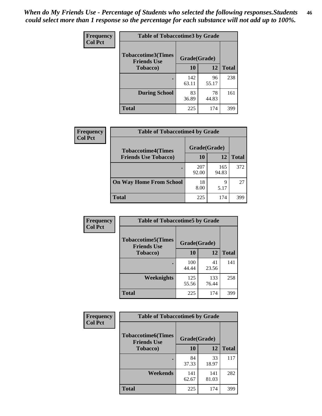| <b>Frequency</b> | <b>Table of Tobaccotime3 by Grade</b>           |              |             |              |
|------------------|-------------------------------------------------|--------------|-------------|--------------|
| <b>Col Pct</b>   | <b>Tobaccotime3(Times</b><br><b>Friends Use</b> | Grade(Grade) |             |              |
|                  | <b>Tobacco</b> )                                | 10           | 12          | <b>Total</b> |
|                  | ٠                                               | 142<br>63.11 | 96<br>55.17 | 238          |
|                  | <b>During School</b>                            | 83<br>36.89  | 78<br>44.83 | 161          |
|                  | <b>Total</b>                                    | 225          | 174         | 399          |

| <b>Frequency</b> | <b>Table of Tobaccotime4 by Grade</b> |              |              |              |  |
|------------------|---------------------------------------|--------------|--------------|--------------|--|
| <b>Col Pct</b>   | <b>Tobaccotime4(Times</b>             | Grade(Grade) |              |              |  |
|                  | <b>Friends Use Tobacco)</b>           | 10           | 12           | <b>Total</b> |  |
|                  |                                       | 207<br>92.00 | 165<br>94.83 | 372          |  |
|                  | <b>On Way Home From School</b>        | 18<br>8.00   | q<br>5.17    | 27           |  |
|                  | Total                                 | 225          | 174          | 399          |  |

| <b>Frequency</b> | <b>Table of Tobaccotime5 by Grade</b>           |              |              |              |
|------------------|-------------------------------------------------|--------------|--------------|--------------|
| <b>Col Pct</b>   | <b>Tobaccotime5(Times</b><br><b>Friends Use</b> | Grade(Grade) |              |              |
|                  | <b>Tobacco</b> )                                | 10           | 12           | <b>Total</b> |
|                  |                                                 | 100<br>44.44 | 41<br>23.56  | 141          |
|                  | Weeknights                                      | 125<br>55.56 | 133<br>76.44 | 258          |
|                  | <b>Total</b>                                    | 225          | 174          | 399          |

| Frequency      | <b>Table of Tobaccotime6 by Grade</b>           |              |              |              |
|----------------|-------------------------------------------------|--------------|--------------|--------------|
| <b>Col Pct</b> | <b>Tobaccotime6(Times</b><br><b>Friends Use</b> | Grade(Grade) |              |              |
|                | <b>Tobacco</b> )                                | 10           | 12           | <b>Total</b> |
|                | ٠                                               | 84<br>37.33  | 33<br>18.97  | 117          |
|                | Weekends                                        | 141<br>62.67 | 141<br>81.03 | 282          |
|                | <b>Total</b>                                    | 225          | 174          | 399          |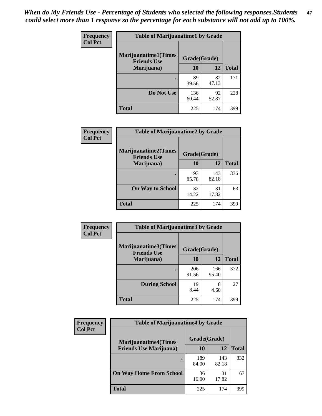| Frequency      | <b>Table of Marijuanatime1 by Grade</b>           |              |             |              |
|----------------|---------------------------------------------------|--------------|-------------|--------------|
| <b>Col Pct</b> | <b>Marijuanatime1(Times</b><br><b>Friends Use</b> | Grade(Grade) |             |              |
|                | Marijuana)                                        | 10           | 12          | <b>Total</b> |
|                |                                                   | 89<br>39.56  | 82<br>47.13 | 171          |
|                | Do Not Use                                        | 136<br>60.44 | 92<br>52.87 | 228          |
|                | <b>Total</b>                                      | 225          | 174         | 399          |

| Frequency      | <b>Table of Marijuanatime2 by Grade</b>           |              |              |              |
|----------------|---------------------------------------------------|--------------|--------------|--------------|
| <b>Col Pct</b> | <b>Marijuanatime2(Times</b><br><b>Friends Use</b> | Grade(Grade) |              |              |
|                | Marijuana)                                        | 10           | 12           | <b>Total</b> |
|                |                                                   | 193<br>85.78 | 143<br>82.18 | 336          |
|                | <b>On Way to School</b>                           | 32<br>14.22  | 31<br>17.82  | 63           |
|                | <b>Total</b>                                      | 225          | 174          | 399          |

| Frequency<br><b>Col Pct</b> | <b>Table of Marijuanatime3 by Grade</b>    |              |              |              |
|-----------------------------|--------------------------------------------|--------------|--------------|--------------|
|                             | Marijuanatime3(Times<br><b>Friends Use</b> | Grade(Grade) |              |              |
|                             | Marijuana)                                 | 10           | 12           | <b>Total</b> |
|                             |                                            | 206<br>91.56 | 166<br>95.40 | 372          |
|                             | <b>During School</b>                       | 19<br>8.44   | 8<br>4.60    | 27           |
|                             | <b>Total</b>                               | 225          | 174          | 399          |

| <b>Frequency</b><br><b>Col Pct</b> | <b>Table of Marijuanatime4 by Grade</b> |              |              |              |
|------------------------------------|-----------------------------------------|--------------|--------------|--------------|
|                                    | <b>Marijuanatime4(Times</b>             | Grade(Grade) |              |              |
|                                    | <b>Friends Use Marijuana</b> )          | 10           | 12           | <b>Total</b> |
|                                    |                                         | 189<br>84.00 | 143<br>82.18 | 332          |
|                                    | <b>On Way Home From School</b>          | 36<br>16.00  | 31<br>17.82  | 67           |
|                                    | <b>Total</b>                            | 225          | 174          | 399          |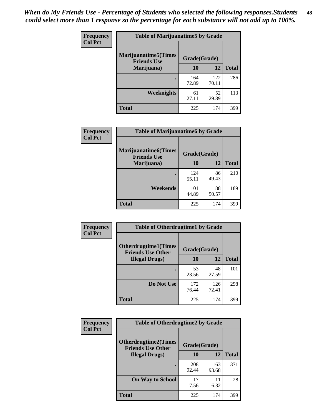| Frequency      | <b>Table of Marijuanatime5 by Grade</b>            |              |              |              |
|----------------|----------------------------------------------------|--------------|--------------|--------------|
| <b>Col Pct</b> | <b>Marijuanatime5</b> (Times<br><b>Friends Use</b> | Grade(Grade) |              |              |
|                | Marijuana)                                         | 10           | 12           | <b>Total</b> |
|                |                                                    | 164<br>72.89 | 122<br>70.11 | 286          |
|                | Weeknights                                         | 61<br>27.11  | 52<br>29.89  | 113          |
|                | <b>Total</b>                                       | 225          | 174          | 399          |

| Frequency      | <b>Table of Marijuanatime6 by Grade</b>    |              |             |              |
|----------------|--------------------------------------------|--------------|-------------|--------------|
| <b>Col Pct</b> | Marijuanatime6(Times<br><b>Friends Use</b> | Grade(Grade) |             |              |
|                | Marijuana)                                 | 10           | 12          | <b>Total</b> |
|                |                                            | 124<br>55.11 | 86<br>49.43 | 210          |
|                | Weekends                                   | 101<br>44.89 | 88<br>50.57 | 189          |
|                | <b>Total</b>                               | 225          | 174         | 399          |

| Frequency      | <b>Table of Otherdrugtime1 by Grade</b>                 |              |              |              |
|----------------|---------------------------------------------------------|--------------|--------------|--------------|
| <b>Col Pct</b> | <b>Otherdrugtime1(Times</b><br><b>Friends Use Other</b> | Grade(Grade) |              |              |
|                | <b>Illegal Drugs</b> )                                  | 10           | 12           | <b>Total</b> |
|                |                                                         | 53<br>23.56  | 48<br>27.59  | 101          |
|                | Do Not Use                                              | 172<br>76.44 | 126<br>72.41 | 298          |
|                | Total                                                   | 225          | 174          | 399          |

| Frequency      | <b>Table of Otherdrugtime2 by Grade</b>                 |              |              |              |
|----------------|---------------------------------------------------------|--------------|--------------|--------------|
| <b>Col Pct</b> | <b>Otherdrugtime2(Times</b><br><b>Friends Use Other</b> | Grade(Grade) |              |              |
|                | <b>Illegal Drugs</b> )                                  | 10           | 12           | <b>Total</b> |
|                |                                                         | 208<br>92.44 | 163<br>93.68 | 371          |
|                | <b>On Way to School</b>                                 | 17<br>7.56   | 11<br>6.32   | 28           |
|                | <b>Total</b>                                            | 225          | 174          | 399          |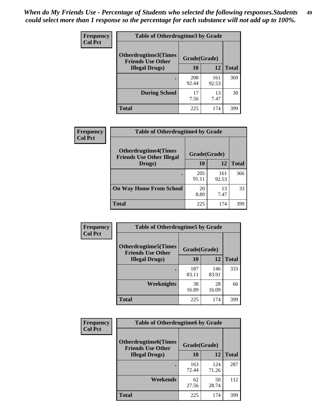| <b>Frequency</b> | <b>Table of Otherdrugtime3 by Grade</b>          |              |              |              |
|------------------|--------------------------------------------------|--------------|--------------|--------------|
| <b>Col Pct</b>   | Otherdrugtime3(Times<br><b>Friends Use Other</b> | Grade(Grade) |              |              |
|                  | <b>Illegal Drugs</b> )                           | 10           | 12           | <b>Total</b> |
|                  |                                                  | 208<br>92.44 | 161<br>92.53 | 369          |
|                  | <b>During School</b>                             | 17<br>7.56   | 13<br>7.47   | 30           |
|                  | Total                                            | 225          | 174          | 399          |

| Frequency      | <b>Table of Otherdrugtime4 by Grade</b>                         |              |              |              |
|----------------|-----------------------------------------------------------------|--------------|--------------|--------------|
| <b>Col Pct</b> | <b>Otherdrugtime4(Times</b><br><b>Friends Use Other Illegal</b> | Grade(Grade) |              |              |
|                | Drugs)                                                          | 10           | 12           | <b>Total</b> |
|                | ٠                                                               | 205<br>91.11 | 161<br>92.53 | 366          |
|                | <b>On Way Home From School</b>                                  | 20<br>8.89   | 13<br>7.47   | 33           |
|                | Total                                                           | 225          | 174          | 399          |

| <b>Frequency</b><br><b>Col Pct</b> | <b>Table of Otherdrugtime5 by Grade</b>                  |              |              |              |  |  |
|------------------------------------|----------------------------------------------------------|--------------|--------------|--------------|--|--|
|                                    | <b>Otherdrugtime5</b> (Times<br><b>Friends Use Other</b> | Grade(Grade) |              |              |  |  |
|                                    | <b>Illegal Drugs</b> )                                   | 10           | 12           | <b>Total</b> |  |  |
|                                    |                                                          | 187<br>83.11 | 146<br>83.91 | 333          |  |  |
|                                    | Weeknights                                               | 38<br>16.89  | 28<br>16.09  | 66           |  |  |
|                                    | Total                                                    | 225          | 174          | 399          |  |  |

| <b>Frequency</b> | <b>Table of Otherdrugtime6 by Grade</b>                 |              |              |              |  |  |
|------------------|---------------------------------------------------------|--------------|--------------|--------------|--|--|
| <b>Col Pct</b>   | <b>Otherdrugtime6(Times</b><br><b>Friends Use Other</b> | Grade(Grade) |              |              |  |  |
|                  | <b>Illegal Drugs</b> )                                  | 10           | 12           | <b>Total</b> |  |  |
|                  |                                                         | 163<br>72.44 | 124<br>71.26 | 287          |  |  |
|                  | Weekends                                                | 62<br>27.56  | 50<br>28.74  | 112          |  |  |
|                  | Total                                                   | 225          | 174          | 399          |  |  |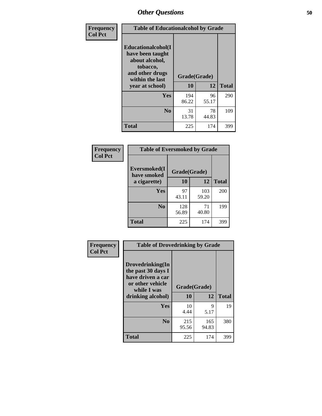| Frequency<br><b>Col Pct</b> | <b>Table of Educationalcohol by Grade</b>                                                                  |              |             |              |  |  |
|-----------------------------|------------------------------------------------------------------------------------------------------------|--------------|-------------|--------------|--|--|
|                             | Educationalcohol(I<br>have been taught<br>about alcohol,<br>tobacco,<br>and other drugs<br>within the last | Grade(Grade) |             |              |  |  |
|                             | year at school)                                                                                            | 10           | 12          | <b>Total</b> |  |  |
|                             | Yes                                                                                                        | 194<br>86.22 | 96<br>55.17 | 290          |  |  |
|                             | N <sub>0</sub>                                                                                             | 31<br>13.78  | 78<br>44.83 | 109          |  |  |
|                             | <b>Total</b>                                                                                               | 225          | 174         | 399          |  |  |

| Frequency      | <b>Table of Eversmoked by Grade</b> |              |              |              |  |  |  |
|----------------|-------------------------------------|--------------|--------------|--------------|--|--|--|
| <b>Col Pct</b> | Eversmoked(I<br>have smoked         | Grade(Grade) |              |              |  |  |  |
|                | a cigarette)                        | 10           | 12           | <b>Total</b> |  |  |  |
|                | <b>Yes</b>                          | 97<br>43.11  | 103<br>59.20 | 200          |  |  |  |
|                | N <sub>0</sub>                      | 128<br>56.89 | 71<br>40.80  | 199          |  |  |  |
|                | <b>Total</b>                        | 225          | 174          | 399          |  |  |  |

| Frequency      | <b>Table of Drovedrinking by Grade</b>                                                                              |                    |              |              |  |  |
|----------------|---------------------------------------------------------------------------------------------------------------------|--------------------|--------------|--------------|--|--|
| <b>Col Pct</b> | Drovedrinking(In<br>the past 30 days I<br>have driven a car<br>or other vehicle<br>while I was<br>drinking alcohol) | Grade(Grade)<br>10 | 12           | <b>Total</b> |  |  |
|                | <b>Yes</b>                                                                                                          | 10<br>4.44         | 9<br>5.17    | 19           |  |  |
|                | N <sub>0</sub>                                                                                                      | 215<br>95.56       | 165<br>94.83 | 380          |  |  |
|                | <b>Total</b>                                                                                                        | 225                | 174          | 399          |  |  |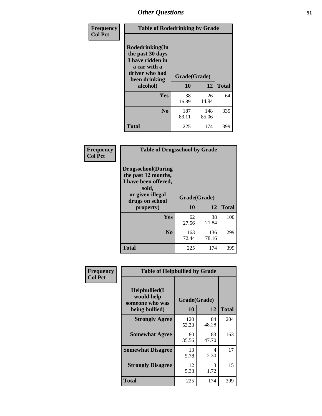| Frequency<br><b>Col Pct</b> | <b>Table of Rodedrinking by Grade</b>                                                                      |              |              |              |
|-----------------------------|------------------------------------------------------------------------------------------------------------|--------------|--------------|--------------|
|                             | Rodedrinking(In<br>the past 30 days<br>I have ridden in<br>a car with a<br>driver who had<br>been drinking | Grade(Grade) |              |              |
|                             | alcohol)                                                                                                   | 10           | 12           | <b>Total</b> |
|                             | <b>Yes</b>                                                                                                 | 38<br>16.89  | 26<br>14.94  | 64           |
|                             | N <sub>0</sub>                                                                                             | 187<br>83.11 | 148<br>85.06 | 335          |
|                             | <b>Total</b>                                                                                               | 225          | 174          | 399          |

#### **Frequency Col Pct**

| <b>Table of Drugsschool by Grade</b>                                                                                      |              |              |              |  |  |  |
|---------------------------------------------------------------------------------------------------------------------------|--------------|--------------|--------------|--|--|--|
| <b>Drugsschool</b> (During<br>the past 12 months,<br>I have been offered,<br>sold,<br>or given illegal<br>drugs on school | Grade(Grade) |              |              |  |  |  |
| property)                                                                                                                 | 10           | 12           | <b>Total</b> |  |  |  |
| Yes                                                                                                                       | 62<br>27.56  | 38<br>21.84  | 100          |  |  |  |
| N <sub>0</sub>                                                                                                            | 163<br>72.44 | 136<br>78.16 | 299          |  |  |  |
| <b>Total</b>                                                                                                              | 225          | 174          | 399          |  |  |  |

| Frequency      | <b>Table of Helpbullied by Grade</b>                                   |                    |                   |     |
|----------------|------------------------------------------------------------------------|--------------------|-------------------|-----|
| <b>Col Pct</b> | $Helpb$ ullied $(I$<br>would help<br>someone who was<br>being bullied) | Grade(Grade)<br>10 | <b>Total</b>      |     |
|                | <b>Strongly Agree</b>                                                  | 120<br>53.33       | 12<br>84<br>48.28 | 204 |
|                | <b>Somewhat Agree</b>                                                  | 80<br>35.56        | 83<br>47.70       | 163 |
|                | <b>Somewhat Disagree</b>                                               | 13<br>5.78         | 4<br>2.30         | 17  |
|                | <b>Strongly Disagree</b>                                               | 12<br>5.33         | 3<br>1.72         | 15  |
|                | Total                                                                  | 225                | 174               | 399 |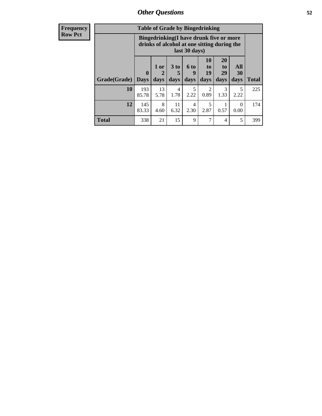| <b>Frequency</b> | <b>Table of Grade by Bingedrinking</b>                                                                  |                             |                             |                              |                          |                        |                        |                   |              |
|------------------|---------------------------------------------------------------------------------------------------------|-----------------------------|-----------------------------|------------------------------|--------------------------|------------------------|------------------------|-------------------|--------------|
| <b>Row Pct</b>   | Bingedrinking(I have drunk five or more<br>drinks of alcohol at one sitting during the<br>last 30 days) |                             |                             |                              |                          |                        |                        |                   |              |
|                  | Grade(Grade)                                                                                            | $\mathbf{0}$<br><b>Days</b> | 1 or<br>$\mathbf 2$<br>days | 3 <sub>to</sub><br>5<br>days | <b>6 to</b><br>9<br>days | 10<br>to<br>19<br>days | 20<br>to<br>29<br>days | All<br>30<br>days | <b>Total</b> |
|                  | 10                                                                                                      | 193<br>85.78                | 13<br>5.78                  | $\overline{4}$<br>1.78       | 5<br>2.22                | $\mathfrak{D}$<br>0.89 | 3<br>1.33              | 5<br>2.22         | 225          |
|                  | 12                                                                                                      | 145<br>83.33                | 8<br>4.60                   | 11<br>6.32                   | 4<br>2.30                | 5<br>2.87              | 0.57                   | $\Omega$<br>0.00  | 174          |
|                  | <b>Total</b>                                                                                            | 338                         | 21                          | 15                           | 9                        | 7                      | 4                      | 5                 | 399          |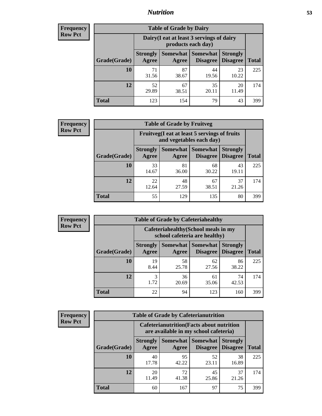### *Nutrition* **53**

| <b>Frequency</b><br>Row Pct |
|-----------------------------|
|                             |

| <b>Table of Grade by Dairy</b> |                          |                                                                 |                             |                                    |              |  |  |
|--------------------------------|--------------------------|-----------------------------------------------------------------|-----------------------------|------------------------------------|--------------|--|--|
|                                |                          | Dairy (I eat at least 3 servings of dairy<br>products each day) |                             |                                    |              |  |  |
| Grade(Grade)                   | <b>Strongly</b><br>Agree | Somewhat<br>Agree                                               | <b>Somewhat</b><br>Disagree | <b>Strongly</b><br><b>Disagree</b> | <b>Total</b> |  |  |
| 10                             | 71<br>31.56              | 87<br>38.67                                                     | 44<br>19.56                 | 23<br>10.22                        | 225          |  |  |
| 12                             | 52<br>29.89              | 67<br>38.51                                                     | 35<br>20.11                 | 20<br>11.49                        | 174          |  |  |
| <b>Total</b>                   | 123                      | 154                                                             | 79                          | 43                                 | 399          |  |  |

| <b>Frequency</b> |  |
|------------------|--|
| <b>Row Pct</b>   |  |

| <b>Table of Grade by Fruitveg</b> |                          |                                                                          |                               |                                    |              |  |
|-----------------------------------|--------------------------|--------------------------------------------------------------------------|-------------------------------|------------------------------------|--------------|--|
|                                   |                          | Fruitveg(I eat at least 5 servings of fruits<br>and vegetables each day) |                               |                                    |              |  |
| Grade(Grade)                      | <b>Strongly</b><br>Agree | Agree                                                                    | Somewhat Somewhat<br>Disagree | <b>Strongly</b><br><b>Disagree</b> | <b>Total</b> |  |
| 10                                | 33<br>14.67              | 81<br>36.00                                                              | 68<br>30.22                   | 43<br>19.11                        | 225          |  |
| 12                                | 22<br>12.64              | 48<br>27.59                                                              | 67<br>38.51                   | 37<br>21.26                        | 174          |  |
| <b>Total</b>                      | 55                       | 129                                                                      | 135                           | 80                                 | 399          |  |

| <b>Frequency</b> | <b>Table of Grade by Cafeteriahealthy</b> |                          |                                                                       |                                          |                                    |              |  |  |  |
|------------------|-------------------------------------------|--------------------------|-----------------------------------------------------------------------|------------------------------------------|------------------------------------|--------------|--|--|--|
| <b>Row Pct</b>   |                                           |                          | Cafeteriahealthy (School meals in my<br>school cafeteria are healthy) |                                          |                                    |              |  |  |  |
|                  | Grade(Grade)                              | <b>Strongly</b><br>Agree | Agree                                                                 | Somewhat   Somewhat  <br><b>Disagree</b> | <b>Strongly</b><br><b>Disagree</b> | <b>Total</b> |  |  |  |
|                  | 10                                        | 19<br>8.44               | 58<br>25.78                                                           | 62<br>27.56                              | 86<br>38.22                        | 225          |  |  |  |
|                  | 12                                        | 3<br>1.72                | 36<br>20.69                                                           | 61<br>35.06                              | 74<br>42.53                        | 174          |  |  |  |
|                  | <b>Total</b>                              | 22                       | 94                                                                    | 123                                      | 160                                | 399          |  |  |  |

| <b>Frequency</b> |
|------------------|
| <b>Row Pct</b>   |

| <b>Table of Grade by Cafeterianutrition</b> |                          |                                                                                           |                                      |                                    |              |  |  |
|---------------------------------------------|--------------------------|-------------------------------------------------------------------------------------------|--------------------------------------|------------------------------------|--------------|--|--|
|                                             |                          | <b>Cafeterianutrition</b> (Facts about nutrition<br>are available in my school cafeteria) |                                      |                                    |              |  |  |
| Grade(Grade)                                | <b>Strongly</b><br>Agree | Agree                                                                                     | Somewhat Somewhat<br><b>Disagree</b> | <b>Strongly</b><br><b>Disagree</b> | <b>Total</b> |  |  |
| 10                                          | 40<br>17.78              | 95<br>42.22                                                                               | 52<br>23.11                          | 38<br>16.89                        | 225          |  |  |
| 12                                          | 20<br>11.49              | 72<br>41.38                                                                               | 45<br>25.86                          | 37<br>21.26                        | 174          |  |  |
| <b>Total</b>                                | 60                       | 167                                                                                       | 97                                   | 75                                 | 399          |  |  |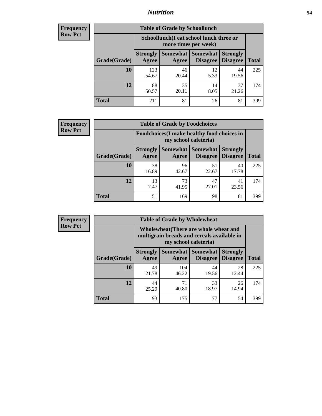### *Nutrition* **54**

| Frequency |
|-----------|
| Row Pct   |

| <b>Table of Grade by Schoollunch</b> |                          |                                                                 |                             |                                    |              |  |  |
|--------------------------------------|--------------------------|-----------------------------------------------------------------|-----------------------------|------------------------------------|--------------|--|--|
|                                      |                          | Schoollunch(I eat school lunch three or<br>more times per week) |                             |                                    |              |  |  |
| Grade(Grade)                         | <b>Strongly</b><br>Agree | Somewhat  <br>Agree                                             | <b>Somewhat</b><br>Disagree | <b>Strongly</b><br><b>Disagree</b> | <b>Total</b> |  |  |
| 10                                   | 123<br>54.67             | 46<br>20.44                                                     | 12<br>5.33                  | 44<br>19.56                        | 225          |  |  |
| 12                                   | 88<br>50.57              | 35<br>20.11                                                     | 14<br>8.05                  | 37<br>21.26                        | 174          |  |  |
| <b>Total</b>                         | 211                      | 81                                                              | 26                          | 81                                 | 399          |  |  |

| <b>Frequency</b> |  |
|------------------|--|
| <b>Row Pct</b>   |  |

| <b>Table of Grade by Foodchoices</b> |                          |                                                                     |                                 |                                    |              |  |
|--------------------------------------|--------------------------|---------------------------------------------------------------------|---------------------------------|------------------------------------|--------------|--|
|                                      |                          | Foodchoices (I make healthy food choices in<br>my school cafeteria) |                                 |                                    |              |  |
| Grade(Grade)                         | <b>Strongly</b><br>Agree | Agree                                                               | Somewhat   Somewhat<br>Disagree | <b>Strongly</b><br><b>Disagree</b> | <b>Total</b> |  |
| 10                                   | 38<br>16.89              | 96<br>42.67                                                         | 51<br>22.67                     | 40<br>17.78                        | 225          |  |
| 12                                   | 13<br>7.47               | 73<br>41.95                                                         | 47<br>27.01                     | 41<br>23.56                        | 174          |  |
| <b>Total</b>                         | 51                       | 169                                                                 | 98                              | 81                                 | 399          |  |

| Frequency      | <b>Table of Grade by Wholewheat</b> |                                                                                                             |              |                                      |                                    |              |  |  |
|----------------|-------------------------------------|-------------------------------------------------------------------------------------------------------------|--------------|--------------------------------------|------------------------------------|--------------|--|--|
| <b>Row Pct</b> |                                     | Wholewheat (There are whole wheat and<br>multigrain breads and cereals available in<br>my school cafeteria) |              |                                      |                                    |              |  |  |
|                | Grade(Grade)                        | <b>Strongly</b><br>Agree                                                                                    | Agree        | Somewhat Somewhat<br><b>Disagree</b> | <b>Strongly</b><br><b>Disagree</b> | <b>Total</b> |  |  |
|                | 10                                  | 49<br>21.78                                                                                                 | 104<br>46.22 | 44<br>19.56                          | 28<br>12.44                        | 225          |  |  |
|                | 12                                  | 44<br>25.29                                                                                                 | 71<br>40.80  | 33<br>18.97                          | 26<br>14.94                        | 174          |  |  |
|                | <b>Total</b>                        | 93                                                                                                          | 175          | 77                                   | 54                                 | 399          |  |  |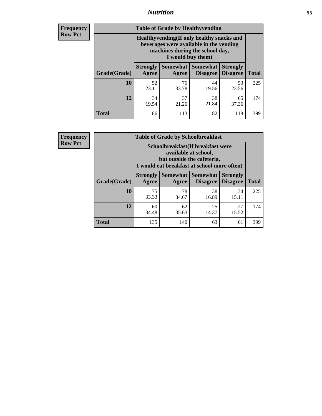### *Nutrition* **55**

**Frequency Row Pct**

| <b>Table of Grade by Healthyvending</b> |                                                                                                                                               |                          |                             |                                    |              |  |  |  |
|-----------------------------------------|-----------------------------------------------------------------------------------------------------------------------------------------------|--------------------------|-----------------------------|------------------------------------|--------------|--|--|--|
|                                         | Healthyvending (If only healthy snacks and<br>beverages were available in the vending<br>machines during the school day,<br>I would buy them) |                          |                             |                                    |              |  |  |  |
| Grade(Grade)                            | <b>Strongly</b><br>Agree                                                                                                                      | <b>Somewhat</b><br>Agree | <b>Somewhat</b><br>Disagree | <b>Strongly</b><br><b>Disagree</b> | <b>Total</b> |  |  |  |
| 10                                      | 52<br>23.11                                                                                                                                   | 76<br>33.78              | 44<br>19.56                 | 53<br>23.56                        | 225          |  |  |  |
| 12                                      | 34<br>19.54                                                                                                                                   | 37<br>21.26              | 38<br>21.84                 | 65<br>37.36                        | 174          |  |  |  |
| <b>Total</b>                            | 86                                                                                                                                            | 113                      | 82                          | 118                                | 399          |  |  |  |

**Frequency Row Pct**

| <b>Table of Grade by Schoolbreakfast</b> |                                                                                                                                         |             |                     |                                        |              |  |  |
|------------------------------------------|-----------------------------------------------------------------------------------------------------------------------------------------|-------------|---------------------|----------------------------------------|--------------|--|--|
|                                          | Schoolbreakfast (If breakfast were<br>available at school,<br>but outside the cafeteria,<br>I would eat breakfast at school more often) |             |                     |                                        |              |  |  |
| Grade(Grade)                             | <b>Strongly</b><br>Agree                                                                                                                | Agree       | Somewhat   Somewhat | <b>Strongly</b><br>Disagree   Disagree | <b>Total</b> |  |  |
| 10                                       | 75<br>33.33                                                                                                                             | 78<br>34.67 | 38<br>16.89         | 34<br>15.11                            | 225          |  |  |
| 12                                       | 60<br>34.48                                                                                                                             | 62<br>35.63 | 25<br>14.37         | 27<br>15.52                            | 174          |  |  |
| <b>Total</b>                             | 135                                                                                                                                     | 140         | 63                  | 61                                     | 399          |  |  |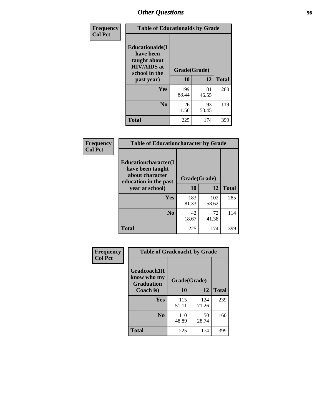| Frequency<br><b>Col Pct</b> | <b>Table of Educationaids by Grade</b>                                                                    |                    |              |     |  |  |
|-----------------------------|-----------------------------------------------------------------------------------------------------------|--------------------|--------------|-----|--|--|
|                             | <b>Educationaids</b> (I<br>have been<br>taught about<br><b>HIV/AIDS</b> at<br>school in the<br>past year) | Grade(Grade)<br>10 | <b>Total</b> |     |  |  |
|                             | Yes                                                                                                       | 199<br>88.44       | 81<br>46.55  | 280 |  |  |
|                             | N <sub>0</sub>                                                                                            | 26<br>11.56        | 93<br>53.45  | 119 |  |  |
|                             | <b>Total</b>                                                                                              | 225                | 174          | 399 |  |  |

| <b>Frequency</b> | <b>Table of Educationcharacter by Grade</b>                                          |              |              |              |  |
|------------------|--------------------------------------------------------------------------------------|--------------|--------------|--------------|--|
| <b>Col Pct</b>   | Educationcharacter(I<br>have been taught<br>about character<br>education in the past | Grade(Grade) |              |              |  |
|                  | year at school)                                                                      | 10           | 12           | <b>Total</b> |  |
|                  | Yes                                                                                  | 183<br>81.33 | 102<br>58.62 | 285          |  |
|                  | N <sub>0</sub>                                                                       | 42<br>18.67  | 72<br>41.38  | 114          |  |
|                  | <b>Total</b>                                                                         | 225          | 174          | 399          |  |

| Frequency      | <b>Table of Gradcoach1 by Grade</b>              |              |              |              |  |
|----------------|--------------------------------------------------|--------------|--------------|--------------|--|
| <b>Col Pct</b> | Gradcoach1(I<br>know who my<br><b>Graduation</b> | Grade(Grade) |              |              |  |
|                | Coach is)                                        | 10           | 12           | <b>Total</b> |  |
|                | Yes                                              | 115<br>51.11 | 124<br>71.26 | 239          |  |
|                | N <sub>0</sub>                                   | 110<br>48.89 | 50<br>28.74  | 160          |  |
|                | <b>Total</b>                                     | 225          | 174          | 399          |  |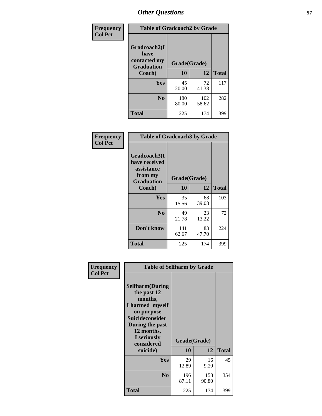| Frequency      | <b>Table of Gradcoach2 by Grade</b> |              |              |              |
|----------------|-------------------------------------|--------------|--------------|--------------|
| <b>Col Pct</b> |                                     |              |              |              |
|                | Gradcoach2(I<br>have                |              |              |              |
|                | contacted my<br><b>Graduation</b>   | Grade(Grade) |              |              |
|                | Coach)                              | 10           | 12           | <b>Total</b> |
|                | Yes                                 | 45<br>20.00  | 72<br>41.38  | 117          |
|                | N <sub>0</sub>                      | 180<br>80.00 | 102<br>58.62 | 282          |
|                | <b>Total</b>                        | 225          | 174          | 399          |

| <b>Frequency</b><br><b>Col Pct</b> | <b>Table of Gradcoach3 by Grade</b>                                         |              |             |              |  |  |
|------------------------------------|-----------------------------------------------------------------------------|--------------|-------------|--------------|--|--|
|                                    | Gradcoach3(I<br>have received<br>assistance<br>from my<br><b>Graduation</b> | Grade(Grade) |             |              |  |  |
|                                    | Coach)                                                                      | 10           | 12          | <b>Total</b> |  |  |
|                                    | Yes                                                                         | 35<br>15.56  | 68<br>39.08 | 103          |  |  |
|                                    | N <sub>0</sub>                                                              | 49<br>21.78  | 23<br>13.22 | 72           |  |  |
|                                    | Don't know                                                                  | 141<br>62.67 | 83<br>47.70 | 224          |  |  |
|                                    | <b>Total</b>                                                                | 225          | 174         | 399          |  |  |

| Frequency<br><b>Col Pct</b> | <b>Table of Selfharm by Grade</b>                                                                                                                                                      |                           |              |              |
|-----------------------------|----------------------------------------------------------------------------------------------------------------------------------------------------------------------------------------|---------------------------|--------------|--------------|
|                             | <b>Selfharm</b> (During<br>the past 12<br>months,<br>I harmed myself<br>on purpose<br><b>Suicideconsider</b><br>During the past<br>12 months,<br>I seriously<br>considered<br>suicide) | Grade(Grade)<br><b>10</b> | 12           | <b>Total</b> |
|                             | Yes                                                                                                                                                                                    | 29<br>12.89               | 16<br>9.20   | 45           |
|                             | N <sub>0</sub>                                                                                                                                                                         | 196<br>87.11              | 158<br>90.80 | 354          |
|                             | Total                                                                                                                                                                                  | 225                       | 174          | 399          |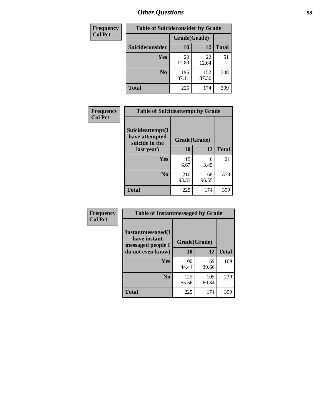| <b>Frequency</b> | <b>Table of Suicideconsider by Grade</b> |              |              |              |  |
|------------------|------------------------------------------|--------------|--------------|--------------|--|
| <b>Col Pct</b>   |                                          | Grade(Grade) |              |              |  |
|                  | Suicideconsider                          | 10           | 12           | <b>Total</b> |  |
|                  | Yes                                      | 29<br>12.89  | 22<br>12.64  | 51           |  |
|                  | N <sub>0</sub>                           | 196<br>87.11 | 152<br>87.36 | 348          |  |
|                  | <b>Total</b>                             | 225          | 174          | 399          |  |

| Frequency      | <b>Table of Suicideattempt by Grade</b>              |              |              |              |
|----------------|------------------------------------------------------|--------------|--------------|--------------|
| <b>Col Pct</b> | Suicideattempt(I<br>have attempted<br>suicide in the | Grade(Grade) |              |              |
|                | last year)                                           | 10           | 12           | <b>Total</b> |
|                | Yes                                                  | 15<br>6.67   | 6<br>3.45    | 21           |
|                | N <sub>0</sub>                                       | 210<br>93.33 | 168<br>96.55 | 378          |
|                | <b>Total</b>                                         | 225          | 174          | 399          |

| Frequency      | <b>Table of Instantmessaged by Grade</b>               |              |              |              |
|----------------|--------------------------------------------------------|--------------|--------------|--------------|
| <b>Col Pct</b> | Instantmessaged(I<br>have instant<br>messaged people I | Grade(Grade) |              |              |
|                | do not even know)                                      | 10           | 12           | <b>Total</b> |
|                | Yes                                                    | 100<br>44.44 | 69<br>39.66  | 169          |
|                | N <sub>0</sub>                                         | 125<br>55.56 | 105<br>60.34 | 230          |
|                | <b>Total</b>                                           | 225          | 174          | 399          |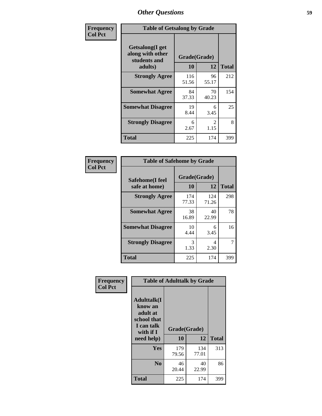| Frequency      | <b>Table of Getsalong by Grade</b>                          |                    |                        |              |  |
|----------------|-------------------------------------------------------------|--------------------|------------------------|--------------|--|
| <b>Col Pct</b> | <b>Getsalong</b> (I get<br>along with other<br>students and | Grade(Grade)<br>10 |                        | <b>Total</b> |  |
|                | adults)                                                     |                    | 12                     |              |  |
|                | <b>Strongly Agree</b>                                       | 116<br>51.56       | 96<br>55.17            | 212          |  |
|                | <b>Somewhat Agree</b>                                       | 84<br>37.33        | 70<br>40.23            | 154          |  |
|                | <b>Somewhat Disagree</b>                                    | 19<br>8.44         | 6<br>3.45              | 25           |  |
|                | <b>Strongly Disagree</b>                                    | 6<br>2.67          | $\mathfrak{D}$<br>1.15 | 8            |  |
|                | <b>Total</b>                                                | 225                | 174                    | 399          |  |

| Frequency      |                                  | <b>Table of Safehome by Grade</b> |              |                |  |
|----------------|----------------------------------|-----------------------------------|--------------|----------------|--|
| <b>Col Pct</b> | Safehome(I feel<br>safe at home) | Grade(Grade)<br><b>10</b>         | 12           | <b>Total</b>   |  |
|                | <b>Strongly Agree</b>            | 174<br>77.33                      | 124<br>71.26 | 298            |  |
|                | <b>Somewhat Agree</b>            | 38<br>16.89                       | 40<br>22.99  | 78             |  |
|                | <b>Somewhat Disagree</b>         | 10<br>4.44                        | 6<br>3.45    | 16             |  |
|                | <b>Strongly Disagree</b>         | 3<br>1.33                         | 4<br>2.30    | $\overline{7}$ |  |
|                | <b>Total</b>                     | 225                               | 174          | 399            |  |

| Frequency      | <b>Table of Adulttalk by Grade</b>                                                                |                    |              |              |  |  |
|----------------|---------------------------------------------------------------------------------------------------|--------------------|--------------|--------------|--|--|
| <b>Col Pct</b> | <b>Adulttalk(I</b><br>know an<br>adult at<br>school that<br>I can talk<br>with if I<br>need help) | Grade(Grade)<br>10 | 12           | <b>Total</b> |  |  |
|                |                                                                                                   |                    |              |              |  |  |
|                | Yes                                                                                               | 179<br>79.56       | 134<br>77.01 | 313          |  |  |
|                | N <sub>0</sub>                                                                                    | 46<br>20.44        | 40<br>22.99  | 86           |  |  |
|                | <b>Total</b>                                                                                      | 225                | 174          | 399          |  |  |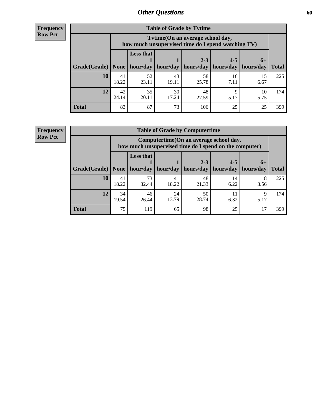**Frequency Row Pct**

| <b>Table of Grade by Tytime</b> |             |                                                                                         |                     |                                   |            |            |              |
|---------------------------------|-------------|-----------------------------------------------------------------------------------------|---------------------|-----------------------------------|------------|------------|--------------|
|                                 |             | Tytime (On an average school day,<br>how much unsupervised time do I spend watching TV) |                     |                                   |            |            |              |
|                                 |             | <b>Less that</b><br>$2 - 3$<br>$4 - 5$<br>$6+$                                          |                     |                                   |            |            |              |
| Grade(Grade)   None             |             |                                                                                         | hour/day   hour/day | hours/day   hours/day   hours/day |            |            | <b>Total</b> |
| 10                              | 41<br>18.22 | 52<br>23.11                                                                             | 43<br>19.11         | 58<br>25.78                       | 16<br>7.11 | 15<br>6.67 | 225          |
| 12                              | 42<br>24.14 | 35<br>20.11                                                                             | 30<br>17.24         | 48<br>27.59                       | 5.17       | 10<br>5.75 | 174          |
| <b>Total</b>                    | 83          | 87                                                                                      | 73                  | 106                               | 25         | 25         | 399          |

**Frequency Row Pct**

| <b>Table of Grade by Computertime</b> |             |                                                                                                                               |             |             |            |           |     |  |  |
|---------------------------------------|-------------|-------------------------------------------------------------------------------------------------------------------------------|-------------|-------------|------------|-----------|-----|--|--|
|                                       |             | Computertime (On an average school day,<br>how much unsupervised time do I spend on the computer)                             |             |             |            |           |     |  |  |
| Grade(Grade)                          | None        | <b>Less that</b><br>$4 - 5$<br>$2 - 3$<br>$6+$<br>hour/day<br>hours/day<br>hour/day<br>hours/day<br>hours/day<br><b>Total</b> |             |             |            |           |     |  |  |
| 10                                    | 41<br>18.22 | 73<br>32.44                                                                                                                   | 41<br>18.22 | 48<br>21.33 | 14<br>6.22 | 8<br>3.56 | 225 |  |  |
| 12                                    | 34<br>19.54 | 46<br>26.44                                                                                                                   | 24<br>13.79 | 50<br>28.74 | 11<br>6.32 | Q<br>5.17 | 174 |  |  |
| <b>Total</b>                          | 75          | 119                                                                                                                           | 65          | 98          | 25         | 17        | 399 |  |  |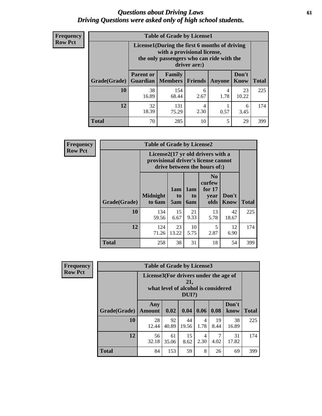### *Questions about Driving Laws* **61** *Driving Questions were asked only of high school students.*

| <b>Frequency</b> |
|------------------|
| <b>Row Pct</b>   |

| <b>Table of Grade by License1</b> |                                                                                                                                           |                     |                |           |               |              |  |  |  |
|-----------------------------------|-------------------------------------------------------------------------------------------------------------------------------------------|---------------------|----------------|-----------|---------------|--------------|--|--|--|
|                                   | License1(During the first 6 months of driving<br>with a provisional license,<br>the only passengers who can ride with the<br>driver are:) |                     |                |           |               |              |  |  |  |
| Grade(Grade)                      | <b>Parent or</b><br>Guardian                                                                                                              | Family<br>  Members | <b>Friends</b> | Anyone    | Don't<br>Know | <b>Total</b> |  |  |  |
| 10                                | 38<br>16.89                                                                                                                               | 154<br>68.44        | 6<br>2.67      | 4<br>1.78 | 23<br>10.22   | 225          |  |  |  |
| 12                                | 32<br>18.39                                                                                                                               | 131<br>75.29        | 4<br>2.30      | 0.57      | 6<br>3.45     | 174          |  |  |  |
| Total                             | 70                                                                                                                                        | 285                 | 10             | 5         | 29            | 399          |  |  |  |

| <b>Frequency</b> |              | <b>Table of Grade by License2</b>                                                                        |                  |                         |                                                      |                      |              |  |  |  |
|------------------|--------------|----------------------------------------------------------------------------------------------------------|------------------|-------------------------|------------------------------------------------------|----------------------|--------------|--|--|--|
| <b>Row Pct</b>   |              | License2(17 yr old drivers with a<br>provisional driver's license cannot<br>drive between the hours of:) |                  |                         |                                                      |                      |              |  |  |  |
|                  | Grade(Grade) | <b>Midnight</b><br>to 6am                                                                                | 1am<br>to<br>5am | 1am<br>to<br><b>6am</b> | N <sub>0</sub><br>curfew<br>for $17$<br>year<br>olds | Don't<br><b>Know</b> | <b>Total</b> |  |  |  |
|                  | 10           | 134<br>59.56                                                                                             | 15<br>6.67       | 21<br>9.33              | 13<br>5.78                                           | 42<br>18.67          | 225          |  |  |  |
|                  | 12           | 124<br>71.26                                                                                             | 23<br>13.22      | 10<br>5.75              | 5<br>2.87                                            | 12<br>6.90           | 174          |  |  |  |
|                  | <b>Total</b> | 258                                                                                                      | 38               | 31                      | 18                                                   | 54                   | 399          |  |  |  |

| Frequency      |              | <b>Table of Grade by License3</b>                                                               |             |             |           |            |               |              |
|----------------|--------------|-------------------------------------------------------------------------------------------------|-------------|-------------|-----------|------------|---------------|--------------|
| <b>Row Pct</b> |              | License3(For drivers under the age of<br>21,<br>what level of alcohol is considered<br>$DUI$ ?) |             |             |           |            |               |              |
|                | Grade(Grade) | Any<br><b>Amount</b>                                                                            | 0.02        | 0.04        | 0.06      | 0.08       | Don't<br>know | <b>Total</b> |
|                | <b>10</b>    | 28<br>12.44                                                                                     | 92<br>40.89 | 44<br>19.56 | 4<br>1.78 | 19<br>8.44 | 38<br>16.89   | 225          |
|                | 12           | 56<br>32.18                                                                                     | 61<br>35.06 | 15<br>8.62  | 4<br>2.30 | 4.02       | 31<br>17.82   | 174          |
|                | <b>Total</b> | 84                                                                                              | 153         | 59          | 8         | 26         | 69            | 399          |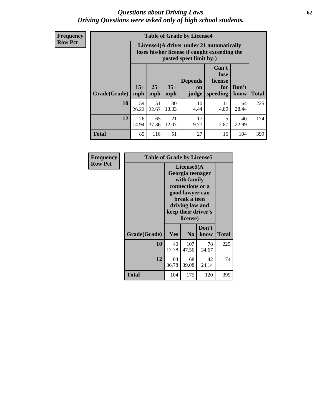### *Questions about Driving Laws* **62** *Driving Questions were asked only of high school students.*

**Frequency Row Pct**

| <b>Table of Grade by License4</b> |             |                                                                                                                                                                                                                                                                                |             |            |            |             |     |  |
|-----------------------------------|-------------|--------------------------------------------------------------------------------------------------------------------------------------------------------------------------------------------------------------------------------------------------------------------------------|-------------|------------|------------|-------------|-----|--|
|                                   |             | License4(A driver under 21 automatically<br>loses his/her license if caught exceeding the<br>posted speet limit by:)<br>Can't<br>lose<br><b>Depends</b><br>license<br>$15+$<br>$25+$<br>$35+$<br>Don't<br>for<br>on<br>mph<br><b>Total</b><br>speeding<br>know<br>mph<br>judge |             |            |            |             |     |  |
| Grade(Grade)                      | mph         |                                                                                                                                                                                                                                                                                |             |            |            |             |     |  |
| 10                                | 59<br>26.22 | 51<br>22.67                                                                                                                                                                                                                                                                    | 30<br>13.33 | 10<br>4.44 | 11<br>4.89 | 64<br>28.44 | 225 |  |
| 12                                | 26<br>14.94 | 65<br>37.36                                                                                                                                                                                                                                                                    | 21<br>12.07 | 17<br>9.77 | 5<br>2.87  | 40<br>22.99 | 174 |  |
| <b>Total</b>                      | 85          | 116                                                                                                                                                                                                                                                                            | 51          | 27         | 16         | 104         | 399 |  |

| Frequency      | <b>Table of Grade by License5</b> |                                                                                                                                                             |                |               |              |
|----------------|-----------------------------------|-------------------------------------------------------------------------------------------------------------------------------------------------------------|----------------|---------------|--------------|
| <b>Row Pct</b> |                                   | License5(A)<br>Georgia teenager<br>with family<br>connections or a<br>good lawyer can<br>break a teen<br>driving law and<br>keep their driver's<br>license) |                |               |              |
|                | Grade(Grade)                      | Yes                                                                                                                                                         | N <sub>0</sub> | Don't<br>know | <b>Total</b> |
|                | 10                                | 40<br>17.78                                                                                                                                                 | 107<br>47.56   | 78<br>34.67   | 225          |
|                | 12                                | 64<br>36.78                                                                                                                                                 | 68<br>39.08    | 42<br>24.14   | 174          |
|                | <b>Total</b>                      | 104                                                                                                                                                         | 175            | 120           | 399          |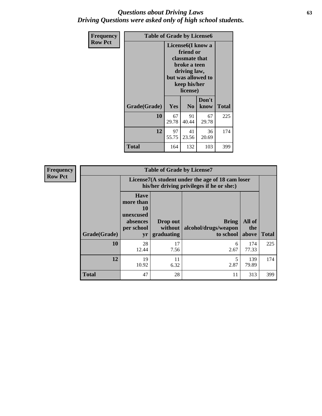### *Questions about Driving Laws* **63** *Driving Questions were asked only of high school students.*

| <b>Frequency</b> |              | <b>Table of Grade by License6</b>                                                                                                               |                |               |       |  |  |
|------------------|--------------|-------------------------------------------------------------------------------------------------------------------------------------------------|----------------|---------------|-------|--|--|
| <b>Row Pct</b>   |              | License <sub>6</sub> (I know a<br>friend or<br>classmate that<br>broke a teen<br>driving law,<br>but was allowed to<br>keep his/her<br>license) |                |               |       |  |  |
|                  | Grade(Grade) | Yes                                                                                                                                             | N <sub>0</sub> | Don't<br>know | Total |  |  |
|                  | 10           | 67<br>29.78                                                                                                                                     | 91<br>40.44    | 67<br>29.78   | 225   |  |  |
|                  | 12           | 97<br>55.75                                                                                                                                     | 41<br>23.56    | 36<br>20.69   | 174   |  |  |
|                  | <b>Total</b> | 164                                                                                                                                             | 132            | 103           | 399   |  |  |

| <b>Frequency</b> | <b>Table of Grade by License7</b> |                                                                             |                                     |                                                                                               |                        |              |  |  |  |  |
|------------------|-----------------------------------|-----------------------------------------------------------------------------|-------------------------------------|-----------------------------------------------------------------------------------------------|------------------------|--------------|--|--|--|--|
| <b>Row Pct</b>   |                                   |                                                                             |                                     | License7(A student under the age of 18 cam loser<br>his/her driving privileges if he or she:) |                        |              |  |  |  |  |
|                  | Grade(Grade)                      | <b>Have</b><br>more than<br>10<br>unexcused<br>absences<br>per school<br>yr | Drop out<br>without  <br>graduating | <b>Bring</b><br>alcohol/drugs/weapon<br>to school                                             | All of<br>the<br>above | <b>Total</b> |  |  |  |  |
|                  | 10                                | 28<br>12.44                                                                 | 17<br>7.56                          | 6<br>2.67                                                                                     | 174<br>77.33           | 225          |  |  |  |  |
|                  | 12                                | 19<br>10.92                                                                 | 11<br>6.32                          | 5<br>2.87                                                                                     | 139<br>79.89           | 174          |  |  |  |  |
|                  | <b>Total</b>                      | 47                                                                          | 28                                  | 11                                                                                            | 313                    | 399          |  |  |  |  |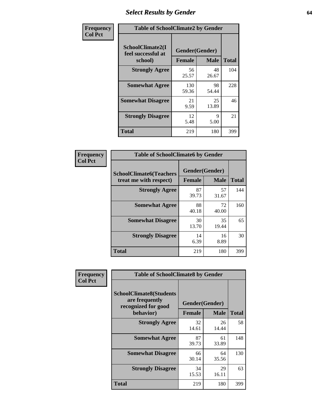# *Select Results by Gender* **64**

| Frequency      | <b>Table of SchoolClimate2 by Gender</b> |                |             |              |  |  |  |
|----------------|------------------------------------------|----------------|-------------|--------------|--|--|--|
| <b>Col Pct</b> | SchoolClimate2(I<br>feel successful at   | Gender(Gender) |             |              |  |  |  |
|                | school)                                  | <b>Female</b>  | <b>Male</b> | <b>Total</b> |  |  |  |
|                | <b>Strongly Agree</b>                    | 56<br>25.57    | 48<br>26.67 | 104          |  |  |  |
|                | <b>Somewhat Agree</b>                    | 130<br>59.36   | 98<br>54.44 | 228          |  |  |  |
|                | <b>Somewhat Disagree</b>                 | 21<br>9.59     | 25<br>13.89 | 46           |  |  |  |
|                | <b>Strongly Disagree</b>                 | 12<br>5.48     | 9<br>5.00   | 21           |  |  |  |
|                | <b>Total</b>                             | 219            | 180         | 399          |  |  |  |

| <b>Frequency</b> | <b>Table of SchoolClimate6 by Gender</b>                 |                |             |              |
|------------------|----------------------------------------------------------|----------------|-------------|--------------|
| <b>Col Pct</b>   | <b>SchoolClimate6(Teachers</b><br>treat me with respect) | Gender(Gender) |             |              |
|                  |                                                          | <b>Female</b>  | <b>Male</b> | <b>Total</b> |
|                  | <b>Strongly Agree</b>                                    | 87<br>39.73    | 57<br>31.67 | 144          |
|                  | <b>Somewhat Agree</b>                                    | 88<br>40.18    | 72<br>40.00 | 160          |
|                  | <b>Somewhat Disagree</b>                                 | 30<br>13.70    | 35<br>19.44 | 65           |
|                  | <b>Strongly Disagree</b>                                 | 14<br>6.39     | 16<br>8.89  | 30           |
|                  | <b>Total</b>                                             | 219            | 180         | 399          |

| <b>Frequency</b> |                                                                                      | <b>Table of SchoolClimate8 by Gender</b> |                            |     |  |  |  |  |  |
|------------------|--------------------------------------------------------------------------------------|------------------------------------------|----------------------------|-----|--|--|--|--|--|
| <b>Col Pct</b>   | <b>SchoolClimate8(Students</b><br>are frequently<br>recognized for good<br>behavior) | Gender(Gender)<br><b>Female</b>          | <b>Total</b>               |     |  |  |  |  |  |
|                  | <b>Strongly Agree</b>                                                                | 32<br>14.61                              | <b>Male</b><br>26<br>14.44 | 58  |  |  |  |  |  |
|                  | <b>Somewhat Agree</b>                                                                | 87<br>39.73                              | 61<br>33.89                | 148 |  |  |  |  |  |
|                  | <b>Somewhat Disagree</b>                                                             | 66<br>30.14                              | 64<br>35.56                | 130 |  |  |  |  |  |
|                  | <b>Strongly Disagree</b>                                                             | 34<br>15.53                              | 29<br>16.11                | 63  |  |  |  |  |  |
|                  | Total                                                                                | 219                                      | 180                        | 399 |  |  |  |  |  |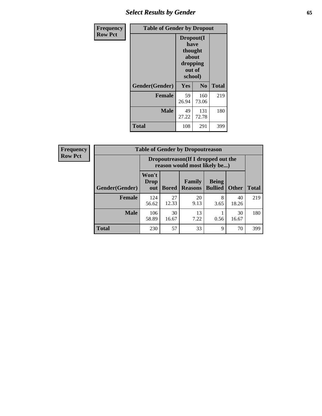# *Select Results by Gender* **65**

| Frequency      | <b>Table of Gender by Dropout</b> |                                                                        |                |              |
|----------------|-----------------------------------|------------------------------------------------------------------------|----------------|--------------|
| <b>Row Pct</b> |                                   | Dropout(I<br>have<br>thought<br>about<br>dropping<br>out of<br>school) |                |              |
|                | Gender(Gender)                    | Yes                                                                    | N <sub>0</sub> | <b>Total</b> |
|                | <b>Female</b>                     | 59<br>26.94                                                            | 160<br>73.06   | 219          |
|                | <b>Male</b>                       | 49<br>27.22                                                            | 131<br>72.78   | 180          |
|                | <b>Total</b>                      | 108                                                                    | 291            | 399          |

| <b>Frequency</b> |                | <b>Table of Gender by Dropoutreason</b>                            |              |                          |                                |              |              |
|------------------|----------------|--------------------------------------------------------------------|--------------|--------------------------|--------------------------------|--------------|--------------|
| <b>Row Pct</b>   |                | Dropoutreason(If I dropped out the<br>reason would most likely be) |              |                          |                                |              |              |
|                  | Gender(Gender) | Won't<br><b>Drop</b><br>out                                        | <b>Bored</b> | Family<br><b>Reasons</b> | <b>Being</b><br><b>Bullied</b> | <b>Other</b> | <b>Total</b> |
|                  | Female         | 124<br>56.62                                                       | 27<br>12.33  | 20<br>9.13               | 8<br>3.65                      | 40<br>18.26  | 219          |
|                  | <b>Male</b>    | 106<br>58.89                                                       | 30<br>16.67  | 13<br>7.22               | 0.56                           | 30<br>16.67  | 180          |
|                  | <b>Total</b>   | 230                                                                | 57           | 33                       | 9                              | 70           | 399          |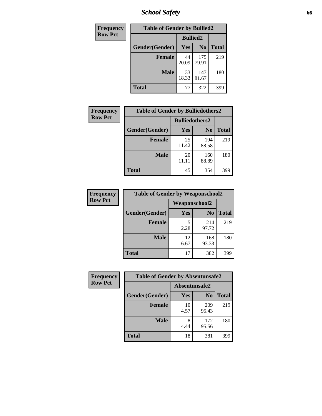*School Safety* **66**

| Frequency      | <b>Table of Gender by Bullied2</b> |                 |                |              |
|----------------|------------------------------------|-----------------|----------------|--------------|
| <b>Row Pct</b> |                                    | <b>Bullied2</b> |                |              |
|                | Gender(Gender)                     | Yes             | N <sub>0</sub> | <b>Total</b> |
|                | <b>Female</b>                      | 44<br>20.09     | 175<br>79.91   | 219          |
|                | <b>Male</b>                        | 33<br>18.33     | 147<br>81.67   | 180          |
|                | <b>Total</b>                       | 77              | 322            | 399          |

| <b>Frequency</b> | <b>Table of Gender by Bulliedothers2</b> |                       |                |              |
|------------------|------------------------------------------|-----------------------|----------------|--------------|
| <b>Row Pct</b>   |                                          | <b>Bulliedothers2</b> |                |              |
|                  | Gender(Gender)                           | <b>Yes</b>            | N <sub>0</sub> | <b>Total</b> |
|                  | <b>Female</b>                            | 25<br>11.42           | 194<br>88.58   | 219          |
|                  | <b>Male</b>                              | 20<br>11.11           | 160<br>88.89   | 180          |
|                  | <b>Total</b>                             | 45                    | 354            | 399          |

| Frequency      | <b>Table of Gender by Weaponschool2</b> |               |                |              |
|----------------|-----------------------------------------|---------------|----------------|--------------|
| <b>Row Pct</b> |                                         | Weaponschool2 |                |              |
|                | Gender(Gender)                          | Yes           | N <sub>0</sub> | <b>Total</b> |
|                | <b>Female</b>                           | 5<br>2.28     | 214<br>97.72   | 219          |
|                | <b>Male</b>                             | 12<br>6.67    | 168<br>93.33   | 180          |
|                | <b>Total</b>                            | 17            | 382            | 399          |

| Frequency      | <b>Table of Gender by Absentunsafe2</b> |               |                |              |  |
|----------------|-----------------------------------------|---------------|----------------|--------------|--|
| <b>Row Pct</b> |                                         | Absentunsafe2 |                |              |  |
|                | Gender(Gender)                          | Yes           | N <sub>0</sub> | <b>Total</b> |  |
|                | <b>Female</b>                           | 10<br>4.57    | 209<br>95.43   | 219          |  |
|                | <b>Male</b>                             | 4.44          | 172<br>95.56   | 180          |  |
|                | <b>Total</b>                            | 18            | 381            | 399          |  |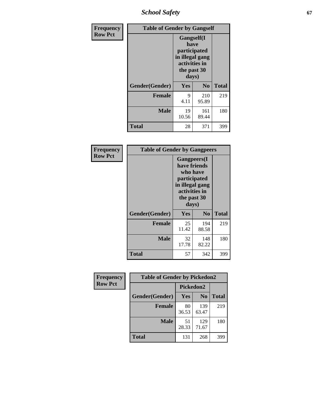*School Safety* **67**

| Frequency      | <b>Table of Gender by Gangself</b> |                                                                                                |              |              |  |
|----------------|------------------------------------|------------------------------------------------------------------------------------------------|--------------|--------------|--|
| <b>Row Pct</b> |                                    | Gangself(I<br>have<br>participated<br>in illegal gang<br>activities in<br>the past 30<br>days) |              |              |  |
|                | Gender(Gender)                     | Yes                                                                                            | No           | <b>Total</b> |  |
|                | <b>Female</b>                      | 9<br>4.11                                                                                      | 210<br>95.89 | 219          |  |
|                | <b>Male</b>                        | 19<br>10.56                                                                                    | 161<br>89.44 | 180          |  |
|                | <b>Total</b>                       | 28                                                                                             | 371          | 399          |  |

| Frequency      |                | <b>Table of Gender by Gangpeers</b>                                                                                         |                |              |  |
|----------------|----------------|-----------------------------------------------------------------------------------------------------------------------------|----------------|--------------|--|
| <b>Row Pct</b> |                | <b>Gangpeers</b> (I<br>have friends<br>who have<br>participated<br>in illegal gang<br>activities in<br>the past 30<br>days) |                |              |  |
|                | Gender(Gender) | Yes                                                                                                                         | N <sub>0</sub> | <b>Total</b> |  |
|                | <b>Female</b>  | 25<br>11.42                                                                                                                 | 194<br>88.58   | 219          |  |
|                | <b>Male</b>    | 32<br>17.78                                                                                                                 | 148<br>82.22   | 180          |  |
|                | <b>Total</b>   | 57                                                                                                                          | 342            | 399          |  |

| Frequency      | <b>Table of Gender by Pickedon2</b> |             |                |              |
|----------------|-------------------------------------|-------------|----------------|--------------|
| <b>Row Pct</b> |                                     | Pickedon2   |                |              |
|                | Gender(Gender)                      | Yes         | N <sub>0</sub> | <b>Total</b> |
|                | <b>Female</b>                       | 80<br>36.53 | 139<br>63.47   | 219          |
|                | <b>Male</b>                         | 51<br>28.33 | 129<br>71.67   | 180          |
|                | <b>Total</b>                        | 131         | 268            | 399          |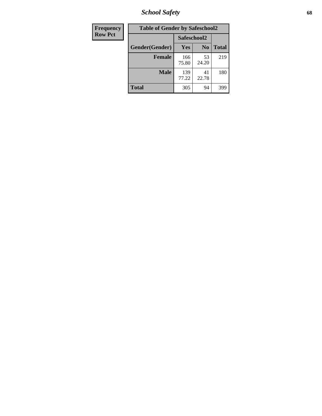*School Safety* **68**

| Frequency      | <b>Table of Gender by Safeschool2</b> |              |                |              |  |
|----------------|---------------------------------------|--------------|----------------|--------------|--|
| <b>Row Pct</b> |                                       | Safeschool2  |                |              |  |
|                | Gender(Gender)                        | Yes          | N <sub>0</sub> | <b>Total</b> |  |
|                | <b>Female</b>                         | 166<br>75.80 | 53<br>24.20    | 219          |  |
|                | Male                                  | 139<br>77.22 | 41<br>22.78    | 180          |  |
|                | <b>Total</b>                          | 305          | 94             | 399          |  |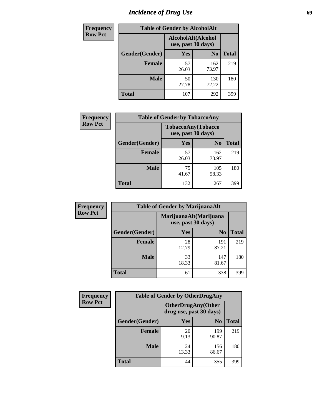# *Incidence of Drug Use* 69

| <b>Frequency</b> | <b>Table of Gender by AlcoholAlt</b> |                                          |                |              |  |
|------------------|--------------------------------------|------------------------------------------|----------------|--------------|--|
| <b>Row Pct</b>   |                                      | AlcoholAlt(Alcohol<br>use, past 30 days) |                |              |  |
|                  | Gender(Gender)                       | Yes                                      | N <sub>0</sub> | <b>Total</b> |  |
|                  | <b>Female</b>                        | 57<br>26.03                              | 162<br>73.97   | 219          |  |
|                  | <b>Male</b>                          | 50<br>27.78                              | 130<br>72.22   | 180          |  |
|                  | <b>Total</b>                         | 107                                      | 292            | 399          |  |

| <b>Frequency</b> | <b>Table of Gender by TobaccoAny</b> |                                          |                |              |  |
|------------------|--------------------------------------|------------------------------------------|----------------|--------------|--|
| <b>Row Pct</b>   |                                      | TobaccoAny(Tobacco<br>use, past 30 days) |                |              |  |
|                  | Gender(Gender)                       | Yes                                      | N <sub>0</sub> | <b>Total</b> |  |
|                  | <b>Female</b>                        | 57<br>26.03                              | 162<br>73.97   | 219          |  |
|                  | <b>Male</b>                          | 75<br>41.67                              | 105<br>58.33   | 180          |  |
|                  | <b>Total</b>                         | 132                                      | 267            | 399          |  |

| <b>Frequency</b> | <b>Table of Gender by MarijuanaAlt</b> |                    |                        |              |
|------------------|----------------------------------------|--------------------|------------------------|--------------|
| <b>Row Pct</b>   |                                        | use, past 30 days) | MarijuanaAlt(Marijuana |              |
|                  | Gender(Gender)                         | <b>Yes</b>         | N <sub>0</sub>         | <b>Total</b> |
|                  | Female                                 | 28<br>12.79        | 191<br>87.21           | 219          |
|                  | <b>Male</b>                            | 33<br>18.33        | 147<br>81.67           | 180          |
|                  | <b>Total</b>                           | 61                 | 338                    | 399          |

| <b>Frequency</b> | <b>Table of Gender by OtherDrugAny</b> |                         |                           |              |
|------------------|----------------------------------------|-------------------------|---------------------------|--------------|
| <b>Row Pct</b>   |                                        | drug use, past 30 days) | <b>OtherDrugAny(Other</b> |              |
|                  | <b>Gender</b> (Gender)                 | <b>Yes</b>              | N <sub>0</sub>            | <b>Total</b> |
|                  | <b>Female</b>                          | 20<br>9.13              | 199<br>90.87              | 219          |
|                  | <b>Male</b>                            | 24<br>13.33             | 156<br>86.67              | 180          |
|                  | <b>Total</b>                           | 44                      | 355                       | 399          |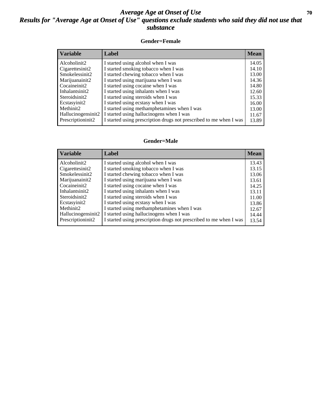### *Average Age at Onset of Use* 70 *Results for "Average Age at Onset of Use" questions exclude students who said they did not use that substance*

#### **Gender=Female**

| <b>Variable</b>    | <b>Label</b>                                                       | <b>Mean</b> |
|--------------------|--------------------------------------------------------------------|-------------|
| Alcoholinit2       | I started using alcohol when I was                                 | 14.05       |
| Cigarettesinit2    | I started smoking tobacco when I was                               | 14.10       |
| Smokelessinit2     | I started chewing tobacco when I was                               | 13.00       |
| Marijuanainit2     | I started using marijuana when I was                               | 14.36       |
| Cocaineinit2       | I started using cocaine when I was                                 | 14.80       |
| Inhalantsinit2     | I started using inhalants when I was                               | 12.60       |
| Steroidsinit2      | I started using steroids when I was                                | 15.33       |
| Ecstasyinit2       | I started using ecstasy when I was                                 | 16.00       |
| Methinit2          | I started using methamphetamines when I was                        | 13.00       |
| Hallucinogensinit2 | I started using hallucinogens when I was                           | 11.67       |
| Prescription in t2 | I started using prescription drugs not prescribed to me when I was | 13.89       |

#### **Gender=Male**

| <b>Variable</b>    | Label                                                              | <b>Mean</b> |
|--------------------|--------------------------------------------------------------------|-------------|
| Alcoholinit2       | I started using alcohol when I was                                 | 13.43       |
| Cigarettesinit2    | I started smoking tobacco when I was                               | 13.15       |
| Smokelessinit2     | I started chewing tobacco when I was                               | 13.06       |
| Marijuanainit2     | I started using marijuana when I was                               | 13.61       |
| Cocaineinit2       | I started using cocaine when I was                                 | 14.25       |
| Inhalantsinit2     | I started using inhalants when I was                               | 13.11       |
| Steroidsinit2      | I started using steroids when I was                                | 11.00       |
| Ecstasyinit2       | I started using ecstasy when I was                                 | 13.86       |
| Methinit2          | I started using methamphetamines when I was                        | 12.67       |
| Hallucinogensinit2 | I started using hallucinogens when I was                           | 14.44       |
| Prescriptioninit2  | I started using prescription drugs not prescribed to me when I was | 13.54       |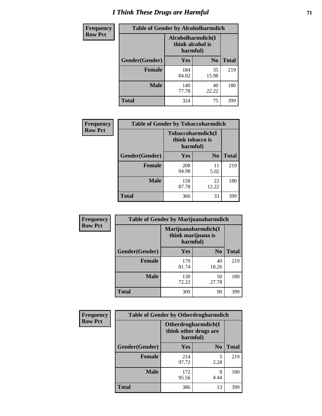# *I Think These Drugs are Harmful* **71**

| Frequency      | <b>Table of Gender by Alcoholharmdich</b> |                                                   |                |              |
|----------------|-------------------------------------------|---------------------------------------------------|----------------|--------------|
| <b>Row Pct</b> |                                           | Alcoholharmdich(I<br>think alcohol is<br>harmful) |                |              |
|                | Gender(Gender)                            | Yes                                               | N <sub>0</sub> | <b>Total</b> |
|                | <b>Female</b>                             | 184<br>84.02                                      | 35<br>15.98    | 219          |
|                | <b>Male</b>                               | 140<br>77.78                                      | 40<br>22.22    | 180          |
|                | Total                                     | 324                                               | 75             | 399          |

| Frequency      | <b>Table of Gender by Tobaccoharmdich</b> |                  |                               |              |  |
|----------------|-------------------------------------------|------------------|-------------------------------|--------------|--|
| <b>Row Pct</b> |                                           | think tobacco is | Tobaccoharmdich(I<br>harmful) |              |  |
|                | Gender(Gender)                            | Yes              | N <sub>0</sub>                | <b>Total</b> |  |
|                | <b>Female</b>                             | 208<br>94.98     | 11<br>5.02                    | 219          |  |
|                | <b>Male</b>                               | 158<br>87.78     | 22<br>12.22                   | 180          |  |
|                | <b>Total</b>                              | 366              | 33                            | 399          |  |

| Frequency      | <b>Table of Gender by Marijuanaharmdich</b> |                                                       |                |              |  |
|----------------|---------------------------------------------|-------------------------------------------------------|----------------|--------------|--|
| <b>Row Pct</b> |                                             | Marijuanaharmdich(I<br>think marijuana is<br>harmful) |                |              |  |
|                | Gender(Gender)                              | <b>Yes</b>                                            | N <sub>0</sub> | <b>Total</b> |  |
|                | <b>Female</b>                               | 179<br>81.74                                          | 40<br>18.26    | 219          |  |
|                | <b>Male</b>                                 | 130<br>72.22                                          | 50<br>27.78    | 180          |  |
|                | <b>Total</b>                                | 309                                                   | 90             | 399          |  |

| Frequency      | <b>Table of Gender by Otherdrugharmdich</b> |                                   |                     |              |  |
|----------------|---------------------------------------------|-----------------------------------|---------------------|--------------|--|
| <b>Row Pct</b> |                                             | think other drugs are<br>harmful) | Otherdrugharmdich(I |              |  |
|                | Gender(Gender)                              | <b>Yes</b>                        | N <sub>0</sub>      | <b>Total</b> |  |
|                | <b>Female</b>                               | 214<br>97.72                      | 5<br>2.28           | 219          |  |
|                | <b>Male</b>                                 | 172<br>95.56                      | 8<br>4.44           | 180          |  |
|                | <b>Total</b>                                | 386                               | 13                  | 399          |  |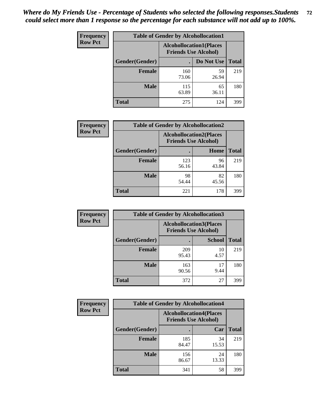| <b>Frequency</b> | <b>Table of Gender by Alcohollocation1</b> |                                                               |             |              |
|------------------|--------------------------------------------|---------------------------------------------------------------|-------------|--------------|
| <b>Row Pct</b>   |                                            | <b>Alcohollocation1(Places</b><br><b>Friends Use Alcohol)</b> |             |              |
|                  | Gender(Gender)                             |                                                               | Do Not Use  | <b>Total</b> |
|                  | <b>Female</b>                              | 160<br>73.06                                                  | 59<br>26.94 | 219          |
|                  | <b>Male</b>                                | 115<br>63.89                                                  | 65<br>36.11 | 180          |
|                  | <b>Total</b>                               | 275                                                           | 124         | 399          |

| <b>Frequency</b> | <b>Table of Gender by Alcohollocation2</b> |                                                               |             |              |
|------------------|--------------------------------------------|---------------------------------------------------------------|-------------|--------------|
| <b>Row Pct</b>   |                                            | <b>Alcohollocation2(Places</b><br><b>Friends Use Alcohol)</b> |             |              |
|                  | Gender(Gender)                             |                                                               | Home        | <b>Total</b> |
|                  | <b>Female</b>                              | 123<br>56.16                                                  | 96<br>43.84 | 219          |
|                  | <b>Male</b>                                | 98<br>54.44                                                   | 82<br>45.56 | 180          |
|                  | <b>Total</b>                               | 221                                                           | 178         | 399          |

| Frequency      | <b>Table of Gender by Alcohollocation3</b> |                                                               |               |              |
|----------------|--------------------------------------------|---------------------------------------------------------------|---------------|--------------|
| <b>Row Pct</b> |                                            | <b>Alcohollocation3(Places</b><br><b>Friends Use Alcohol)</b> |               |              |
|                | Gender(Gender)                             |                                                               | <b>School</b> | <b>Total</b> |
|                | <b>Female</b>                              | 209<br>95.43                                                  | 10<br>4.57    | 219          |
|                | <b>Male</b>                                | 163<br>90.56                                                  | 17<br>9.44    | 180          |
|                | <b>Total</b>                               | 372                                                           | 27            | 399          |

| <b>Frequency</b> | <b>Table of Gender by Alcohollocation4</b> |                             |                                |              |  |
|------------------|--------------------------------------------|-----------------------------|--------------------------------|--------------|--|
| <b>Row Pct</b>   |                                            | <b>Friends Use Alcohol)</b> | <b>Alcohollocation4(Places</b> |              |  |
|                  | Gender(Gender)                             |                             | Car                            | <b>Total</b> |  |
|                  | <b>Female</b>                              | 185<br>84.47                | 34<br>15.53                    | 219          |  |
|                  | <b>Male</b>                                | 156<br>86.67                | 24<br>13.33                    | 180          |  |
|                  | <b>Total</b>                               | 341                         | 58                             | 399          |  |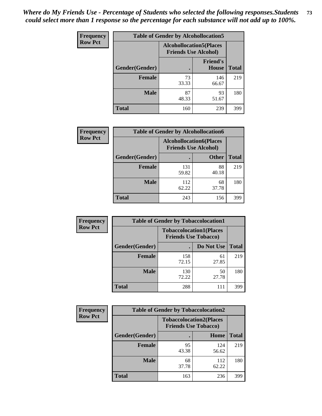| <b>Frequency</b> | <b>Table of Gender by Alcohollocation5</b> |                                                                |                          |              |
|------------------|--------------------------------------------|----------------------------------------------------------------|--------------------------|--------------|
| <b>Row Pct</b>   |                                            | <b>Alcohollocation5</b> (Places<br><b>Friends Use Alcohol)</b> |                          |              |
|                  | Gender(Gender)                             |                                                                | <b>Friend's</b><br>House | <b>Total</b> |
|                  | <b>Female</b>                              | 73<br>33.33                                                    | 146<br>66.67             | 219          |
|                  | <b>Male</b>                                | 87<br>48.33                                                    | 93<br>51.67              | 180          |
|                  | <b>Total</b>                               | 160                                                            | 239                      | 399          |

| Frequency      | <b>Table of Gender by Alcohollocation6</b> |              |                                                               |              |
|----------------|--------------------------------------------|--------------|---------------------------------------------------------------|--------------|
| <b>Row Pct</b> |                                            |              | <b>Alcohollocation6(Places</b><br><b>Friends Use Alcohol)</b> |              |
|                | Gender(Gender)                             |              | <b>Other</b>                                                  | <b>Total</b> |
|                | <b>Female</b>                              | 131<br>59.82 | 88<br>40.18                                                   | 219          |
|                | <b>Male</b>                                | 112<br>62.22 | 68<br>37.78                                                   | 180          |
|                | <b>Total</b>                               | 243          | 156                                                           | 399          |

| Frequency      | <b>Table of Gender by Tobaccolocation1</b> |                                                               |             |              |  |
|----------------|--------------------------------------------|---------------------------------------------------------------|-------------|--------------|--|
| <b>Row Pct</b> |                                            | <b>Tobaccolocation1(Places</b><br><b>Friends Use Tobacco)</b> |             |              |  |
|                | Gender(Gender)                             |                                                               | Do Not Use  | <b>Total</b> |  |
|                | Female                                     | 158<br>72.15                                                  | 61<br>27.85 | 219          |  |
|                | <b>Male</b>                                | 130<br>72.22                                                  | 50<br>27.78 | 180          |  |
|                | <b>Total</b>                               | 288                                                           | 111         | 399          |  |

| <b>Frequency</b> | <b>Table of Gender by Tobaccolocation2</b> |                                                               |              |              |
|------------------|--------------------------------------------|---------------------------------------------------------------|--------------|--------------|
| <b>Row Pct</b>   |                                            | <b>Tobaccolocation2(Places</b><br><b>Friends Use Tobacco)</b> |              |              |
|                  | Gender(Gender)                             |                                                               | Home         | <b>Total</b> |
|                  | Female                                     | 95<br>43.38                                                   | 124<br>56.62 | 219          |
|                  | <b>Male</b>                                | 68<br>37.78                                                   | 112<br>62.22 | 180          |
|                  | <b>Total</b>                               | 163                                                           | 236          | 399          |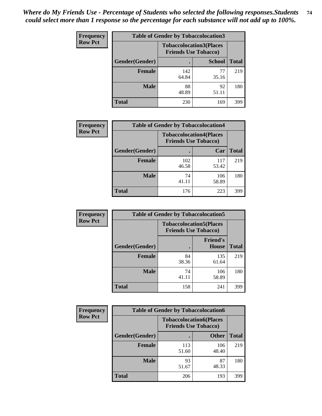| <b>Frequency</b> | <b>Table of Gender by Tobaccolocation3</b> |                             |                                |              |
|------------------|--------------------------------------------|-----------------------------|--------------------------------|--------------|
| <b>Row Pct</b>   |                                            | <b>Friends Use Tobacco)</b> | <b>Tobaccolocation3(Places</b> |              |
|                  | Gender(Gender)                             |                             | <b>School</b>                  | <b>Total</b> |
|                  | <b>Female</b>                              | 142<br>64.84                | 77<br>35.16                    | 219          |
|                  | <b>Male</b>                                | 88<br>48.89                 | 92<br>51.11                    | 180          |
|                  | <b>Total</b>                               | 230                         | 169                            | 399          |

| <b>Frequency</b> | <b>Table of Gender by Tobaccolocation4</b> |                             |                                |              |
|------------------|--------------------------------------------|-----------------------------|--------------------------------|--------------|
| <b>Row Pct</b>   |                                            | <b>Friends Use Tobacco)</b> | <b>Tobaccolocation4(Places</b> |              |
|                  | Gender(Gender)                             |                             | Car                            | <b>Total</b> |
|                  | <b>Female</b>                              | 102<br>46.58                | 117<br>53.42                   | 219          |
|                  | <b>Male</b>                                | 74<br>41.11                 | 106<br>58.89                   | 180          |
|                  | <b>Total</b>                               | 176                         | 223                            | 399          |

| <b>Frequency</b> | <b>Table of Gender by Tobaccolocation5</b> |             |                                                               |              |
|------------------|--------------------------------------------|-------------|---------------------------------------------------------------|--------------|
| <b>Row Pct</b>   |                                            |             | <b>Tobaccolocation5(Places</b><br><b>Friends Use Tobacco)</b> |              |
|                  | Gender(Gender)                             |             | <b>Friend's</b><br><b>House</b>                               | <b>Total</b> |
|                  | <b>Female</b>                              | 84<br>38.36 | 135<br>61.64                                                  | 219          |
|                  | <b>Male</b>                                | 74<br>41.11 | 106<br>58.89                                                  | 180          |
|                  | <b>Total</b>                               | 158         | 241                                                           | 399          |

| <b>Frequency</b> | <b>Table of Gender by Tobaccolocation6</b> |                                                               |              |              |
|------------------|--------------------------------------------|---------------------------------------------------------------|--------------|--------------|
| <b>Row Pct</b>   |                                            | <b>Tobaccolocation6(Places</b><br><b>Friends Use Tobacco)</b> |              |              |
|                  | Gender(Gender)                             |                                                               | <b>Other</b> | <b>Total</b> |
|                  | <b>Female</b>                              | 113<br>51.60                                                  | 106<br>48.40 | 219          |
|                  | <b>Male</b>                                | 93<br>51.67                                                   | 87<br>48.33  | 180          |
|                  | <b>Total</b>                               | 206                                                           | 193          | 399          |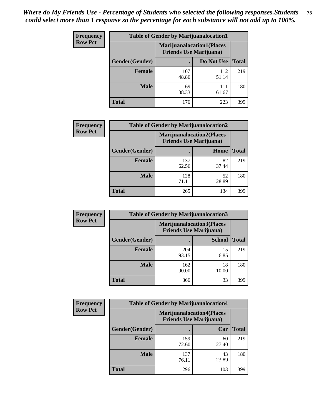| <b>Frequency</b> | <b>Table of Gender by Marijuanalocation1</b> |                                                                    |              |              |  |
|------------------|----------------------------------------------|--------------------------------------------------------------------|--------------|--------------|--|
| <b>Row Pct</b>   |                                              | <b>Marijuanalocation1(Places</b><br><b>Friends Use Marijuana</b> ) |              |              |  |
|                  | <b>Gender</b> (Gender)                       |                                                                    | Do Not Use   | <b>Total</b> |  |
|                  | <b>Female</b>                                | 107<br>48.86                                                       | 112<br>51.14 | 219          |  |
|                  | <b>Male</b>                                  | 69<br>38.33                                                        | 111<br>61.67 | 180          |  |
|                  | <b>Total</b>                                 | 176                                                                | 223          | 399          |  |

| <b>Frequency</b> | <b>Table of Gender by Marijuanalocation2</b> |                                                                    |             |              |  |
|------------------|----------------------------------------------|--------------------------------------------------------------------|-------------|--------------|--|
| <b>Row Pct</b>   |                                              | <b>Marijuanalocation2(Places</b><br><b>Friends Use Marijuana</b> ) |             |              |  |
|                  | Gender(Gender)                               |                                                                    | Home        | <b>Total</b> |  |
|                  | <b>Female</b>                                | 137<br>62.56                                                       | 82<br>37.44 | 219          |  |
|                  | <b>Male</b>                                  | 128<br>71.11                                                       | 52<br>28.89 | 180          |  |
|                  | <b>Total</b>                                 | 265                                                                | 134         | 399          |  |

| Frequency      | <b>Table of Gender by Marijuanalocation3</b> |              |                                                                    |              |
|----------------|----------------------------------------------|--------------|--------------------------------------------------------------------|--------------|
| <b>Row Pct</b> |                                              |              | <b>Marijuanalocation3(Places</b><br><b>Friends Use Marijuana</b> ) |              |
|                | Gender(Gender)                               |              | <b>School</b>                                                      | <b>Total</b> |
|                | Female                                       | 204<br>93.15 | 15<br>6.85                                                         | 219          |
|                | <b>Male</b>                                  | 162<br>90.00 | 18<br>10.00                                                        | 180          |
|                | <b>Total</b>                                 | 366          | 33                                                                 | 399          |

| <b>Frequency</b> | <b>Table of Gender by Marijuanalocation4</b> |                                                                    |             |              |
|------------------|----------------------------------------------|--------------------------------------------------------------------|-------------|--------------|
| <b>Row Pct</b>   |                                              | <b>Marijuanalocation4(Places</b><br><b>Friends Use Marijuana</b> ) |             |              |
|                  | Gender(Gender)                               |                                                                    | Car         | <b>Total</b> |
|                  | <b>Female</b>                                | 159<br>72.60                                                       | 60<br>27.40 | 219          |
|                  | <b>Male</b>                                  | 137<br>76.11                                                       | 43<br>23.89 | 180          |
|                  | <b>Total</b>                                 | 296                                                                | 103         | 399          |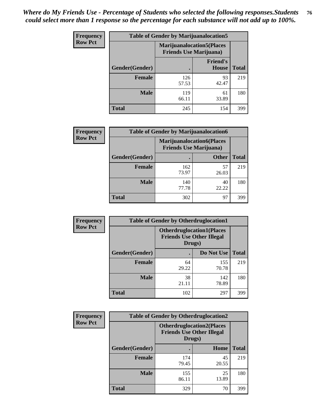| <b>Frequency</b> | <b>Table of Gender by Marijuanalocation5</b> |                                                                     |                                 |              |
|------------------|----------------------------------------------|---------------------------------------------------------------------|---------------------------------|--------------|
| <b>Row Pct</b>   |                                              | <b>Marijuanalocation5</b> (Places<br><b>Friends Use Marijuana</b> ) |                                 |              |
|                  | Gender(Gender)                               |                                                                     | <b>Friend's</b><br><b>House</b> | <b>Total</b> |
|                  | <b>Female</b>                                | 126<br>57.53                                                        | 93<br>42.47                     | 219          |
|                  | <b>Male</b>                                  | 119<br>66.11                                                        | 61<br>33.89                     | 180          |
|                  | <b>Total</b>                                 | 245                                                                 | 154                             | 399          |

| <b>Frequency</b> | <b>Table of Gender by Marijuanalocation6</b> |                                |                                  |              |
|------------------|----------------------------------------------|--------------------------------|----------------------------------|--------------|
| <b>Row Pct</b>   |                                              | <b>Friends Use Marijuana</b> ) | <b>Marijuanalocation6(Places</b> |              |
|                  | Gender(Gender)                               |                                | <b>Other</b>                     | <b>Total</b> |
|                  | <b>Female</b>                                | 162<br>73.97                   | 57<br>26.03                      | 219          |
|                  | <b>Male</b>                                  | 140<br>77.78                   | 40<br>22.22                      | 180          |
|                  | <b>Total</b>                                 | 302                            | 97                               | 399          |

| <b>Frequency</b> | <b>Table of Gender by Otherdruglocation1</b> |                                                                                |              |              |
|------------------|----------------------------------------------|--------------------------------------------------------------------------------|--------------|--------------|
| <b>Row Pct</b>   |                                              | <b>Otherdruglocation1(Places</b><br><b>Friends Use Other Illegal</b><br>Drugs) |              |              |
|                  | <b>Gender</b> (Gender)                       |                                                                                | Do Not Use   | <b>Total</b> |
|                  | <b>Female</b>                                | 64<br>29.22                                                                    | 155<br>70.78 | 219          |
|                  | <b>Male</b>                                  | 38<br>21.11                                                                    | 142<br>78.89 | 180          |
|                  | <b>Total</b>                                 | 102                                                                            | 297          | 399          |

| <b>Frequency</b> | <b>Table of Gender by Otherdruglocation2</b> |                                            |                                  |              |
|------------------|----------------------------------------------|--------------------------------------------|----------------------------------|--------------|
| <b>Row Pct</b>   |                                              | <b>Friends Use Other Illegal</b><br>Drugs) | <b>Otherdruglocation2(Places</b> |              |
|                  | Gender(Gender)                               |                                            | Home                             | <b>Total</b> |
|                  | Female                                       | 174<br>79.45                               | 45<br>20.55                      | 219          |
|                  | <b>Male</b>                                  | 155<br>86.11                               | 25<br>13.89                      | 180          |
|                  | <b>Total</b>                                 | 329                                        | 70                               | 399          |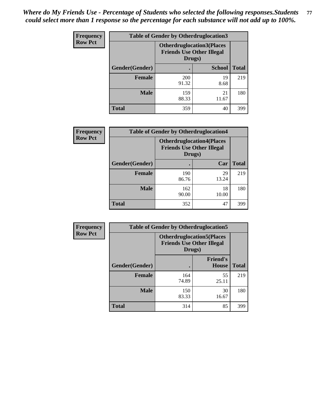| Frequency      | <b>Table of Gender by Otherdruglocation3</b> |                                                                                |               |              |
|----------------|----------------------------------------------|--------------------------------------------------------------------------------|---------------|--------------|
| <b>Row Pct</b> |                                              | <b>Otherdruglocation3(Places</b><br><b>Friends Use Other Illegal</b><br>Drugs) |               |              |
|                | Gender(Gender)                               |                                                                                | <b>School</b> | <b>Total</b> |
|                | Female                                       | <b>200</b><br>91.32                                                            | 19<br>8.68    | 219          |
|                | <b>Male</b>                                  | 159<br>88.33                                                                   | 21<br>11.67   | 180          |
|                | <b>Total</b>                                 | 359                                                                            | 40            | 399          |

| Frequency      | <b>Table of Gender by Otherdruglocation4</b> |                                                                                |             |              |
|----------------|----------------------------------------------|--------------------------------------------------------------------------------|-------------|--------------|
| <b>Row Pct</b> |                                              | <b>Otherdruglocation4(Places</b><br><b>Friends Use Other Illegal</b><br>Drugs) |             |              |
|                | <b>Gender</b> (Gender)                       |                                                                                | Car         | <b>Total</b> |
|                | <b>Female</b>                                | 190<br>86.76                                                                   | 29<br>13.24 | 219          |
|                | <b>Male</b>                                  | 162<br>90.00                                                                   | 18<br>10.00 | 180          |
|                | <b>Total</b>                                 | 352                                                                            | 47          | 399          |

| <b>Frequency</b> | <b>Table of Gender by Otherdruglocation5</b> |              |                                                                      |              |
|------------------|----------------------------------------------|--------------|----------------------------------------------------------------------|--------------|
| <b>Row Pct</b>   |                                              | Drugs)       | <b>Otherdruglocation5(Places</b><br><b>Friends Use Other Illegal</b> |              |
|                  | Gender(Gender)                               |              | <b>Friend's</b><br><b>House</b>                                      | <b>Total</b> |
|                  | <b>Female</b>                                | 164<br>74.89 | 55<br>25.11                                                          | 219          |
|                  | <b>Male</b>                                  | 150<br>83.33 | 30<br>16.67                                                          | 180          |
|                  | <b>Total</b>                                 | 314          | 85                                                                   | 399          |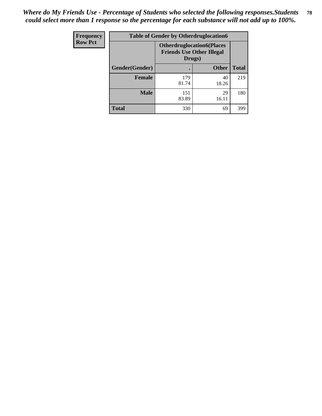| <b>Frequency</b> | <b>Table of Gender by Otherdruglocation6</b> |                                                                                |              |              |
|------------------|----------------------------------------------|--------------------------------------------------------------------------------|--------------|--------------|
| <b>Row Pct</b>   |                                              | <b>Otherdruglocation6(Places</b><br><b>Friends Use Other Illegal</b><br>Drugs) |              |              |
|                  | Gender(Gender)                               |                                                                                | <b>Other</b> | <b>Total</b> |
|                  | Female                                       | 179<br>81.74                                                                   | 40<br>18.26  | 219          |
|                  | <b>Male</b>                                  | 151<br>83.89                                                                   | 29<br>16.11  | 180          |
|                  | <b>Total</b>                                 | 330                                                                            | 69           | 399          |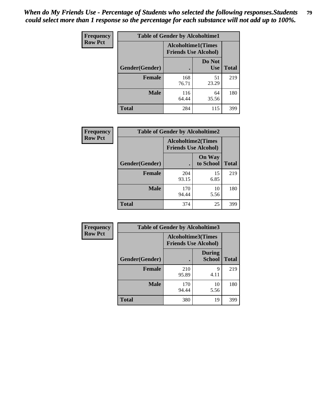| <b>Frequency</b> | <b>Table of Gender by Alcoholtime1</b> |                                                          |                      |              |
|------------------|----------------------------------------|----------------------------------------------------------|----------------------|--------------|
| <b>Row Pct</b>   |                                        | <b>Alcoholtime1(Times</b><br><b>Friends Use Alcohol)</b> |                      |              |
|                  | Gender(Gender)                         |                                                          | Do Not<br><b>Use</b> | <b>Total</b> |
|                  | <b>Female</b>                          | 168<br>76.71                                             | 51<br>23.29          | 219          |
|                  | <b>Male</b>                            | 116<br>64.44                                             | 64<br>35.56          | 180          |
|                  | <b>Total</b>                           | 284                                                      | 115                  | 399          |

| Frequency      | <b>Table of Gender by Alcoholtime2</b> |                                                          |                            |              |
|----------------|----------------------------------------|----------------------------------------------------------|----------------------------|--------------|
| <b>Row Pct</b> |                                        | <b>Alcoholtime2(Times</b><br><b>Friends Use Alcohol)</b> |                            |              |
|                | Gender(Gender)                         |                                                          | <b>On Way</b><br>to School | <b>Total</b> |
|                | <b>Female</b>                          | 204<br>93.15                                             | 15<br>6.85                 | 219          |
|                | <b>Male</b>                            | 170<br>94.44                                             | 10<br>5.56                 | 180          |
|                | <b>Total</b>                           | 374                                                      | 25                         | 399          |

| Frequency      | <b>Table of Gender by Alcoholtime3</b> |                                                          |                                |              |
|----------------|----------------------------------------|----------------------------------------------------------|--------------------------------|--------------|
| <b>Row Pct</b> |                                        | <b>Alcoholtime3(Times</b><br><b>Friends Use Alcohol)</b> |                                |              |
|                | Gender(Gender)                         |                                                          | <b>During</b><br><b>School</b> | <b>Total</b> |
|                | Female                                 | 210<br>95.89                                             | 9<br>4.11                      | 219          |
|                | <b>Male</b>                            | 170<br>94.44                                             | 10<br>5.56                     | 180          |
|                | <b>Total</b>                           | 380                                                      | 19                             | 399          |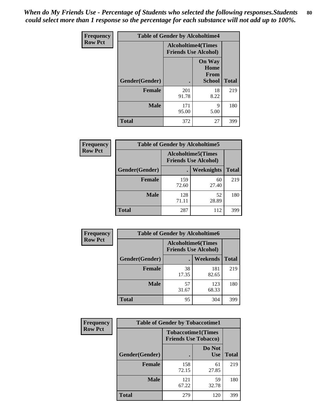*When do My Friends Use - Percentage of Students who selected the following responses.Students could select more than 1 response so the percentage for each substance will not add up to 100%.* **80**

| <b>Frequency</b> | <b>Table of Gender by Alcoholtime4</b> |                                                          |                                                       |              |
|------------------|----------------------------------------|----------------------------------------------------------|-------------------------------------------------------|--------------|
| <b>Row Pct</b>   |                                        | <b>Alcoholtime4(Times</b><br><b>Friends Use Alcohol)</b> |                                                       |              |
|                  | Gender(Gender)                         |                                                          | <b>On Way</b><br>Home<br><b>From</b><br><b>School</b> | <b>Total</b> |
|                  | <b>Female</b>                          | 201<br>91.78                                             | 18<br>8.22                                            | 219          |
|                  | <b>Male</b>                            | 171<br>95.00                                             | 9<br>5.00                                             | 180          |
|                  | <b>Total</b>                           | 372                                                      | 27                                                    | 399          |

| <b>Frequency</b> | <b>Table of Gender by Alcoholtime5</b> |                                                           |                   |              |
|------------------|----------------------------------------|-----------------------------------------------------------|-------------------|--------------|
| <b>Row Pct</b>   |                                        | <b>Alcoholtime5</b> (Times<br><b>Friends Use Alcohol)</b> |                   |              |
|                  | Gender(Gender)                         |                                                           | <b>Weeknights</b> | <b>Total</b> |
|                  | <b>Female</b>                          | 159<br>72.60                                              | 60<br>27.40       | 219          |
|                  | <b>Male</b>                            | 128<br>71.11                                              | 52<br>28.89       | 180          |
|                  | <b>Total</b>                           | 287                                                       | 112               | 399          |

| <b>Frequency</b> |                | <b>Table of Gender by Alcoholtime6</b> |                                                           |              |
|------------------|----------------|----------------------------------------|-----------------------------------------------------------|--------------|
| <b>Row Pct</b>   |                |                                        | <b>Alcoholtime6</b> (Times<br><b>Friends Use Alcohol)</b> |              |
|                  | Gender(Gender) |                                        | Weekends                                                  | <b>Total</b> |
|                  | Female         | 38<br>17.35                            | 181<br>82.65                                              | 219          |
|                  | <b>Male</b>    | 57<br>31.67                            | 123<br>68.33                                              | 180          |
|                  | <b>Total</b>   | 95                                     | 304                                                       | 399          |

| Frequency      | <b>Table of Gender by Tobaccotime1</b> |                                                          |                      |              |
|----------------|----------------------------------------|----------------------------------------------------------|----------------------|--------------|
| <b>Row Pct</b> |                                        | <b>Tobaccotime1(Times</b><br><b>Friends Use Tobacco)</b> |                      |              |
|                | Gender(Gender)                         |                                                          | Do Not<br><b>Use</b> | <b>Total</b> |
|                | <b>Female</b>                          | 158<br>72.15                                             | 61<br>27.85          | 219          |
|                | <b>Male</b>                            | 121<br>67.22                                             | 59<br>32.78          | 180          |
|                | <b>Total</b>                           | 279                                                      | 120                  | 399          |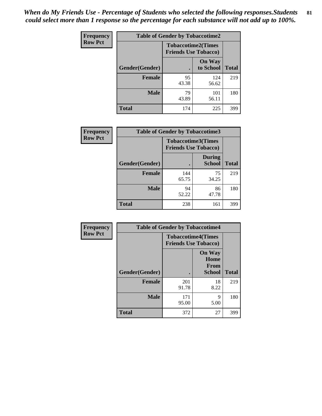*When do My Friends Use - Percentage of Students who selected the following responses.Students could select more than 1 response so the percentage for each substance will not add up to 100%.* **81**

| <b>Frequency</b> | <b>Table of Gender by Tobaccotime2</b>                   |             |                            |              |
|------------------|----------------------------------------------------------|-------------|----------------------------|--------------|
| <b>Row Pct</b>   | <b>Tobaccotime2(Times</b><br><b>Friends Use Tobacco)</b> |             |                            |              |
|                  | Gender(Gender)                                           |             | <b>On Way</b><br>to School | <b>Total</b> |
|                  | <b>Female</b>                                            | 95<br>43.38 | 124<br>56.62               | 219          |
|                  | <b>Male</b>                                              | 79<br>43.89 | 101<br>56.11               | 180          |
|                  | <b>Total</b>                                             | 174         | 225                        | 399          |

| Frequency      | <b>Table of Gender by Tobaccotime3</b>                   |              |                                |              |
|----------------|----------------------------------------------------------|--------------|--------------------------------|--------------|
| <b>Row Pct</b> | <b>Tobaccotime3(Times</b><br><b>Friends Use Tobacco)</b> |              |                                |              |
|                | Gender(Gender)                                           |              | <b>During</b><br><b>School</b> | <b>Total</b> |
|                | Female                                                   | 144<br>65.75 | 75<br>34.25                    | 219          |
|                | <b>Male</b>                                              | 94<br>52.22  | 86<br>47.78                    | 180          |
|                | <b>Total</b>                                             | 238          | 161                            | 399          |

| <b>Frequency</b> | <b>Table of Gender by Tobaccotime4</b> |                                                          |                                                       |              |
|------------------|----------------------------------------|----------------------------------------------------------|-------------------------------------------------------|--------------|
| <b>Row Pct</b>   |                                        | <b>Tobaccotime4(Times</b><br><b>Friends Use Tobacco)</b> |                                                       |              |
|                  | Gender(Gender)                         |                                                          | <b>On Way</b><br>Home<br><b>From</b><br><b>School</b> | <b>Total</b> |
|                  | <b>Female</b>                          | 201<br>91.78                                             | 18<br>8.22                                            | 219          |
|                  | <b>Male</b>                            | 171<br>95.00                                             | 9<br>5.00                                             | 180          |
|                  | <b>Total</b>                           | 372                                                      | 27                                                    | 399          |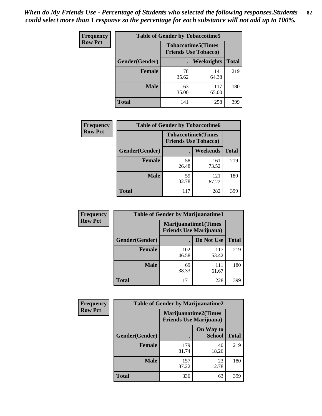| <b>Frequency</b> | <b>Table of Gender by Tobaccotime5</b> |                                                          |              |              |
|------------------|----------------------------------------|----------------------------------------------------------|--------------|--------------|
| <b>Row Pct</b>   |                                        | <b>Tobaccotime5(Times</b><br><b>Friends Use Tobacco)</b> |              |              |
|                  | Gender(Gender)                         |                                                          | Weeknights   | <b>Total</b> |
|                  | Female                                 | 78<br>35.62                                              | 141<br>64.38 | 219          |
|                  | <b>Male</b>                            | 63<br>35.00                                              | 117<br>65.00 | 180          |
|                  | <b>Total</b>                           | 141                                                      | 258          | 399          |

| <b>Frequency</b> | <b>Table of Gender by Tobaccotime6</b> |                             |                           |              |
|------------------|----------------------------------------|-----------------------------|---------------------------|--------------|
| <b>Row Pct</b>   |                                        | <b>Friends Use Tobacco)</b> | <b>Tobaccotime6(Times</b> |              |
|                  | Gender(Gender)                         |                             | <b>Weekends</b>           | <b>Total</b> |
|                  | Female                                 | 58<br>26.48                 | 161<br>73.52              | 219          |
|                  | <b>Male</b>                            | 59<br>32.78                 | 121<br>67.22              | 180          |
|                  | <b>Total</b>                           | 117                         | 282                       | 399          |

| <b>Frequency</b> | <b>Table of Gender by Marijuanatime1</b> |                                                               |              |              |
|------------------|------------------------------------------|---------------------------------------------------------------|--------------|--------------|
| <b>Row Pct</b>   |                                          | <b>Marijuanatime1(Times</b><br><b>Friends Use Marijuana</b> ) |              |              |
|                  | Gender(Gender)                           |                                                               | Do Not Use   | <b>Total</b> |
|                  | <b>Female</b>                            | 102<br>46.58                                                  | 117<br>53.42 | 219          |
|                  | <b>Male</b>                              | 69<br>38.33                                                   | 111<br>61.67 | 180          |
|                  | <b>Total</b>                             | 171                                                           | 228          | 399          |

| <b>Frequency</b> | <b>Table of Gender by Marijuanatime2</b> |                                                               |                            |              |
|------------------|------------------------------------------|---------------------------------------------------------------|----------------------------|--------------|
| <b>Row Pct</b>   |                                          | <b>Marijuanatime2(Times</b><br><b>Friends Use Marijuana</b> ) |                            |              |
|                  | Gender(Gender)                           |                                                               | On Way to<br><b>School</b> | <b>Total</b> |
|                  | Female                                   | 179<br>81.74                                                  | 40<br>18.26                | 219          |
|                  | <b>Male</b>                              | 157<br>87.22                                                  | 23<br>12.78                | 180          |
|                  | <b>Total</b>                             | 336                                                           | 63                         | 399          |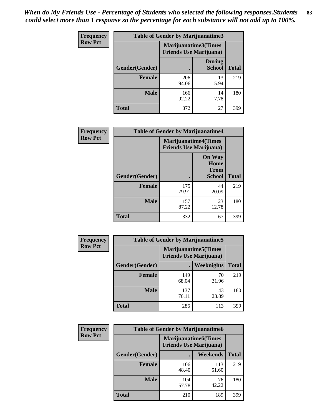*When do My Friends Use - Percentage of Students who selected the following responses.Students could select more than 1 response so the percentage for each substance will not add up to 100%.* **83**

| <b>Frequency</b> | Table of Gender by Marijuanatime3 |                                                        |                                |              |
|------------------|-----------------------------------|--------------------------------------------------------|--------------------------------|--------------|
| <b>Row Pct</b>   |                                   | Marijuanatime3(Times<br><b>Friends Use Marijuana</b> ) |                                |              |
|                  | Gender(Gender)                    |                                                        | <b>During</b><br><b>School</b> | <b>Total</b> |
|                  | <b>Female</b>                     | 206<br>94.06                                           | 13<br>5.94                     | 219          |
|                  | <b>Male</b>                       | 166<br>92.22                                           | 14<br>7.78                     | 180          |
|                  | <b>Total</b>                      | 372                                                    | 27                             | 399          |

| Frequency      | <b>Table of Gender by Marijuanatime4</b> |                                                               |                                                       |              |
|----------------|------------------------------------------|---------------------------------------------------------------|-------------------------------------------------------|--------------|
| <b>Row Pct</b> |                                          | <b>Marijuanatime4(Times</b><br><b>Friends Use Marijuana</b> ) |                                                       |              |
|                | <b>Gender</b> (Gender)                   |                                                               | <b>On Way</b><br>Home<br><b>From</b><br><b>School</b> | <b>Total</b> |
|                | <b>Female</b>                            | 175<br>79.91                                                  | 44<br>20.09                                           | 219          |
|                | <b>Male</b>                              | 157<br>87.22                                                  | 23<br>12.78                                           | 180          |
|                | <b>Total</b>                             | 332                                                           | 67                                                    | 399          |

| Frequency      | <b>Table of Gender by Marijuanatime5</b> |                                                                |             |              |  |
|----------------|------------------------------------------|----------------------------------------------------------------|-------------|--------------|--|
| <b>Row Pct</b> |                                          | <b>Marijuanatime5</b> (Times<br><b>Friends Use Marijuana</b> ) |             |              |  |
|                | Gender(Gender)                           |                                                                | Weeknights  | <b>Total</b> |  |
|                | <b>Female</b>                            | 149<br>68.04                                                   | 70<br>31.96 | 219          |  |
|                | <b>Male</b>                              | 137<br>76.11                                                   | 43<br>23.89 | 180          |  |
|                | <b>Total</b>                             | 286                                                            | 113         | 399          |  |

| <b>Frequency</b> | <b>Table of Gender by Marijuanatime6</b> |                                                                |              |              |  |
|------------------|------------------------------------------|----------------------------------------------------------------|--------------|--------------|--|
| <b>Row Pct</b>   |                                          | <b>Marijuanatime6</b> (Times<br><b>Friends Use Marijuana</b> ) |              |              |  |
|                  | <b>Gender</b> (Gender)                   |                                                                | Weekends     | <b>Total</b> |  |
|                  | <b>Female</b>                            | 106<br>48.40                                                   | 113<br>51.60 | 219          |  |
|                  | <b>Male</b>                              | 104<br>57.78                                                   | 76<br>42.22  | 180          |  |
|                  | <b>Total</b>                             | 210                                                            | 189          | 399          |  |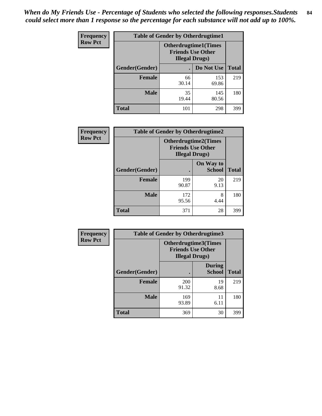*When do My Friends Use - Percentage of Students who selected the following responses.Students could select more than 1 response so the percentage for each substance will not add up to 100%.* **84**

| <b>Frequency</b> | <b>Table of Gender by Otherdrugtime1</b> |                                                                                    |              |              |  |
|------------------|------------------------------------------|------------------------------------------------------------------------------------|--------------|--------------|--|
| <b>Row Pct</b>   |                                          | <b>Otherdrugtime1</b> (Times<br><b>Friends Use Other</b><br><b>Illegal Drugs</b> ) |              |              |  |
|                  | Gender(Gender)                           |                                                                                    | Do Not Use   | <b>Total</b> |  |
|                  | <b>Female</b>                            | 66<br>30.14                                                                        | 153<br>69.86 | 219          |  |
|                  | <b>Male</b>                              | 35<br>19.44                                                                        | 145<br>80.56 | 180          |  |
|                  | <b>Total</b>                             | 101                                                                                | 298          | 399          |  |

| <b>Frequency</b> | <b>Table of Gender by Otherdrugtime2</b> |                                                                                   |                            |              |  |
|------------------|------------------------------------------|-----------------------------------------------------------------------------------|----------------------------|--------------|--|
| <b>Row Pct</b>   |                                          | <b>Otherdrugtime2(Times</b><br><b>Friends Use Other</b><br><b>Illegal Drugs</b> ) |                            |              |  |
|                  | Gender(Gender)                           |                                                                                   | On Way to<br><b>School</b> | <b>Total</b> |  |
|                  | <b>Female</b>                            | 199<br>90.87                                                                      | 20<br>9.13                 | 219          |  |
|                  | <b>Male</b>                              | 172<br>95.56                                                                      | 8<br>4.44                  | 180          |  |
|                  | <b>Total</b>                             | 371                                                                               | 28                         | 399          |  |

| Frequency      | <b>Table of Gender by Otherdrugtime3</b> |                                                                                  |                                |              |  |
|----------------|------------------------------------------|----------------------------------------------------------------------------------|--------------------------------|--------------|--|
| <b>Row Pct</b> |                                          | <b>Otherdrugtime3(Times</b><br><b>Friends Use Other</b><br><b>Illegal Drugs)</b> |                                |              |  |
|                | Gender(Gender)                           |                                                                                  | <b>During</b><br><b>School</b> | <b>Total</b> |  |
|                | <b>Female</b>                            | 200<br>91.32                                                                     | 19<br>8.68                     | 219          |  |
|                | <b>Male</b>                              | 169<br>93.89                                                                     | 11<br>6.11                     | 180          |  |
|                | <b>Total</b>                             | 369                                                                              | 30                             | 399          |  |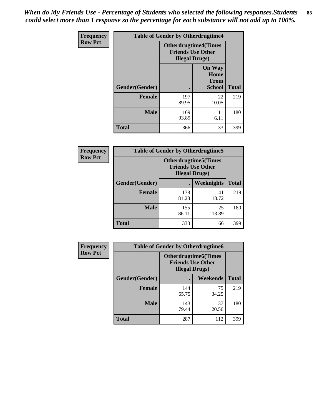*When do My Friends Use - Percentage of Students who selected the following responses.Students could select more than 1 response so the percentage for each substance will not add up to 100%.* **85**

| Frequency      | <b>Table of Gender by Otherdrugtime4</b> |                                                                                   |                                                       |              |
|----------------|------------------------------------------|-----------------------------------------------------------------------------------|-------------------------------------------------------|--------------|
| <b>Row Pct</b> |                                          | <b>Otherdrugtime4(Times</b><br><b>Friends Use Other</b><br><b>Illegal Drugs</b> ) |                                                       |              |
|                | Gender(Gender)                           |                                                                                   | <b>On Way</b><br>Home<br><b>From</b><br><b>School</b> | <b>Total</b> |
|                | <b>Female</b>                            | 197<br>89.95                                                                      | 22<br>10.05                                           | 219          |
|                | <b>Male</b>                              | 169<br>93.89                                                                      | 11<br>6.11                                            | 180          |
|                | <b>Total</b>                             | 366                                                                               | 33                                                    | 399          |

| Frequency      | <b>Table of Gender by Otherdrugtime5</b> |                                                                                    |             |              |  |
|----------------|------------------------------------------|------------------------------------------------------------------------------------|-------------|--------------|--|
| <b>Row Pct</b> |                                          | <b>Otherdrugtime5</b> (Times<br><b>Friends Use Other</b><br><b>Illegal Drugs</b> ) |             |              |  |
|                | Gender(Gender)                           |                                                                                    | Weeknights  | <b>Total</b> |  |
|                | <b>Female</b>                            | 178<br>81.28                                                                       | 41<br>18.72 | 219          |  |
|                | <b>Male</b>                              | 155<br>86.11                                                                       | 25<br>13.89 | 180          |  |
|                | <b>Total</b>                             | 333                                                                                | 66          | 399          |  |

| <b>Frequency</b> | <b>Table of Gender by Otherdrugtime6</b> |                                                                                   |             |              |  |
|------------------|------------------------------------------|-----------------------------------------------------------------------------------|-------------|--------------|--|
| <b>Row Pct</b>   |                                          | <b>Otherdrugtime6(Times</b><br><b>Friends Use Other</b><br><b>Illegal Drugs</b> ) |             |              |  |
|                  | Gender(Gender)                           |                                                                                   | Weekends    | <b>Total</b> |  |
|                  | <b>Female</b>                            | 144<br>65.75                                                                      | 75<br>34.25 | 219          |  |
|                  | <b>Male</b>                              | 143<br>79.44                                                                      | 37<br>20.56 | 180          |  |
|                  | <b>Total</b>                             | 287                                                                               | 112         | 399          |  |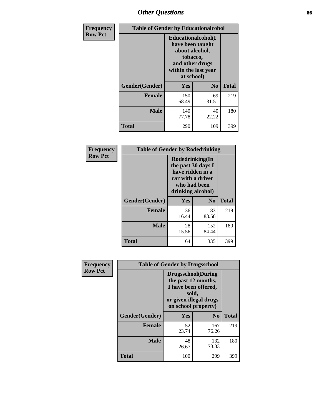# *Other Questions* **86**

| <b>Frequency</b> | <b>Table of Gender by Educationalcohol</b> |                                                                                                                                       |                |              |  |
|------------------|--------------------------------------------|---------------------------------------------------------------------------------------------------------------------------------------|----------------|--------------|--|
| <b>Row Pct</b>   |                                            | <b>Educationalcohol</b> (I<br>have been taught<br>about alcohol,<br>tobacco,<br>and other drugs<br>within the last year<br>at school) |                |              |  |
|                  | Gender(Gender)                             | <b>Yes</b>                                                                                                                            | N <sub>0</sub> | <b>Total</b> |  |
|                  | <b>Female</b>                              | 150<br>68.49                                                                                                                          | 69<br>31.51    | 219          |  |
|                  | <b>Male</b>                                | 140<br>77.78                                                                                                                          | 40<br>22.22    | 180          |  |
|                  | <b>Total</b>                               | 290                                                                                                                                   | 109            | 399          |  |

| Frequency      | <b>Table of Gender by Rodedrinking</b> |                                                                                                                     |                |              |  |  |
|----------------|----------------------------------------|---------------------------------------------------------------------------------------------------------------------|----------------|--------------|--|--|
| <b>Row Pct</b> |                                        | Rodedrinking(In<br>the past 30 days I<br>have ridden in a<br>car with a driver<br>who had been<br>drinking alcohol) |                |              |  |  |
|                | Gender(Gender)                         | Yes                                                                                                                 | N <sub>0</sub> | <b>Total</b> |  |  |
|                | <b>Female</b>                          | 36<br>16.44                                                                                                         | 183<br>83.56   | 219          |  |  |
|                | <b>Male</b>                            | 28<br>15.56                                                                                                         | 152<br>84.44   | 180          |  |  |
|                | <b>Total</b>                           | 64                                                                                                                  | 335            | 399          |  |  |

| Frequency      | <b>Table of Gender by Drugsschool</b> |                                                                                                                                     |                |              |  |
|----------------|---------------------------------------|-------------------------------------------------------------------------------------------------------------------------------------|----------------|--------------|--|
| <b>Row Pct</b> |                                       | <b>Drugsschool</b> (During<br>the past 12 months,<br>I have been offered,<br>sold,<br>or given illegal drugs<br>on school property) |                |              |  |
|                | Gender(Gender)                        | Yes                                                                                                                                 | N <sub>0</sub> | <b>Total</b> |  |
|                | <b>Female</b>                         | 52<br>23.74                                                                                                                         | 167<br>76.26   | 219          |  |
|                | <b>Male</b>                           | 48<br>26.67                                                                                                                         | 132<br>73.33   | 180          |  |
|                | <b>Total</b>                          | 100                                                                                                                                 | 299            | 399          |  |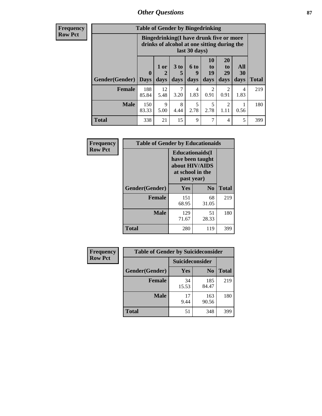## *Other Questions* **87**

**Frequency Row Pct**

| <b>Table of Gender by Bingedrinking</b> |                         |                                                                                                         |                   |                   |                               |                               |                   |              |
|-----------------------------------------|-------------------------|---------------------------------------------------------------------------------------------------------|-------------------|-------------------|-------------------------------|-------------------------------|-------------------|--------------|
|                                         |                         | Bingedrinking(I have drunk five or more<br>drinks of alcohol at one sitting during the<br>last 30 days) |                   |                   |                               |                               |                   |              |
| <b>Gender</b> (Gender)                  | $\bf{0}$<br><b>Days</b> | 1 or<br>days                                                                                            | 3 to<br>5<br>days | 6 to<br>9<br>days | <b>10</b><br>to<br>19<br>days | <b>20</b><br>to<br>29<br>days | All<br>30<br>days | <b>Total</b> |
| <b>Female</b>                           | 188<br>85.84            | 12<br>5.48                                                                                              | 7<br>3.20         | 4<br>1.83         | $\mathfrak{D}$<br>0.91        | 2<br>0.91                     | 4<br>1.83         | 219          |
| <b>Male</b>                             | 150<br>83.33            | 9<br>5.00                                                                                               | 8<br>4.44         | 5<br>2.78         | 5<br>2.78                     | 2<br>1.11                     | 0.56              | 180          |
| <b>Total</b>                            | 338                     | 21                                                                                                      | 15                | 9                 | 7                             | 4                             | 5                 | 399          |

| Frequency      | <b>Table of Gender by Educationaids</b> |                                                                                                 |                |              |
|----------------|-----------------------------------------|-------------------------------------------------------------------------------------------------|----------------|--------------|
| <b>Row Pct</b> |                                         | <b>Educationaids</b> (I<br>have been taught<br>about HIV/AIDS<br>at school in the<br>past year) |                |              |
|                | Gender(Gender)                          | Yes                                                                                             | N <sub>0</sub> | <b>Total</b> |
|                | <b>Female</b>                           | 151<br>68.95                                                                                    | 68<br>31.05    | 219          |
|                | <b>Male</b>                             | 129<br>71.67                                                                                    | 51<br>28.33    | 180          |
|                | <b>Total</b>                            | 280                                                                                             | 119            | 399          |

| <b>Frequency</b> | <b>Table of Gender by Suicideconsider</b> |                 |                |              |
|------------------|-------------------------------------------|-----------------|----------------|--------------|
| <b>Row Pct</b>   |                                           | Suicideconsider |                |              |
|                  | Gender(Gender)                            | Yes             | N <sub>0</sub> | <b>Total</b> |
|                  | <b>Female</b>                             | 34<br>15.53     | 185<br>84.47   | 219          |
|                  | <b>Male</b>                               | 17<br>9.44      | 163<br>90.56   | 180          |
|                  | Total                                     | 51              | 348            | 399          |